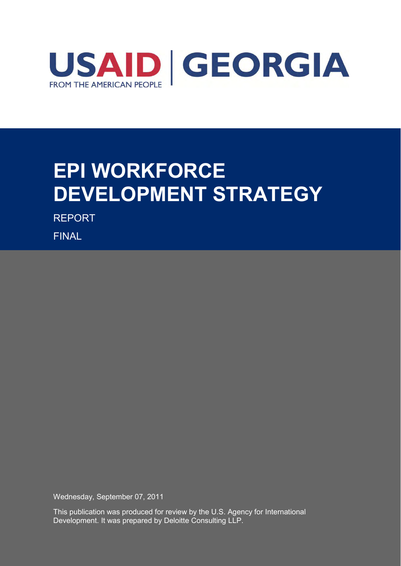

# **EPI WORKFORCE DEVELOPMENT STRATEGY**

REPORT

FINAL

Wednesday, September 07, 2011

This publication was produced for review by the U.S. Agency for International Development. It was prepared by Deloitte Consulting LLP.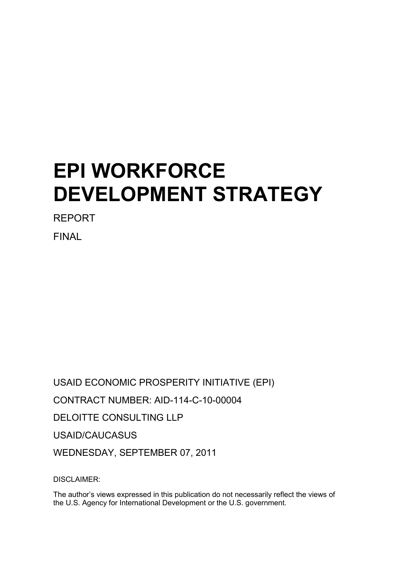# **EPI WORKFORCE DEVELOPMENT STRATEGY**

REPORT

FINAL

USAID ECONOMIC PROSPERITY INITIATIVE (EPI) CONTRACT NUMBER: AID-114-C-10-00004 DELOITTE CONSULTING LLP USAID/CAUCASUS WEDNESDAY, SEPTEMBER 07, 2011

DISCLAIMER:

The author's views expressed in this publication do not necessarily reflect the views of the U.S. Agency for International Development or the U.S. government.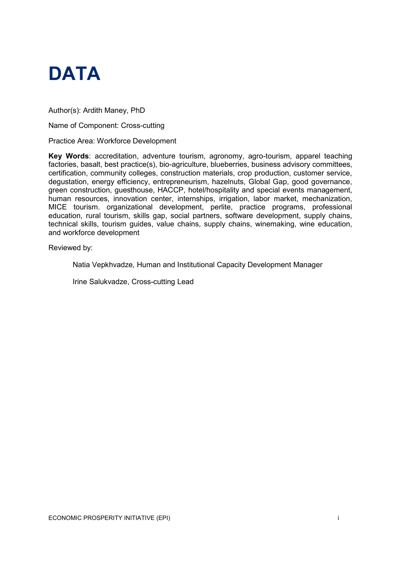

Author(s): Ardith Maney, PhD

Name of Component: Cross-cutting

Practice Area: Workforce Development

**Key Words**: accreditation, adventure tourism, agronomy, agro-tourism, apparel teaching factories, basalt, best practice(s), bio-agriculture, blueberries, business advisory committees, certification, community colleges, construction materials, crop production, customer service, degustation, energy efficiency, entrepreneurism, hazelnuts, Global Gap, good governance, green construction, guesthouse, HACCP, hotel/hospitality and special events management, human resources, innovation center, internships, irrigation, labor market, mechanization, MICE tourism. organizational development, perlite, practice programs, professional education, rural tourism, skills gap, social partners, software development, supply chains, technical skills, tourism guides, value chains, supply chains, winemaking, wine education, and workforce development

Reviewed by:

Natia Vepkhvadze, Human and Institutional Capacity Development Manager

Irine Salukvadze, Cross-cutting Lead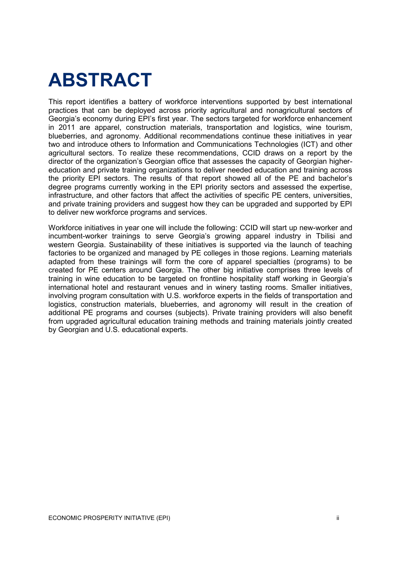## **ABSTRACT**

This report identifies a battery of workforce interventions supported by best international practices that can be deployed across priority agricultural and nonagricultural sectors of Georgia's economy during EPI's first year. The sectors targeted for workforce enhancement in 2011 are apparel, construction materials, transportation and logistics, wine tourism, blueberries, and agronomy. Additional recommendations continue these initiatives in year two and introduce others to Information and Communications Technologies (ICT) and other agricultural sectors. To realize these recommendations, CCID draws on a report by the director of the organization's Georgian office that assesses the capacity of Georgian highereducation and private training organizations to deliver needed education and training across the priority EPI sectors. The results of that report showed all of the PE and bachelor's degree programs currently working in the EPI priority sectors and assessed the expertise, infrastructure, and other factors that affect the activities of specific PE centers, universities, and private training providers and suggest how they can be upgraded and supported by EPI to deliver new workforce programs and services.

Workforce initiatives in year one will include the following: CCID will start up new-worker and incumbent-worker trainings to serve Georgia's growing apparel industry in Tbilisi and western Georgia. Sustainability of these initiatives is supported via the launch of teaching factories to be organized and managed by PE colleges in those regions. Learning materials adapted from these trainings will form the core of apparel specialties (programs) to be created for PE centers around Georgia. The other big initiative comprises three levels of training in wine education to be targeted on frontline hospitality staff working in Georgia's international hotel and restaurant venues and in winery tasting rooms. Smaller initiatives, involving program consultation with U.S. workforce experts in the fields of transportation and logistics, construction materials, blueberries, and agronomy will result in the creation of additional PE programs and courses (subjects). Private training providers will also benefit from upgraded agricultural education training methods and training materials jointly created by Georgian and U.S. educational experts.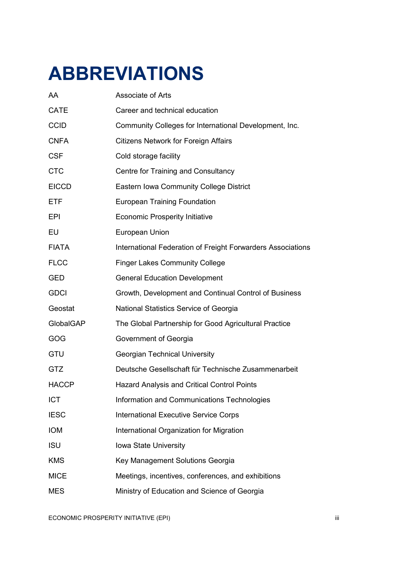# **ABBREVIATIONS**

| AA           | Associate of Arts                                           |
|--------------|-------------------------------------------------------------|
| <b>CATE</b>  | Career and technical education                              |
| <b>CCID</b>  | Community Colleges for International Development, Inc.      |
| <b>CNFA</b>  | <b>Citizens Network for Foreign Affairs</b>                 |
| <b>CSF</b>   | Cold storage facility                                       |
| <b>CTC</b>   | Centre for Training and Consultancy                         |
| <b>EICCD</b> | Eastern Iowa Community College District                     |
| <b>ETF</b>   | <b>European Training Foundation</b>                         |
| <b>EPI</b>   | <b>Economic Prosperity Initiative</b>                       |
| EU           | European Union                                              |
| <b>FIATA</b> | International Federation of Freight Forwarders Associations |
| <b>FLCC</b>  | <b>Finger Lakes Community College</b>                       |
| <b>GED</b>   | <b>General Education Development</b>                        |
| <b>GDCI</b>  | Growth, Development and Continual Control of Business       |
| Geostat      | National Statistics Service of Georgia                      |
| GlobalGAP    | The Global Partnership for Good Agricultural Practice       |
| GOG          | Government of Georgia                                       |
| GTU          | <b>Georgian Technical University</b>                        |
| <b>GTZ</b>   | Deutsche Gesellschaft für Technische Zusammenarbeit         |
| <b>HACCP</b> | <b>Hazard Analysis and Critical Control Points</b>          |
| <b>ICT</b>   | Information and Communications Technologies                 |
| <b>IESC</b>  | <b>International Executive Service Corps</b>                |
| <b>IOM</b>   | International Organization for Migration                    |
| <b>ISU</b>   | Iowa State University                                       |
| <b>KMS</b>   | Key Management Solutions Georgia                            |
| <b>MICE</b>  | Meetings, incentives, conferences, and exhibitions          |
| <b>MES</b>   | Ministry of Education and Science of Georgia                |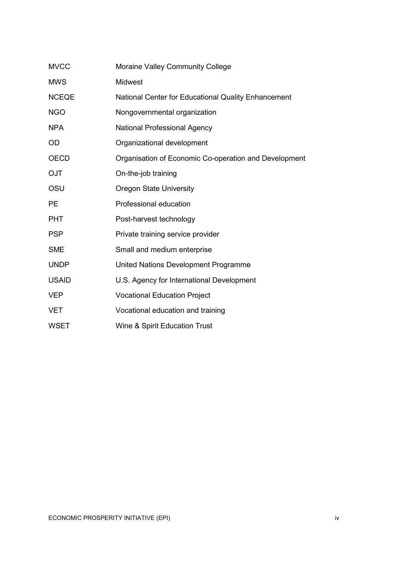| <b>MVCC</b>  | Moraine Valley Community College                      |
|--------------|-------------------------------------------------------|
| <b>MWS</b>   | Midwest                                               |
| <b>NCEQE</b> | National Center for Educational Quality Enhancement   |
| <b>NGO</b>   | Nongovernmental organization                          |
| <b>NPA</b>   | <b>National Professional Agency</b>                   |
| <b>OD</b>    | Organizational development                            |
| <b>OECD</b>  | Organisation of Economic Co-operation and Development |
| <b>OJT</b>   | On-the-job training                                   |
| OSU          | <b>Oregon State University</b>                        |
| <b>PE</b>    | Professional education                                |
| <b>PHT</b>   | Post-harvest technology                               |
| <b>PSP</b>   | Private training service provider                     |
| <b>SME</b>   | Small and medium enterprise                           |
| <b>UNDP</b>  | United Nations Development Programme                  |
| <b>USAID</b> | U.S. Agency for International Development             |
| <b>VEP</b>   | <b>Vocational Education Project</b>                   |
| <b>VET</b>   | Vocational education and training                     |
| <b>WSET</b>  | <b>Wine &amp; Spirit Education Trust</b>              |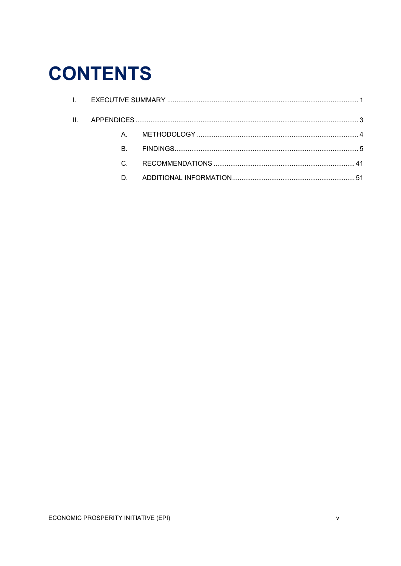# **CONTENTS**

| B. |  |
|----|--|
|    |  |
| D. |  |
|    |  |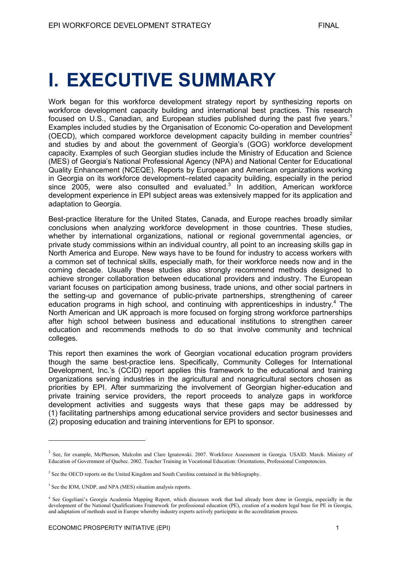## <span id="page-7-0"></span>**I. EXECUTIVE SUMMARY**

Work began for this workforce development strategy report by synthesizing reports on workforce development capacity building and international best practices. This research focused on U.S., Canadian, and European studies published during the past five years.<sup>1</sup> Examples included studies by the Organisation of Economic Co-operation and Development (OECD), which compared workforce development capacity building in member countries<sup>2</sup> and studies by and about the government of Georgia's (GOG) workforce development capacity. Examples of such Georgian studies include the Ministry of Education and Science (MES) of Georgia's National Professional Agency (NPA) and National Center for Educational Quality Enhancement (NCEQE). Reports by European and American organizations working in Georgia on its workforce development–related capacity building, especially in the period since  $2005$ , were also consulted and evaluated.<sup>3</sup> In addition, American workforce development experience in EPI subject areas was extensively mapped for its application and adaptation to Georgia.

Best-practice literature for the United States, Canada, and Europe reaches broadly similar conclusions when analyzing workforce development in those countries. These studies, whether by international organizations, national or regional governmental agencies, or private study commissions within an individual country, all point to an increasing skills gap in North America and Europe. New ways have to be found for industry to access workers with a common set of technical skills, especially math, for their workforce needs now and in the coming decade. Usually these studies also strongly recommend methods designed to achieve stronger collaboration between educational providers and industry. The European variant focuses on participation among business, trade unions, and other social partners in the setting-up and governance of public-private partnerships, strengthening of career education programs in high school, and continuing with apprenticeships in industry.<sup>4</sup> The North American and UK approach is more focused on forging strong workforce partnerships after high school between business and educational institutions to strengthen career education and recommends methods to do so that involve community and technical colleges.

This report then examines the work of Georgian vocational education program providers though the same best-practice lens. Specifically, Community Colleges for International Development, Inc.'s (CCID) report applies this framework to the educational and training organizations serving industries in the agricultural and nonagricultural sectors chosen as priorities by EPI. After summarizing the involvement of Georgian higher-education and private training service providers, the report proceeds to analyze gaps in workforce development activities and suggests ways that these gaps may be addressed by (1) facilitating partnerships among educational service providers and sector businesses and (2) proposing education and training interventions for EPI to sponsor.

<sup>&</sup>lt;sup>1</sup> See, for example, McPherson, Malcolm and Clare Ignatowski. 2007. Workforce Assessment in Georgia. USAID. March. Ministry of Education of Government of Quebec. 2002. Teacher Training in Vocational Education: Orientations, Professional Competencies.

<sup>&</sup>lt;sup>2</sup> See the OECD reports on the United Kingdom and South Carolina contained in the bibliography.

<sup>&</sup>lt;sup>3</sup> See the IOM, UNDP, and NPA (MES) situation analysis reports.

<sup>4</sup> See Gogeliani's Georgia Academia Mapping Report, which discusses work that had already been done in Georgia, especially in the development of the National Qualifications Framework for professional education (PE), creation of a modern legal base for PE in Georgia, and adaptation of methods used in Europe whereby industry experts actively participate in the accreditation process.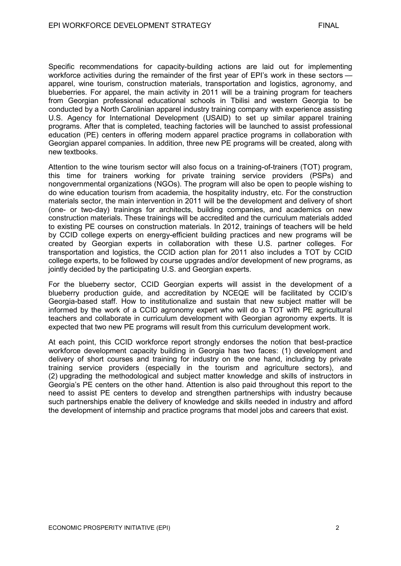Specific recommendations for capacity-building actions are laid out for implementing workforce activities during the remainder of the first year of EPI's work in these sectors apparel, wine tourism, construction materials, transportation and logistics, agronomy, and blueberries. For apparel, the main activity in 2011 will be a training program for teachers from Georgian professional educational schools in Tbilisi and western Georgia to be conducted by a North Carolinian apparel industry training company with experience assisting U.S. Agency for International Development (USAID) to set up similar apparel training programs. After that is completed, teaching factories will be launched to assist professional education (PE) centers in offering modern apparel practice programs in collaboration with Georgian apparel companies. In addition, three new PE programs will be created, along with new textbooks.

Attention to the wine tourism sector will also focus on a training-of-trainers (TOT) program, this time for trainers working for private training service providers (PSPs) and nongovernmental organizations (NGOs). The program will also be open to people wishing to do wine education tourism from academia, the hospitality industry, etc. For the construction materials sector, the main intervention in 2011 will be the development and delivery of short (one- or two-day) trainings for architects, building companies, and academics on new construction materials. These trainings will be accredited and the curriculum materials added to existing PE courses on construction materials. In 2012, trainings of teachers will be held by CCID college experts on energy-efficient building practices and new programs will be created by Georgian experts in collaboration with these U.S. partner colleges. For transportation and logistics, the CCID action plan for 2011 also includes a TOT by CCID college experts, to be followed by course upgrades and/or development of new programs, as jointly decided by the participating U.S. and Georgian experts.

For the blueberry sector, CCID Georgian experts will assist in the development of a blueberry production guide, and accreditation by NCEQE will be facilitated by CCID's Georgia-based staff. How to institutionalize and sustain that new subject matter will be informed by the work of a CCID agronomy expert who will do a TOT with PE agricultural teachers and collaborate in curriculum development with Georgian agronomy experts. It is expected that two new PE programs will result from this curriculum development work.

At each point, this CCID workforce report strongly endorses the notion that best-practice workforce development capacity building in Georgia has two faces: (1) development and delivery of short courses and training for industry on the one hand, including by private training service providers (especially in the tourism and agriculture sectors), and (2) upgrading the methodological and subject matter knowledge and skills of instructors in Georgia's PE centers on the other hand. Attention is also paid throughout this report to the need to assist PE centers to develop and strengthen partnerships with industry because such partnerships enable the delivery of knowledge and skills needed in industry and afford the development of internship and practice programs that model jobs and careers that exist.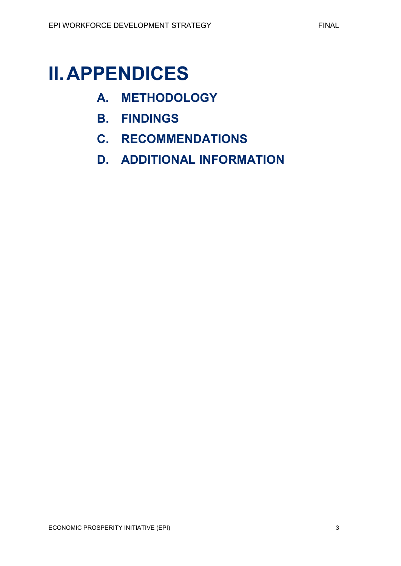## <span id="page-9-0"></span>**II.APPENDICES**

- **A. METHODOLOGY**
- **B. FINDINGS**
- **C. RECOMMENDATIONS**
- **D. ADDITIONAL INFORMATION**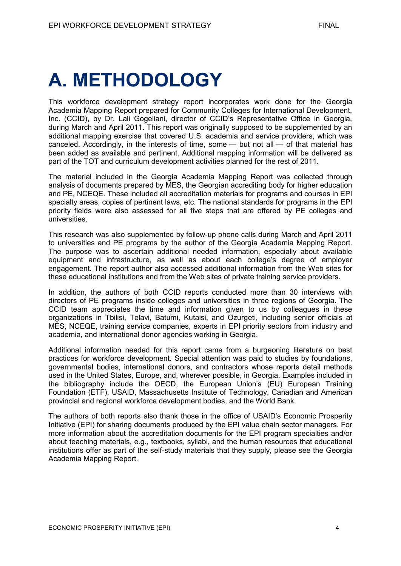# <span id="page-10-0"></span>**A. METHODOLOGY**

This workforce development strategy report incorporates work done for the Georgia Academia Mapping Report prepared for Community Colleges for International Development, Inc. (CCID), by Dr. Lali Gogeliani, director of CCID's Representative Office in Georgia, during March and April 2011. This report was originally supposed to be supplemented by an additional mapping exercise that covered U.S. academia and service providers, which was canceled. Accordingly, in the interests of time, some — but not all — of that material has been added as available and pertinent. Additional mapping information will be delivered as part of the TOT and curriculum development activities planned for the rest of 2011.

The material included in the Georgia Academia Mapping Report was collected through analysis of documents prepared by MES, the Georgian accrediting body for higher education and PE, NCEQE. These included all accreditation materials for programs and courses in EPI specialty areas, copies of pertinent laws, etc. The national standards for programs in the EPI priority fields were also assessed for all five steps that are offered by PE colleges and universities.

This research was also supplemented by follow-up phone calls during March and April 2011 to universities and PE programs by the author of the Georgia Academia Mapping Report. The purpose was to ascertain additional needed information, especially about available equipment and infrastructure, as well as about each college's degree of employer engagement. The report author also accessed additional information from the Web sites for these educational institutions and from the Web sites of private training service providers.

In addition, the authors of both CCID reports conducted more than 30 interviews with directors of PE programs inside colleges and universities in three regions of Georgia. The CCID team appreciates the time and information given to us by colleagues in these organizations in Tbilisi, Telavi, Batumi, Kutaisi, and Ozurgeti, including senior officials at MES, NCEQE, training service companies, experts in EPI priority sectors from industry and academia, and international donor agencies working in Georgia.

Additional information needed for this report came from a burgeoning literature on best practices for workforce development. Special attention was paid to studies by foundations, governmental bodies, international donors, and contractors whose reports detail methods used in the United States, Europe, and, wherever possible, in Georgia. Examples included in the bibliography include the OECD, the European Union's (EU) European Training Foundation (ETF), USAID, Massachusetts Institute of Technology, Canadian and American provincial and regional workforce development bodies, and the World Bank.

The authors of both reports also thank those in the office of USAID's Economic Prosperity Initiative (EPI) for sharing documents produced by the EPI value chain sector managers. For more information about the accreditation documents for the EPI program specialties and/or about teaching materials, e.g., textbooks, syllabi, and the human resources that educational institutions offer as part of the self-study materials that they supply, please see the Georgia Academia Mapping Report.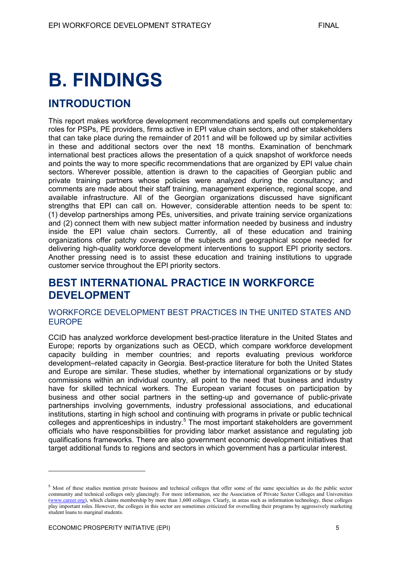## <span id="page-11-0"></span>**B. FINDINGS**

## **INTRODUCTION**

This report makes workforce development recommendations and spells out complementary roles for PSPs, PE providers, firms active in EPI value chain sectors, and other stakeholders that can take place during the remainder of 2011 and will be followed up by similar activities in these and additional sectors over the next 18 months. Examination of benchmark international best practices allows the presentation of a quick snapshot of workforce needs and points the way to more specific recommendations that are organized by EPI value chain sectors. Wherever possible, attention is drawn to the capacities of Georgian public and private training partners whose policies were analyzed during the consultancy; and comments are made about their staff training, management experience, regional scope, and available infrastructure. All of the Georgian organizations discussed have significant strengths that EPI can call on. However, considerable attention needs to be spent to: (1) develop partnerships among PEs, universities, and private training service organizations and (2) connect them with new subject matter information needed by business and industry inside the EPI value chain sectors. Currently, all of these education and training organizations offer patchy coverage of the subjects and geographical scope needed for delivering high-quality workforce development interventions to support EPI priority sectors. Another pressing need is to assist these education and training institutions to upgrade customer service throughout the EPI priority sectors.

## **BEST INTERNATIONAL PRACTICE IN WORKFORCE DEVELOPMENT**

#### WORKFORCE DEVELOPMENT BEST PRACTICES IN THE UNITED STATES AND EUROPE

CCID has analyzed workforce development best-practice literature in the United States and Europe; reports by organizations such as OECD, which compare workforce development capacity building in member countries; and reports evaluating previous workforce development–related capacity in Georgia. Best-practice literature for both the United States and Europe are similar. These studies, whether by international organizations or by study commissions within an individual country, all point to the need that business and industry have for skilled technical workers. The European variant focuses on participation by business and other social partners in the setting-up and governance of public-private partnerships involving governments, industry professional associations, and educational institutions, starting in high school and continuing with programs in private or public technical colleges and apprenticeships in industry.<sup>5</sup> The most important stakeholders are government officials who have responsibilities for providing labor market assistance and regulating job qualifications frameworks. There are also government economic development initiatives that target additional funds to regions and sectors in which government has a particular interest.

<sup>5</sup> Most of these studies mention private business and technical colleges that offer some of the same specialties as do the public sector community and technical colleges only glancingly. For more information, see the Association of Private Sector Colleges and Universities [\(www.career.org\)](http://www.career.org/), which claims membership by more than 1,600 colleges. Clearly, in areas such as information technology, these colleges play important roles. However, the colleges in this sector are sometimes criticized for overselling their programs by aggressively marketing student loans to marginal students.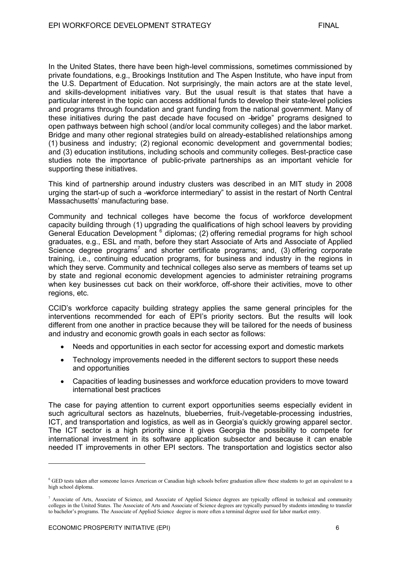In the United States, there have been high-level commissions, sometimes commissioned by private foundations, e.g., Brookings Institution and The Aspen Institute, who have input from the U.S. Department of Education. Not surprisingly, the main actors are at the state level, and skills-development initiatives vary. But the usual result is that states that have a particular interest in the topic can access additional funds to develop their state-level policies and programs through foundation and grant funding from the national government. Many of these initiatives during the past decade have focused on -bridge" programs designed to open pathways between high school (and/or local community colleges) and the labor market. Bridge and many other regional strategies build on already-established relationships among (1) business and industry; (2) regional economic development and governmental bodies; and (3) education institutions, including schools and community colleges. Best-practice case studies note the importance of public-private partnerships as an important vehicle for supporting these initiatives.

This kind of partnership around industry clusters was described in an MIT study in 2008 urging the start-up of such a -workforce intermediary" to assist in the restart of North Central Massachusetts' manufacturing base.

Community and technical colleges have become the focus of workforce development capacity building through (1) upgrading the qualifications of high school leavers by providing General Education Development <sup>6</sup> diplomas; (2) offering remedial programs for high school graduates, e.g., ESL and math, before they start Associate of Arts and Associate of Applied Science degree programs<sup>7</sup> and shorter certificate programs; and,  $(3)$  offering corporate training, i.e., continuing education programs, for business and industry in the regions in which they serve. Community and technical colleges also serve as members of teams set up by state and regional economic development agencies to administer retraining programs when key businesses cut back on their workforce, off-shore their activities, move to other regions, etc.

CCID's workforce capacity building strategy applies the same general principles for the interventions recommended for each of EPI's priority sectors. But the results will look different from one another in practice because they will be tailored for the needs of business and industry and economic growth goals in each sector as follows:

- Needs and opportunities in each sector for accessing export and domestic markets
- Technology improvements needed in the different sectors to support these needs and opportunities
- Capacities of leading businesses and workforce education providers to move toward international best practices

The case for paying attention to current export opportunities seems especially evident in such agricultural sectors as hazelnuts, blueberries, fruit-/vegetable-processing industries, ICT, and transportation and logistics, as well as in Georgia's quickly growing apparel sector. The ICT sector is a high priority since it gives Georgia the possibility to compete for international investment in its software application subsector and because it can enable needed IT improvements in other EPI sectors. The transportation and logistics sector also

<sup>&</sup>lt;sup>6</sup> GED tests taken after someone leaves American or Canadian high schools before graduation allow these students to get an equivalent to a high school diploma.

<sup>&</sup>lt;sup>7</sup> Associate of Arts, Associate of Science, and Associate of Applied Science degrees are typically offered in technical and community colleges in the United States. The Associate of Arts and Associate of Science degrees are typically pursued by students intending to transfer to bachelor's programs. The Associate of Applied Science degree is more often a terminal degree used for labor market entry.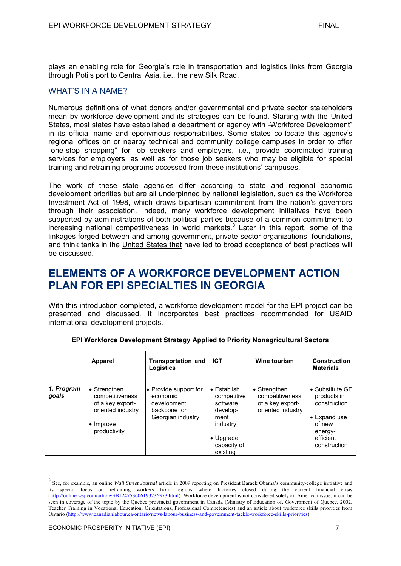plays an enabling role for Georgia's role in transportation and logistics links from Georgia through Poti's port to Central Asia, i.e., the new Silk Road.

#### WHAT'S IN A NAME?

Numerous definitions of what donors and/or governmental and private sector stakeholders mean by workforce development and its strategies can be found. Starting with the United States, most states have established a department or agency with -Workforce Development" in its official name and eponymous responsibilities. Some states co-locate this agency's regional offices on or nearby technical and community college campuses in order to offer ―one-stop shopping‖ for job seekers and employers, i.e., provide coordinated training services for employers, as well as for those job seekers who may be eligible for special training and retraining programs accessed from these institutions' campuses.

The work of these state agencies differ according to state and regional economic development priorities but are all underpinned by national legislation, such as the Workforce Investment Act of 1998, which draws bipartisan commitment from the nation's governors through their association. Indeed, many workforce development initiatives have been supported by administrations of both political parties because of a common commitment to increasing national competitiveness in world markets.<sup>8</sup> Later in this report, some of the linkages forged between and among government, private sector organizations, foundations, and think tanks in the United States that have led to broad acceptance of best practices will be discussed.

## **ELEMENTS OF A WORKFORCE DEVELOPMENT ACTION PLAN FOR EPI SPECIALTIES IN GEORGIA**

With this introduction completed, a workforce development model for the EPI project can be presented and discussed. It incorporates best practices recommended for USAID international development projects.

|                     | <b>Apparel</b>                                                                                                | <b>Transportation and</b><br>Logistics                                                | <b>ICT</b>                                                                                                                     | <b>Wine tourism</b>                                                      | <b>Construction</b><br><b>Materials</b>                                                                                  |
|---------------------|---------------------------------------------------------------------------------------------------------------|---------------------------------------------------------------------------------------|--------------------------------------------------------------------------------------------------------------------------------|--------------------------------------------------------------------------|--------------------------------------------------------------------------------------------------------------------------|
| 1. Program<br>goals | • Strengthen<br>competitiveness<br>of a key export-<br>oriented industry<br>$\bullet$ Improve<br>productivity | • Provide support for<br>economic<br>development<br>backbone for<br>Georgian industry | $\bullet$ Establish<br>competitive<br>software<br>develop-<br>ment<br>industry<br>$\bullet$ Upgrade<br>capacity of<br>existing | • Strengthen<br>competitiveness<br>of a key export-<br>oriented industry | • Substitute GE<br>products in<br>construction<br>$\bullet$ Expand use<br>of new<br>energy-<br>efficient<br>construction |

#### **EPI Workforce Development Strategy Applied to Priority Nonagricultural Sectors**

<sup>8</sup> See, for example, an online *Wall Street Journal* article in 2009 reporting on President Barack Obama's community-college initiative and its special focus on retraining workers from regions where factories closed during the current financial crisis [\(http://online.wsj.com/article/SB124753606193236373.html\)](http://online.wsj.com/article/SB124753606193236373.html). Workforce development is not considered solely an American issue; it can be seen in coverage of the topic by the Quebec provincial government in Canada (Ministry of Education of, Government of Quebec. 2002. Teacher Training in Vocational Education: Orientations, Professional Competencies) and an article about workforce skills priorities from Ontario [\(http://www.canadianlabour.ca/ontario/news/labour-business-and-government-tackle-workforce-skills-priorities\)](http://www.canadianlabour.ca/ontario/news/labour-business-and-government-tackle-workforce-skills-priorities).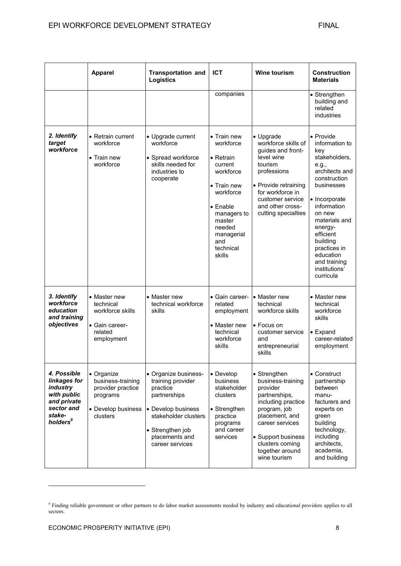|                                                                                                                       | <b>Apparel</b>                                                                                     | <b>Transportation and</b><br>Logistics                                                                                                                                       | <b>ICT</b>                                                                                                                                                                                           | <b>Wine tourism</b>                                                                                                                                                                                                   | <b>Construction</b><br><b>Materials</b>                                                                                                                                                                                                                                                |
|-----------------------------------------------------------------------------------------------------------------------|----------------------------------------------------------------------------------------------------|------------------------------------------------------------------------------------------------------------------------------------------------------------------------------|------------------------------------------------------------------------------------------------------------------------------------------------------------------------------------------------------|-----------------------------------------------------------------------------------------------------------------------------------------------------------------------------------------------------------------------|----------------------------------------------------------------------------------------------------------------------------------------------------------------------------------------------------------------------------------------------------------------------------------------|
|                                                                                                                       |                                                                                                    |                                                                                                                                                                              | companies                                                                                                                                                                                            |                                                                                                                                                                                                                       | • Strengthen<br>building and<br>related<br>industries                                                                                                                                                                                                                                  |
| 2. Identify<br>target<br>workforce                                                                                    | • Retrain current<br>workforce<br>$\bullet$ Train new<br>workforce                                 | • Upgrade current<br>workforce<br>• Spread workforce<br>skills needed for<br>industries to<br>cooperate                                                                      | $\bullet$ Train new<br>workforce<br>• Retrain<br>current<br>workforce<br>• Train new<br>workforce<br>$\bullet$ Enable<br>managers to<br>master<br>needed<br>managerial<br>and<br>technical<br>skills | • Upgrade<br>workforce skills of<br>guides and front-<br>level wine<br>tourism<br>professions<br>• Provide retraining<br>for workforce in<br>customer service<br>and other cross-<br>cutting specialties              | • Provide<br>information to<br>key<br>stakeholders,<br>e.g.,<br>architects and<br>construction<br>businesses<br>• Incorporate<br>information<br>on new<br>materials and<br>energy-<br>efficient<br>building<br>practices in<br>education<br>and training<br>institutions'<br>curricula |
| 3. Identify<br>workforce<br>education<br>and training<br>objectives                                                   | • Master new<br>technical<br>workforce skills<br>• Gain career-<br>related<br>employment           | • Master new<br>technical workforce<br>skills                                                                                                                                | • Gain career-<br>related<br>employment<br>• Master new<br>technical<br>workforce<br>skills                                                                                                          | • Master new<br>technical<br>workforce skills<br>• Focus on<br>customer service<br>and<br>entrepreneurial<br>skills                                                                                                   | • Master new<br>technical<br>workforce<br>skills<br>$\bullet$ Expand<br>career-related<br>employment                                                                                                                                                                                   |
| 4. Possible<br>linkages for<br>industry<br>with public<br>and private<br>sector and<br>stake-<br>holders <sup>9</sup> | • Organize<br>business-training<br>provider practice<br>programs<br>• Develop business<br>clusters | • Organize business-<br>training provider<br>practice<br>partnerships<br>• Develop business<br>stakeholder clusters<br>• Strengthen job<br>placements and<br>career services | • Develop<br>business<br>stakeholder<br>clusters<br>• Strengthen<br>practice<br>programs<br>and career<br>services                                                                                   | • Strengthen<br>business-training<br>provider<br>partnerships,<br>including practice<br>program, job<br>placement, and<br>career services<br>• Support business<br>clusters coming<br>together around<br>wine tourism | • Construct<br>partnership<br>between<br>manu-<br>facturers and<br>experts on<br>green<br>building<br>technology,<br>including<br>architects,<br>academia,<br>and building                                                                                                             |

<sup>&</sup>lt;sup>9</sup> Finding reliable government or other partners to do labor market assessments needed by industry and educational providers applies to all sectors.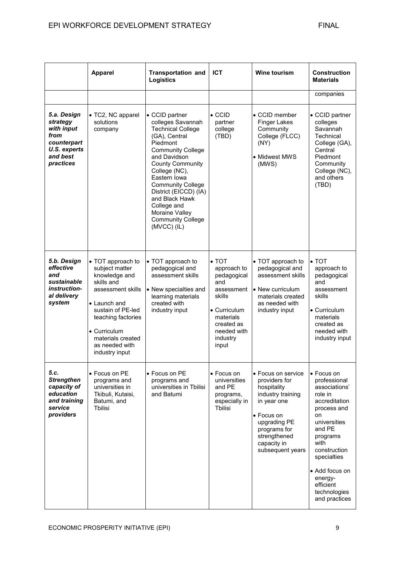|                                                                                                              | <b>Apparel</b>                                                                                                                                                                                                                      | <b>Transportation and</b><br><b>Logistics</b>                                                                                                                                                                                                                                                                                                               | <b>ICT</b>                                                                                                                                                        | <b>Wine tourism</b>                                                                                                                                                                     | <b>Construction</b><br><b>Materials</b>                                                                                                                                                                                                              |
|--------------------------------------------------------------------------------------------------------------|-------------------------------------------------------------------------------------------------------------------------------------------------------------------------------------------------------------------------------------|-------------------------------------------------------------------------------------------------------------------------------------------------------------------------------------------------------------------------------------------------------------------------------------------------------------------------------------------------------------|-------------------------------------------------------------------------------------------------------------------------------------------------------------------|-----------------------------------------------------------------------------------------------------------------------------------------------------------------------------------------|------------------------------------------------------------------------------------------------------------------------------------------------------------------------------------------------------------------------------------------------------|
|                                                                                                              |                                                                                                                                                                                                                                     |                                                                                                                                                                                                                                                                                                                                                             |                                                                                                                                                                   |                                                                                                                                                                                         | companies                                                                                                                                                                                                                                            |
| 5.a. Design<br>strategy<br>with input<br>from<br>counterpart<br><b>U.S. experts</b><br>and best<br>practices | • TC2, NC apparel<br>solutions<br>company                                                                                                                                                                                           | • CCID partner<br>colleges Savannah<br><b>Technical College</b><br>(GA), Central<br>Piedmont<br><b>Community College</b><br>and Davidson<br><b>County Community</b><br>College (NC),<br>Eastern Iowa<br><b>Community College</b><br>District (EICCD) (IA)<br>and Black Hawk<br>College and<br>Moraine Valley<br><b>Community College</b><br>$(MVCC)$ $(IL)$ | $\bullet$ CCID<br>partner<br>college<br>(TBD)                                                                                                                     | • CCID member<br><b>Finger Lakes</b><br>Community<br>College (FLCC)<br>(NY)<br>• Midwest MWS<br>(MWS)                                                                                   | • CCID partner<br>colleges<br>Savannah<br>Technical<br>College (GA),<br>Central<br>Piedmont<br>Community<br>College (NC),<br>and others<br>(TBD)                                                                                                     |
| 5.b. Design<br>effective<br>and<br>sustainable<br><i>instruction-</i><br>al delivery<br>system               | • TOT approach to<br>subject matter<br>knowledge and<br>skills and<br>assessment skills<br>• Launch and<br>sustain of PE-led<br>teaching factories<br>$\bullet$ Curriculum<br>materials created<br>as needed with<br>industry input | • TOT approach to<br>pedagogical and<br>assessment skills<br>• New specialties and<br>learning materials<br>created with<br>industry input                                                                                                                                                                                                                  | $\bullet$ TOT<br>approach to<br>pedagogical<br>and<br>assessment<br>skills<br>$\bullet$ Curriculum<br>materials<br>created as<br>needed with<br>industry<br>input | • TOT approach to<br>pedagogical and<br>assessment skills<br>• New curriculum<br>materials created<br>as needed with<br>industry input                                                  | $\bullet$ TOT<br>approach to<br>pedagogical<br>and<br>assessment<br>skills<br>$\bullet$ Curriculum<br>materials<br>created as<br>needed with<br>industry input                                                                                       |
| 5.c.<br><b>Strengthen</b><br>capacity of<br>education<br>and training<br>service<br>providers                | • Focus on PE<br>programs and<br>universities in<br>Tkibuli, Kutaisi,<br>Batumi, and<br>Tbilisi                                                                                                                                     | • Focus on PE<br>programs and<br>universities in Tbilisi<br>and Batumi                                                                                                                                                                                                                                                                                      | • Focus on<br>universities<br>and PE<br>programs,<br>especially in<br>Tbilisi                                                                                     | • Focus on service<br>providers for<br>hospitality<br>industry training<br>in year one<br>• Focus on<br>upgrading PE<br>programs for<br>strengthened<br>capacity in<br>subsequent years | • Focus on<br>professional<br>associations'<br>role in<br>accreditation<br>process and<br>on<br>universities<br>and PE<br>programs<br>with<br>construction<br>specialties<br>• Add focus on<br>energy-<br>efficient<br>technologies<br>and practices |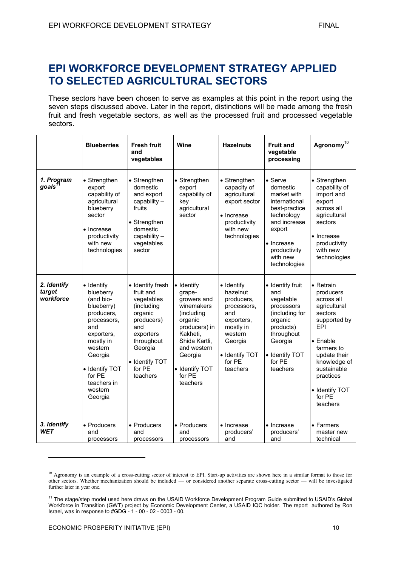## **EPI WORKFORCE DEVELOPMENT STRATEGY APPLIED TO SELECTED AGRICULTURAL SECTORS**

These sectors have been chosen to serve as examples at this point in the report using the seven steps discussed above. Later in the report, distinctions will be made among the fresh fruit and fresh vegetable sectors, as well as the processed fruit and processed vegetable sectors.

|                                    | <b>Blueberries</b>                                                                                                                                                                                       | <b>Fresh fruit</b><br>and<br>vegetables                                                                                                                                 | Wine                                                                                                                                                                                               | <b>Hazelnuts</b>                                                                                                                                    | <b>Fruit and</b><br>vegetable<br>processing                                                                                                                            | Agronomy $^{10}$                                                                                                                                                                                                                     |
|------------------------------------|----------------------------------------------------------------------------------------------------------------------------------------------------------------------------------------------------------|-------------------------------------------------------------------------------------------------------------------------------------------------------------------------|----------------------------------------------------------------------------------------------------------------------------------------------------------------------------------------------------|-----------------------------------------------------------------------------------------------------------------------------------------------------|------------------------------------------------------------------------------------------------------------------------------------------------------------------------|--------------------------------------------------------------------------------------------------------------------------------------------------------------------------------------------------------------------------------------|
| 1. Program<br>goals <sup>11</sup>  | • Strengthen<br>export<br>capability of<br>agricultural<br>blueberry<br>sector<br>• Increase<br>productivity<br>with new<br>technologies                                                                 | • Strengthen<br>domestic<br>and export<br>capability -<br>fruits<br>• Strengthen<br>domestic<br>capability -<br>vegetables<br>sector                                    | • Strengthen<br>export<br>capability of<br>key<br>agricultural<br>sector                                                                                                                           | • Strengthen<br>capacity of<br>agricultural<br>export sector<br>• Increase<br>productivity<br>with new<br>technologies                              | • Serve<br>domestic<br>market with<br>international<br>best-practice<br>technology<br>and increase<br>export<br>• Increase<br>productivity<br>with new<br>technologies | • Strengthen<br>capability of<br>import and<br>export<br>across all<br>agricultural<br>sectors<br>• Increase<br>productivity<br>with new<br>technologies                                                                             |
| 2. Identify<br>target<br>workforce | • Identify<br>blueberry<br>(and bio-<br>blueberry)<br>producers,<br>processors,<br>and<br>exporters,<br>mostly in<br>western<br>Georgia<br>• Identify TOT<br>for PE<br>teachers in<br>western<br>Georgia | • Identify fresh<br>fruit and<br>vegetables<br>(including<br>organic<br>producers)<br>and<br>exporters<br>throughout<br>Georgia<br>• Identify TOT<br>for PE<br>teachers | $\bullet$ Identify<br>grape-<br>growers and<br>winemakers<br>(including<br>organic<br>producers) in<br>Kakheti,<br>Shida Kartli.<br>and western<br>Georgia<br>• Identify TOT<br>for PE<br>teachers | • Identify<br>hazelnut<br>producers,<br>processors,<br>and<br>exporters,<br>mostly in<br>western<br>Georgia<br>• Identify TOT<br>for PE<br>teachers | • Identify fruit<br>and<br>vegetable<br>processors<br>(including for<br>organic<br>products)<br>throughout<br>Georgia<br>• Identify TOT<br>for PE<br>teachers          | $\bullet$ Retrain<br>producers<br>across all<br>agricultural<br>sectors<br>supported by<br>EPI<br>$\bullet$ Enable<br>farmers to<br>update their<br>knowledge of<br>sustainable<br>practices<br>• Identify TOT<br>for PE<br>teachers |
| 3. Identify<br><b>WET</b>          | • Producers<br>and<br>processors                                                                                                                                                                         | • Producers<br>and<br>processors                                                                                                                                        | • Producers<br>and<br>processors                                                                                                                                                                   | • Increase<br>producers'<br>and                                                                                                                     | • Increase<br>producers'<br>and                                                                                                                                        | • Farmers<br>master new<br>technical                                                                                                                                                                                                 |

<sup>&</sup>lt;sup>10</sup> Agronomy is an example of a cross-cutting sector of interest to EPI. Start-up activities are shown here in a similar format to those for other sectors. Whether mechanization should be included — or considered another separate cross-cutting sector — will be investigated further later in year one.

<sup>&</sup>lt;sup>11</sup> The stage/step model used here draws on the USAID Workforce Development Program Guide submitted to USAID's Global Workforce in Transition (GWT) project by Economic Development Center, a USAID IQC holder. The report authored by Ron Israel, was in response to #GDG - 1 - 00 - 02 - 0003 - 00.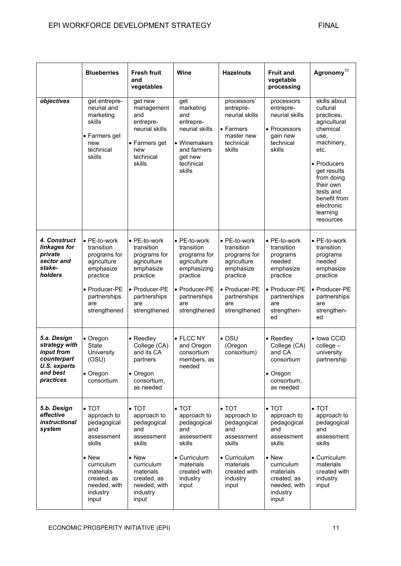|                                                                                                    | <b>Blueberries</b>                                                                                                                                                         | <b>Fresh fruit</b><br>and<br>vegetables                                                                                                                                    | Wine                                                                                                                                         | <b>Hazelnuts</b>                                                                                                                             | <b>Fruit and</b><br>vegetable<br>processing                                                                                                                                | Agronomy <sup>10</sup>                                                                                                                                                                                                        |
|----------------------------------------------------------------------------------------------------|----------------------------------------------------------------------------------------------------------------------------------------------------------------------------|----------------------------------------------------------------------------------------------------------------------------------------------------------------------------|----------------------------------------------------------------------------------------------------------------------------------------------|----------------------------------------------------------------------------------------------------------------------------------------------|----------------------------------------------------------------------------------------------------------------------------------------------------------------------------|-------------------------------------------------------------------------------------------------------------------------------------------------------------------------------------------------------------------------------|
| objectives                                                                                         | get entrepre-<br>neurial and<br>marketing<br>skills<br>• Farmers get<br>new<br>technical<br>skills                                                                         | get new<br>management<br>and<br>entrepre-<br>neurial skills<br>• Farmers get<br>new<br>technical<br>skills                                                                 | get<br>marketing<br>and<br>entrepre-<br>neurial skills<br>• Winemakers<br>and farmers<br>get new<br>technical<br>skills                      | processors'<br>entrepre-<br>neurial skills<br>• Farmers<br>master new<br>technical<br>skills                                                 | processors<br>entrepre-<br>neurial skills<br>• Processors<br>gain new<br>technical<br>skills                                                                               | skills about<br>cultural<br>practices,<br>agricultural<br>chemical<br>use.<br>machinery,<br>etc.<br>• Producers<br>get results<br>from doing<br>their own<br>tests and<br>benefit from<br>electronic<br>learning<br>resources |
| <b>4. Construct</b><br>linkages for<br>private<br>sector and<br>stake-<br>holders                  | • PE-to-work<br>transition<br>programs for<br>agriculture<br>emphasize<br>practice<br>• Producer-PE<br>partnerships<br>are<br>strengthened                                 | • PE-to-work<br>transition<br>programs for<br>agriculture<br>emphasize<br>practice<br>• Producer-PE<br>partnerships<br>are<br>strengthened                                 | • PE-to-work<br>transition<br>programs for<br>agriculture<br>emphasizing<br>practice<br>• Producer-PE<br>partnerships<br>are<br>strengthened | • PE-to-work<br>transition<br>programs for<br>agriculture<br>emphasize<br>practice<br>• Producer-PE<br>partnerships<br>are<br>strengthened   | • PE-to-work<br>transition<br>programs<br>needed<br>emphasize<br>practice<br>• Producer-PE<br>partnerships<br>are<br>strengthen-<br>ed                                     | • PE-to-work<br>transition<br>programs<br>needed<br>emphasize<br>practice<br>• Producer-PE<br>partnerships<br>are<br>strengthen-<br>ed                                                                                        |
| 5.a. Design<br>strategy with<br>input from<br>counterpart<br>U.S. experts<br>and best<br>practices | • Oregon<br><b>State</b><br>University<br>(OSU)<br>$\bullet$ Oregon<br>consortium                                                                                          | • Reedley<br>College (CA)<br>and its CA<br>partners<br>$\bullet$ Oregon<br>consortium,<br>as needed                                                                        | • FLCC NY<br>and Oregon<br>consortium<br>members, as<br>needed                                                                               | $\bullet$ OSU<br>(Oregon<br>consortium)                                                                                                      | • Reedley<br>College (CA)<br>and CA<br>consortium<br>$\bullet$ Oregon<br>consortium,<br>as needed                                                                          | • Iowa CCID<br>$college -$<br>university<br>partnership                                                                                                                                                                       |
| 5.b. Design<br>effective<br><i>instructional</i><br>system                                         | $\bullet$ TOT<br>approach to<br>pedagogical<br>and<br>assessment<br>skills<br>$\bullet$ New<br>curriculum<br>materials<br>created, as<br>needed, with<br>industry<br>input | $\bullet$ TOT<br>approach to<br>pedagogical<br>and<br>assessment<br>skills<br>$\bullet$ New<br>curriculum<br>materials<br>created, as<br>needed, with<br>industry<br>input | $\bullet$ TOT<br>approach to<br>pedagogical<br>and<br>assessment<br>skills<br>• Curriculum<br>materials<br>created with<br>industry<br>input | $\bullet$ TOT<br>approach to<br>pedagogical<br>and<br>assessment<br>skills<br>• Curriculum<br>materials<br>created with<br>industry<br>input | $\bullet$ TOT<br>approach to<br>pedagogical<br>and<br>assessment<br>skills<br>$\bullet$ New<br>curriculum<br>materials<br>created, as<br>needed, with<br>industry<br>input | $\bullet$ TOT<br>approach to<br>pedagogical<br>and<br>assessment<br>skills<br>• Curriculum<br>materials<br>created with<br>industry<br>input                                                                                  |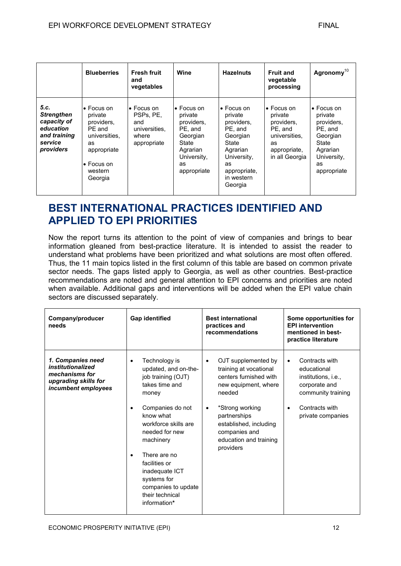|                                                                                               | <b>Blueberries</b>                                                                                                                      | <b>Fresh fruit</b><br>and<br>vegetables                                         | Wine                                                                                                                        | <b>Hazelnuts</b>                                                                                                                                      | <b>Fruit and</b><br>vegetable<br>processing                                                                     | Agronomy <sup>10</sup>                                                                                                      |
|-----------------------------------------------------------------------------------------------|-----------------------------------------------------------------------------------------------------------------------------------------|---------------------------------------------------------------------------------|-----------------------------------------------------------------------------------------------------------------------------|-------------------------------------------------------------------------------------------------------------------------------------------------------|-----------------------------------------------------------------------------------------------------------------|-----------------------------------------------------------------------------------------------------------------------------|
| 5.C.<br><b>Strengthen</b><br>capacity of<br>education<br>and training<br>service<br>providers | $\bullet$ Focus on<br>private<br>providers,<br>PE and<br>universities.<br>as<br>appropriate<br>$\bullet$ Focus on<br>western<br>Georgia | $\bullet$ Focus on<br>PSPs. PE.<br>and<br>universities.<br>where<br>appropriate | $\bullet$ Focus on<br>private<br>providers,<br>PE, and<br>Georgian<br>State<br>Agrarian<br>University,<br>as<br>appropriate | $\bullet$ Focus on<br>private<br>providers.<br>PE, and<br>Georgian<br>State<br>Agrarian<br>University,<br>as<br>appropriate,<br>in western<br>Georgia | $\bullet$ Focus on<br>private<br>providers,<br>PE, and<br>universities.<br>as<br>appropriate,<br>in all Georgia | $\bullet$ Focus on<br>private<br>providers.<br>PE, and<br>Georgian<br>State<br>Agrarian<br>University,<br>as<br>appropriate |

## **BEST INTERNATIONAL PRACTICES IDENTIFIED AND APPLIED TO EPI PRIORITIES**

Now the report turns its attention to the point of view of companies and brings to bear information gleaned from best-practice literature. It is intended to assist the reader to understand what problems have been prioritized and what solutions are most often offered. Thus, the 11 main topics listed in the first column of this table are based on common private sector needs. The gaps listed apply to Georgia, as well as other countries. Best-practice recommendations are noted and general attention to EPI concerns and priorities are noted when available. Additional gaps and interventions will be added when the EPI value chain sectors are discussed separately.

| Company/producer<br>needs                                                                               | <b>Gap identified</b>                                                                                                                                                                                                                                                                                                                     | <b>Best international</b><br>practices and<br>recommendations                                                                                                                                                                                            | Some opportunities for<br><b>EPI intervention</b><br>mentioned in best-<br>practice literature                                                               |
|---------------------------------------------------------------------------------------------------------|-------------------------------------------------------------------------------------------------------------------------------------------------------------------------------------------------------------------------------------------------------------------------------------------------------------------------------------------|----------------------------------------------------------------------------------------------------------------------------------------------------------------------------------------------------------------------------------------------------------|--------------------------------------------------------------------------------------------------------------------------------------------------------------|
| 1. Companies need<br>institutionalized<br>mechanisms for<br>upgrading skills for<br>incumbent employees | Technology is<br>$\bullet$<br>updated, and on-the-<br>job training (OJT)<br>takes time and<br>money<br>Companies do not<br>٠<br>know what<br>workforce skills are<br>needed for new<br>machinery<br>There are no<br>$\bullet$<br>facilities or<br>inadequate ICT<br>systems for<br>companies to update<br>their technical<br>information* | OJT supplemented by<br>$\bullet$<br>training at vocational<br>centers furnished with<br>new equipment, where<br>needed<br>*Strong working<br>$\bullet$<br>partnerships<br>established, including<br>companies and<br>education and training<br>providers | Contracts with<br>$\bullet$<br>educational<br>institutions, i.e.,<br>corporate and<br>community training<br>Contracts with<br>$\bullet$<br>private companies |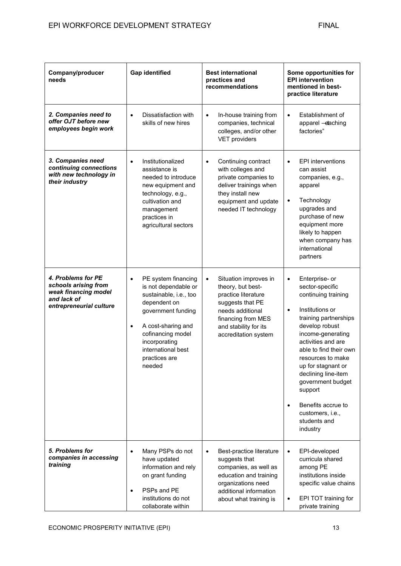| Company/producer<br>needs                                                                                    | <b>Gap identified</b>                                                                                                                                                                                                                              | <b>Best international</b><br>practices and<br>recommendations                                                                                                                                 | Some opportunities for<br><b>EPI</b> intervention<br>mentioned in best-<br>practice literature                                                                                                                                                                                                                                                                                                |
|--------------------------------------------------------------------------------------------------------------|----------------------------------------------------------------------------------------------------------------------------------------------------------------------------------------------------------------------------------------------------|-----------------------------------------------------------------------------------------------------------------------------------------------------------------------------------------------|-----------------------------------------------------------------------------------------------------------------------------------------------------------------------------------------------------------------------------------------------------------------------------------------------------------------------------------------------------------------------------------------------|
| 2. Companies need to<br>offer OJT before new<br>employees begin work                                         | Dissatisfaction with<br>$\bullet$<br>skills of new hires                                                                                                                                                                                           | In-house training from<br>$\bullet$<br>companies, technical<br>colleges, and/or other<br><b>VET providers</b>                                                                                 | Establishment of<br>$\bullet$<br>apparel - etaching<br>factories"                                                                                                                                                                                                                                                                                                                             |
| 3. Companies need<br>continuing connections<br>with new technology in<br>their industry                      | Institutionalized<br>$\bullet$<br>assistance is<br>needed to introduce<br>new equipment and<br>technology, e.g.,<br>cultivation and<br>management<br>practices in<br>agricultural sectors                                                          | Continuing contract<br>$\bullet$<br>with colleges and<br>private companies to<br>deliver trainings when<br>they install new<br>equipment and update<br>needed IT technology                   | <b>EPI</b> interventions<br>$\bullet$<br>can assist<br>companies, e.g.,<br>apparel<br>Technology<br>$\bullet$<br>upgrades and<br>purchase of new<br>equipment more<br>likely to happen<br>when company has<br>international<br>partners                                                                                                                                                       |
| 4. Problems for PE<br>schools arising from<br>weak financing model<br>and lack of<br>entrepreneurial culture | PE system financing<br>$\bullet$<br>is not dependable or<br>sustainable, i.e., too<br>dependent on<br>government funding<br>A cost-sharing and<br>$\bullet$<br>cofinancing model<br>incorporating<br>international best<br>practices are<br>needed | Situation improves in<br>$\bullet$<br>theory, but best-<br>practice literature<br>suggests that PE<br>needs additional<br>financing from MES<br>and stability for its<br>accreditation system | Enterprise- or<br>$\bullet$<br>sector-specific<br>continuing training<br>Institutions or<br>$\bullet$<br>training partnerships<br>develop robust<br>income-generating<br>activities and are<br>able to find their own<br>resources to make<br>up for stagnant or<br>declining line-item<br>government budget<br>support<br>Benefits accrue to<br>customers, i.e.,<br>students and<br>industry |
| 5. Problems for<br>companies in accessing<br>training                                                        | Many PSPs do not<br>$\bullet$<br>have updated<br>information and rely<br>on grant funding<br>PSPs and PE<br>$\bullet$<br>institutions do not<br>collaborate within                                                                                 | Best-practice literature<br>$\bullet$<br>suggests that<br>companies, as well as<br>education and training<br>organizations need<br>additional information<br>about what training is           | EPI-developed<br>$\bullet$<br>curricula shared<br>among PE<br>institutions inside<br>specific value chains<br>EPI TOT training for<br>private training                                                                                                                                                                                                                                        |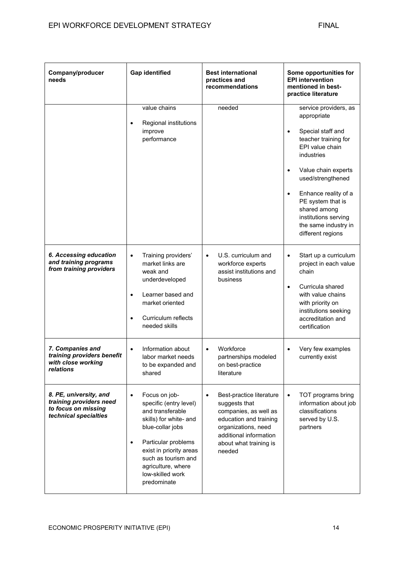| Company/producer<br>needs                                                                         | <b>Gap identified</b>                                                                                                                                                                                                                                                 | <b>Best international</b><br>practices and<br>recommendations                                                                                                                                  | Some opportunities for<br><b>EPI</b> intervention<br>mentioned in best-<br>practice literature                                                                                                                                                                                                                             |
|---------------------------------------------------------------------------------------------------|-----------------------------------------------------------------------------------------------------------------------------------------------------------------------------------------------------------------------------------------------------------------------|------------------------------------------------------------------------------------------------------------------------------------------------------------------------------------------------|----------------------------------------------------------------------------------------------------------------------------------------------------------------------------------------------------------------------------------------------------------------------------------------------------------------------------|
|                                                                                                   | value chains<br>Regional institutions<br>$\bullet$<br>improve<br>performance                                                                                                                                                                                          | needed                                                                                                                                                                                         | service providers, as<br>appropriate<br>Special staff and<br>$\bullet$<br>teacher training for<br>EPI value chain<br>industries<br>Value chain experts<br>$\bullet$<br>used/strengthened<br>Enhance reality of a<br>PE system that is<br>shared among<br>institutions serving<br>the same industry in<br>different regions |
| 6. Accessing education<br>and training programs<br>from training providers                        | Training providers'<br>$\bullet$<br>market links are<br>weak and<br>underdeveloped<br>Learner based and<br>$\bullet$<br>market oriented<br>Curriculum reflects<br>$\bullet$<br>needed skills                                                                          | U.S. curriculum and<br>$\bullet$<br>workforce experts<br>assist institutions and<br>business                                                                                                   | Start up a curriculum<br>$\bullet$<br>project in each value<br>chain<br>Curricula shared<br>$\bullet$<br>with value chains<br>with priority on<br>institutions seeking<br>accreditation and<br>certification                                                                                                               |
| 7. Companies and<br>training providers benefit<br>with close working<br>relations                 | Information about<br>$\bullet$<br>labor market needs<br>to be expanded and<br>shared                                                                                                                                                                                  | Workforce<br>$\bullet$<br>partnerships modeled<br>on best-practice<br>literature                                                                                                               | Very few examples<br>$\bullet$<br>currently exist                                                                                                                                                                                                                                                                          |
| 8. PE, university, and<br>training providers need<br>to focus on missing<br>technical specialties | Focus on job-<br>$\bullet$<br>specific (entry level)<br>and transferable<br>skills) for white- and<br>blue-collar jobs<br>Particular problems<br>$\bullet$<br>exist in priority areas<br>such as tourism and<br>agriculture, where<br>low-skilled work<br>predominate | Best-practice literature<br>$\bullet$<br>suggests that<br>companies, as well as<br>education and training<br>organizations, need<br>additional information<br>about what training is<br>needed | TOT programs bring<br>information about job<br>classifications<br>served by U.S.<br>partners                                                                                                                                                                                                                               |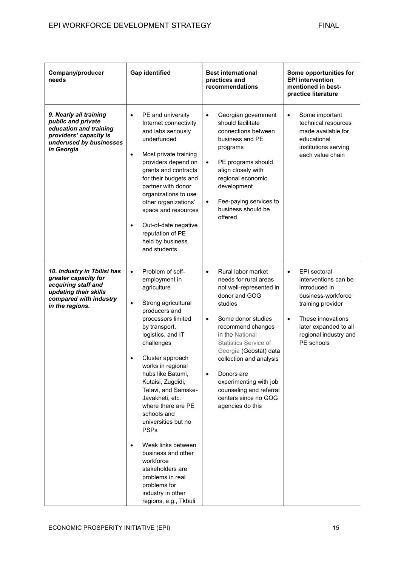| Company/producer<br>needs                                                                                                                        | <b>Gap identified</b>                                                                                                                                                                                                                                                                                                                                                                                                                                                                                                                                                                         | <b>Best international</b><br>practices and<br>recommendations                                                                                                                                                                                                                                                                                                                                               | Some opportunities for<br><b>EPI</b> intervention<br>mentioned in best-<br>practice literature                                                                                                                  |
|--------------------------------------------------------------------------------------------------------------------------------------------------|-----------------------------------------------------------------------------------------------------------------------------------------------------------------------------------------------------------------------------------------------------------------------------------------------------------------------------------------------------------------------------------------------------------------------------------------------------------------------------------------------------------------------------------------------------------------------------------------------|-------------------------------------------------------------------------------------------------------------------------------------------------------------------------------------------------------------------------------------------------------------------------------------------------------------------------------------------------------------------------------------------------------------|-----------------------------------------------------------------------------------------------------------------------------------------------------------------------------------------------------------------|
| 9. Nearly all training<br>public and private<br>education and training<br>providers' capacity is<br>underused by businesses<br>in Georgia        | PE and university<br>$\bullet$<br>Internet connectivity<br>and labs seriously<br>underfunded<br>Most private training<br>$\bullet$<br>providers depend on<br>grants and contracts<br>for their budgets and<br>partner with donor<br>organizations to use<br>other organizations'<br>space and resources<br>Out-of-date negative<br>$\bullet$<br>reputation of PE<br>held by business<br>and students                                                                                                                                                                                          | Georgian government<br>$\bullet$<br>should facilitate<br>connections between<br>business and PE<br>programs<br>PE programs should<br>$\bullet$<br>align closely with<br>regional economic<br>development<br>Fee-paying services to<br>$\bullet$<br>business should be<br>offered                                                                                                                            | Some important<br>$\bullet$<br>technical resources<br>made available for<br>educational<br>institutions serving<br>each value chain                                                                             |
| 10. Industry in Tbilisi has<br>greater capacity for<br>acquiring staff and<br>updating their skills<br>compared with industry<br>in the regions. | Problem of self-<br>$\bullet$<br>employment in<br>agriculture<br>Strong agricultural<br>$\bullet$<br>producers and<br>processors limited<br>by transport,<br>logistics, and IT<br>challenges<br>Cluster approach<br>$\bullet$<br>works in regional<br>hubs like Batumi,<br>Kutaisi, Zugdidi,<br>Telavi, and Samske-<br>Javakheti, etc.<br>where there are PE<br>schools and<br>universities but no<br><b>PSPs</b><br>Weak links between<br>$\bullet$<br>business and other<br>workforce<br>stakeholders are<br>problems in real<br>problems for<br>industry in other<br>regions, e.g., Tkbuli | Rural labor market<br>$\bullet$<br>needs for rural areas<br>not well-represented in<br>donor and GOG<br>studies<br>Some donor studies<br>$\bullet$<br>recommend changes<br>in the National<br><b>Statistics Service of</b><br>Georgia (Geostat) data<br>collection and analysis<br>Donors are<br>$\bullet$<br>experimenting with job<br>counseling and referral<br>centers since no GOG<br>agencies do this | EPI sectoral<br>$\bullet$<br>interventions can be<br>introduced in<br>business-workforce<br>training provider<br>These innovations<br>$\bullet$<br>later expanded to all<br>regional industry and<br>PE schools |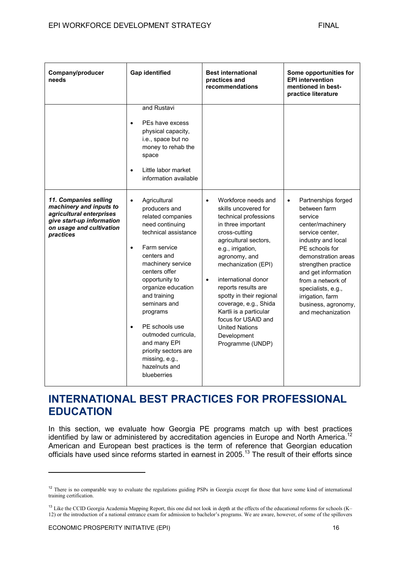| Company/producer<br>needs                                                                                                                          | <b>Gap identified</b>                                                                                                                                                                                                                                                                                                                                                                                                            | <b>Best international</b><br>practices and<br>recommendations                                                                                                                                                                                                                                                                                                                                                                               | Some opportunities for<br><b>EPI</b> intervention<br>mentioned in best-<br>practice literature                                                                                                                                                                                                                             |
|----------------------------------------------------------------------------------------------------------------------------------------------------|----------------------------------------------------------------------------------------------------------------------------------------------------------------------------------------------------------------------------------------------------------------------------------------------------------------------------------------------------------------------------------------------------------------------------------|---------------------------------------------------------------------------------------------------------------------------------------------------------------------------------------------------------------------------------------------------------------------------------------------------------------------------------------------------------------------------------------------------------------------------------------------|----------------------------------------------------------------------------------------------------------------------------------------------------------------------------------------------------------------------------------------------------------------------------------------------------------------------------|
|                                                                                                                                                    | and Rustavi<br>PEs have excess<br>$\bullet$<br>physical capacity,<br>i.e., space but no<br>money to rehab the<br>space<br>Little labor market<br>$\bullet$<br>information available                                                                                                                                                                                                                                              |                                                                                                                                                                                                                                                                                                                                                                                                                                             |                                                                                                                                                                                                                                                                                                                            |
| 11. Companies selling<br>machinery and inputs to<br>agricultural enterprises<br>give start-up information<br>on usage and cultivation<br>practices | $\bullet$<br>Agricultural<br>producers and<br>related companies<br>need continuing<br>technical assistance<br>Farm service<br>$\bullet$<br>centers and<br>machinery service<br>centers offer<br>opportunity to<br>organize education<br>and training<br>seminars and<br>programs<br>PE schools use<br>$\bullet$<br>outmoded curricula,<br>and many EPI<br>priority sectors are<br>missing, e.g.,<br>hazelnuts and<br>blueberries | Workforce needs and<br>$\bullet$<br>skills uncovered for<br>technical professions<br>in three important<br>cross-cutting<br>agricultural sectors,<br>e.g., irrigation,<br>agronomy, and<br>mechanization (EPI)<br>international donor<br>$\bullet$<br>reports results are<br>spotty in their regional<br>coverage, e.g., Shida<br>Kartli is a particular<br>focus for USAID and<br><b>United Nations</b><br>Development<br>Programme (UNDP) | Partnerships forged<br>$\bullet$<br>between farm<br>service<br>center/machinery<br>service center,<br>industry and local<br>PE schools for<br>demonstration areas<br>strengthen practice<br>and get information<br>from a network of<br>specialists, e.g.,<br>irrigation, farm<br>business, agronomy,<br>and mechanization |

### **INTERNATIONAL BEST PRACTICES FOR PROFESSIONAL EDUCATION**

In this section, we evaluate how Georgia PE programs match up with best practices identified by law or administered by accreditation agencies in Europe and North America.<sup>12</sup> American and European best practices is the term of reference that Georgian education officials have used since reforms started in earnest in 2005.<sup>13</sup> The result of their efforts since

<sup>&</sup>lt;sup>12</sup> There is no comparable way to evaluate the regulations guiding PSPs in Georgia except for those that have some kind of international training certification.

<sup>&</sup>lt;sup>13</sup> Like the CCID Georgia Academia Mapping Report, this one did not look in depth at the effects of the educational reforms for schools (K– 12) or the introduction of a national entrance exam for admission to bachelor's programs. We are aware, however, of some of the spillovers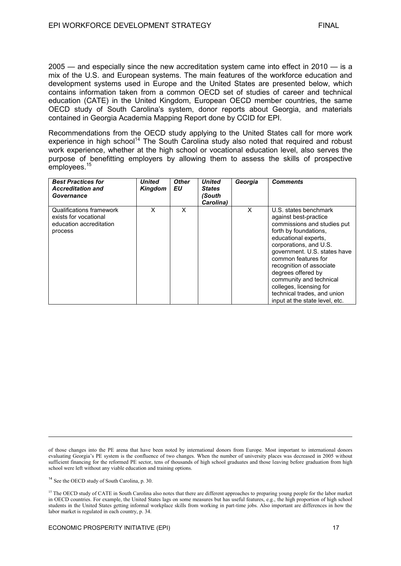2005 — and especially since the new accreditation system came into effect in 2010 — is a mix of the U.S. and European systems. The main features of the workforce education and development systems used in Europe and the United States are presented below, which contains information taken from a common OECD set of studies of career and technical education (CATE) in the United Kingdom, European OECD member countries, the same OECD study of South Carolina's system, donor reports about Georgia, and materials contained in Georgia Academia Mapping Report done by CCID for EPI.

Recommendations from the OECD study applying to the United States call for more work experience in high school<sup>14</sup> The South Carolina study also noted that required and robust work experience, whether at the high school or vocational education level, also serves the purpose of benefitting employers by allowing them to assess the skills of prospective employees.<sup>15</sup>

| <b>Best Practices for</b><br><b>Accreditation and</b><br>Governance                     | <b>United</b><br><b>Kingdom</b> | <b>Other</b><br>EU | <b>United</b><br><b>States</b><br>(South<br>Carolina) | Georgia  | <b>Comments</b>                                                                                                                                                                                                                                                                                                                                                                          |
|-----------------------------------------------------------------------------------------|---------------------------------|--------------------|-------------------------------------------------------|----------|------------------------------------------------------------------------------------------------------------------------------------------------------------------------------------------------------------------------------------------------------------------------------------------------------------------------------------------------------------------------------------------|
| Qualifications framework<br>exists for vocational<br>education accreditation<br>process | X                               | X                  |                                                       | $\times$ | U.S. states benchmark<br>against best-practice<br>commissions and studies put<br>forth by foundations.<br>educational experts,<br>corporations, and U.S.<br>government. U.S. states have<br>common features for<br>recognition of associate<br>degrees offered by<br>community and technical<br>colleges, licensing for<br>technical trades, and union<br>input at the state level, etc. |

of those changes into the PE arena that have been noted by international donors from Europe. Most important to international donors evaluating Georgia's PE system is the confluence of two changes. When the number of university places was decreased in 2005 without sufficient financing for the reformed PE sector, tens of thousands of high school graduates and those leaving before graduation from high school were left without any viable education and training options.

<sup>14</sup> See the OECD study of South Carolina, p. 30.

<sup>&</sup>lt;sup>15</sup> The OECD study of CATE in South Carolina also notes that there are different approaches to preparing young people for the labor market in OECD countries. For example, the United States lags on some measures but has useful features, e.g., the high proportion of high school students in the United States getting informal workplace skills from working in part-time jobs. Also important are differences in how the labor market is regulated in each country, p. 34.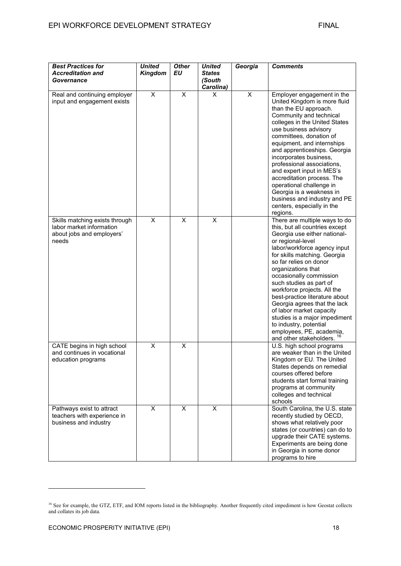| <b>Best Practices for</b><br><b>Accreditation and</b><br>Governance                              | <b>United</b><br><b>Kingdom</b> | <b>Other</b><br><b>EU</b> | <b>United</b><br><b>States</b><br>(South<br>Carolina) | Georgia | <b>Comments</b>                                                                                                                                                                                                                                                                                                                                                                                                                                                                                                                              |
|--------------------------------------------------------------------------------------------------|---------------------------------|---------------------------|-------------------------------------------------------|---------|----------------------------------------------------------------------------------------------------------------------------------------------------------------------------------------------------------------------------------------------------------------------------------------------------------------------------------------------------------------------------------------------------------------------------------------------------------------------------------------------------------------------------------------------|
| Real and continuing employer<br>input and engagement exists                                      | $\overline{\mathsf{x}}$         | $\overline{\mathsf{x}}$   | X                                                     | X       | Employer engagement in the<br>United Kingdom is more fluid<br>than the EU approach.<br>Community and technical<br>colleges in the United States<br>use business advisory<br>committees, donation of<br>equipment, and internships<br>and apprenticeships. Georgia<br>incorporates business,<br>professional associations,<br>and expert input in MES's<br>accreditation process. The<br>operational challenge in<br>Georgia is a weakness in<br>business and industry and PE<br>centers, especially in the<br>regions.                       |
| Skills matching exists through<br>labor market information<br>about jobs and employers'<br>needs | $\overline{\mathsf{x}}$         | $\overline{\mathsf{x}}$   | X                                                     |         | There are multiple ways to do<br>this, but all countries except<br>Georgia use either national-<br>or regional-level<br>labor/workforce agency input<br>for skills matching. Georgia<br>so far relies on donor<br>organizations that<br>occasionally commission<br>such studies as part of<br>workforce projects. All the<br>best-practice literature about<br>Georgia agrees that the lack<br>of labor market capacity<br>studies is a major impediment<br>to industry, potential<br>employees, PE, academia,<br>and other stakeholders. 16 |
| CATE begins in high school<br>and continues in vocational<br>education programs                  | X                               | X                         |                                                       |         | U.S. high school programs<br>are weaker than in the United<br>Kingdom or EU. The United<br>States depends on remedial<br>courses offered before<br>students start formal training<br>programs at community<br>colleges and technical<br>schools                                                                                                                                                                                                                                                                                              |
| Pathways exist to attract<br>teachers with experience in<br>business and industry                | X                               | X                         | X                                                     |         | South Carolina, the U.S. state<br>recently studied by OECD,<br>shows what relatively poor<br>states (or countries) can do to<br>upgrade their CATE systems.<br>Experiments are being done<br>in Georgia in some donor<br>programs to hire                                                                                                                                                                                                                                                                                                    |

<sup>&</sup>lt;sup>16</sup> See for example, the GTZ, ETF, and IOM reports listed in the bibliography. Another frequently cited impediment is how Geostat collects and collates its job data.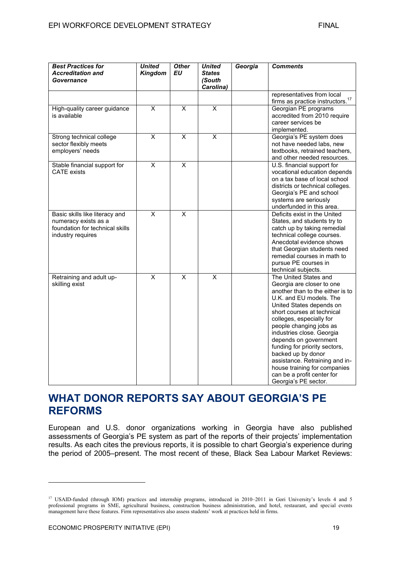| <b>Best Practices for</b><br><b>Accreditation and</b><br>Governance                                            | <b>United</b><br><b>Kingdom</b> | <b>Other</b><br>EU      | <b>United</b><br><b>States</b><br>(South<br>Carolina) | Georgia | <b>Comments</b>                                                                                                                                                                                                                                                                                                                                                                                                                                                         |
|----------------------------------------------------------------------------------------------------------------|---------------------------------|-------------------------|-------------------------------------------------------|---------|-------------------------------------------------------------------------------------------------------------------------------------------------------------------------------------------------------------------------------------------------------------------------------------------------------------------------------------------------------------------------------------------------------------------------------------------------------------------------|
|                                                                                                                |                                 |                         |                                                       |         | representatives from local<br>firms as practice instructors. <sup>17</sup>                                                                                                                                                                                                                                                                                                                                                                                              |
| High-quality career guidance<br>is available                                                                   | $\overline{\mathsf{x}}$         | $\overline{\mathsf{x}}$ | $\overline{\mathsf{x}}$                               |         | Georgian PE programs<br>accredited from 2010 require<br>career services be<br>implemented.                                                                                                                                                                                                                                                                                                                                                                              |
| Strong technical college<br>sector flexibly meets<br>employers' needs                                          | X                               | $\pmb{\times}$          | X                                                     |         | Georgia's PE system does<br>not have needed labs, new<br>textbooks, retrained teachers,<br>and other needed resources.                                                                                                                                                                                                                                                                                                                                                  |
| Stable financial support for<br><b>CATE</b> exists                                                             | $\overline{\mathsf{x}}$         | $\overline{\mathsf{x}}$ |                                                       |         | U.S. financial support for<br>vocational education depends<br>on a tax base of local school<br>districts or technical colleges.<br>Georgia's PE and school<br>systems are seriously<br>underfunded in this area.                                                                                                                                                                                                                                                        |
| Basic skills like literacy and<br>numeracy exists as a<br>foundation for technical skills<br>industry requires | X                               | X                       |                                                       |         | Deficits exist in the United<br>States, and students try to<br>catch up by taking remedial<br>technical college courses.<br>Anecdotal evidence shows<br>that Georgian students need<br>remedial courses in math to<br>pursue PE courses in<br>technical subjects.                                                                                                                                                                                                       |
| Retraining and adult up-<br>skilling exist                                                                     | $\overline{\mathsf{x}}$         | $\overline{\mathsf{x}}$ | $\overline{\mathsf{x}}$                               |         | The United States and<br>Georgia are closer to one<br>another than to the either is to<br>U.K. and EU models. The<br>United States depends on<br>short courses at technical<br>colleges, especially for<br>people changing jobs as<br>industries close. Georgia<br>depends on government<br>funding for priority sectors,<br>backed up by donor<br>assistance. Retraining and in-<br>house training for companies<br>can be a profit center for<br>Georgia's PE sector. |

### **WHAT DONOR REPORTS SAY ABOUT GEORGIA'S PE REFORMS**

European and U.S. donor organizations working in Georgia have also published assessments of Georgia's PE system as part of the reports of their projects' implementation results. As each cites the previous reports, it is possible to chart Georgia's experience during the period of 2005–present. The most recent of these, Black Sea Labour Market Reviews:

<sup>&</sup>lt;sup>17</sup> USAID-funded (through IOM) practices and internship programs, introduced in 2010–2011 in Gori University's levels 4 and 5 professional programs in SME, agricultural business, construction business administration, and hotel, restaurant, and special events management have these features. Firm representatives also assess students' work at practices held in firms.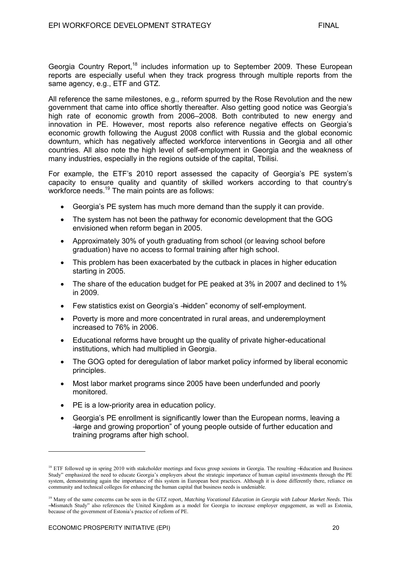Georgia Country Report,<sup>18</sup> includes information up to September 2009. These European reports are especially useful when they track progress through multiple reports from the same agency, e.g., ETF and GTZ.

All reference the same milestones, e.g., reform spurred by the Rose Revolution and the new government that came into office shortly thereafter. Also getting good notice was Georgia's high rate of economic growth from 2006–2008. Both contributed to new energy and innovation in PE. However, most reports also reference negative effects on Georgia's economic growth following the August 2008 conflict with Russia and the global economic downturn, which has negatively affected workforce interventions in Georgia and all other countries. All also note the high level of self-employment in Georgia and the weakness of many industries, especially in the regions outside of the capital, Tbilisi.

For example, the ETF's 2010 report assessed the capacity of Georgia's PE system's capacity to ensure quality and quantity of skilled workers according to that country's workforce needs.<sup>19</sup> The main points are as follows:

- Georgia's PE system has much more demand than the supply it can provide.
- The system has not been the pathway for economic development that the GOG envisioned when reform began in 2005.
- Approximately 30% of youth graduating from school (or leaving school before graduation) have no access to formal training after high school.
- This problem has been exacerbated by the cutback in places in higher education starting in 2005.
- The share of the education budget for PE peaked at 3% in 2007 and declined to 1% in 2009.
- Few statistics exist on Georgia's -hidden" economy of self-employment.
- Poverty is more and more concentrated in rural areas, and underemployment increased to 76% in 2006.
- Educational reforms have brought up the quality of private higher-educational institutions, which had multiplied in Georgia.
- The GOG opted for deregulation of labor market policy informed by liberal economic principles.
- Most labor market programs since 2005 have been underfunded and poorly monitored.
- PE is a low-priority area in education policy.
- Georgia's PE enrollment is significantly lower than the European norms, leaving a ―large and growing proportion‖ of young people outside of further education and training programs after high school.

<sup>&</sup>lt;sup>18</sup> ETF followed up in spring 2010 with stakeholder meetings and focus group sessions in Georgia. The resulting -Education and Business Study" emphasized the need to educate Georgia's employers about the strategic importance of human capital investments through the PE system, demonstrating again the importance of this system in European best practices. Although it is done differently there, reliance on community and technical colleges for enhancing the human capital that business needs is undeniable.

<sup>&</sup>lt;sup>19</sup> Many of the same concerns can be seen in the GTZ report, *Matching Vocational Education in Georgia with Labour Market Needs*. This ―Mismatch Study‖ also references the United Kingdom as a model for Georgia to increase employer engagement, as well as Estonia, because of the government of Estonia's practice of reform of PE.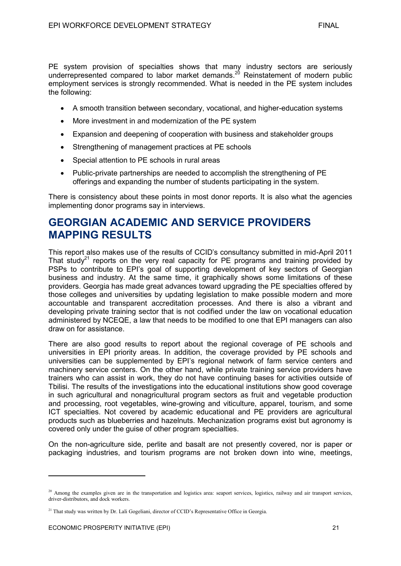PE system provision of specialties shows that many industry sectors are seriously underrepresented compared to labor market demands.<sup>20</sup> Reinstatement of modern public employment services is strongly recommended. What is needed in the PE system includes the following:

- A smooth transition between secondary, vocational, and higher-education systems
- More investment in and modernization of the PE system
- Expansion and deepening of cooperation with business and stakeholder groups
- Strengthening of management practices at PE schools
- Special attention to PE schools in rural areas
- Public-private partnerships are needed to accomplish the strengthening of PE offerings and expanding the number of students participating in the system.

There is consistency about these points in most donor reports. It is also what the agencies implementing donor programs say in interviews.

### **GEORGIAN ACADEMIC AND SERVICE PROVIDERS MAPPING RESULTS**

This report also makes use of the results of CCID's consultancy submitted in mid-April 2011 That study<sup>21</sup> reports on the very real capacity for PE programs and training provided by PSPs to contribute to EPI's goal of supporting development of key sectors of Georgian business and industry. At the same time, it graphically shows some limitations of these providers. Georgia has made great advances toward upgrading the PE specialties offered by those colleges and universities by updating legislation to make possible modern and more accountable and transparent accreditation processes. And there is also a vibrant and developing private training sector that is not codified under the law on vocational education administered by NCEQE, a law that needs to be modified to one that EPI managers can also draw on for assistance.

There are also good results to report about the regional coverage of PE schools and universities in EPI priority areas. In addition, the coverage provided by PE schools and universities can be supplemented by EPI's regional network of farm service centers and machinery service centers. On the other hand, while private training service providers have trainers who can assist in work, they do not have continuing bases for activities outside of Tbilisi. The results of the investigations into the educational institutions show good coverage in such agricultural and nonagricultural program sectors as fruit and vegetable production and processing, root vegetables, wine-growing and viticulture, apparel, tourism, and some ICT specialties. Not covered by academic educational and PE providers are agricultural products such as blueberries and hazelnuts. Mechanization programs exist but agronomy is covered only under the guise of other program specialties.

On the non-agriculture side, perlite and basalt are not presently covered, nor is paper or packaging industries, and tourism programs are not broken down into wine, meetings,

<sup>&</sup>lt;sup>20</sup> Among the examples given are in the transportation and logistics area: seaport services, logistics, railway and air transport services, driver-distributors, and dock workers.

<sup>&</sup>lt;sup>21</sup> That study was written by Dr. Lali Gogeliani, director of CCID's Representative Office in Georgia.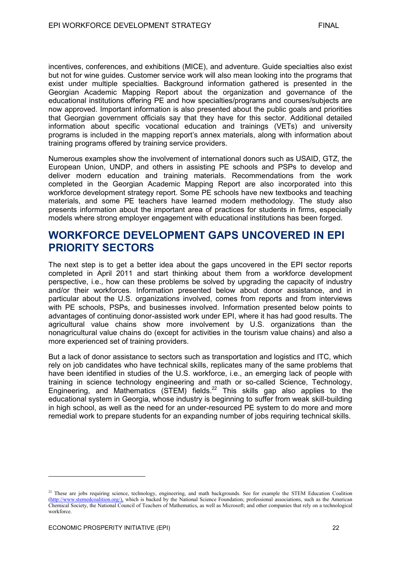incentives, conferences, and exhibitions (MICE), and adventure. Guide specialties also exist but not for wine guides. Customer service work will also mean looking into the programs that exist under multiple specialties. Background information gathered is presented in the Georgian Academic Mapping Report about the organization and governance of the educational institutions offering PE and how specialties/programs and courses/subjects are now approved. Important information is also presented about the public goals and priorities that Georgian government officials say that they have for this sector. Additional detailed information about specific vocational education and trainings (VETs) and university programs is included in the mapping report's annex materials, along with information about training programs offered by training service providers.

Numerous examples show the involvement of international donors such as USAID, GTZ, the European Union, UNDP, and others in assisting PE schools and PSPs to develop and deliver modern education and training materials. Recommendations from the work completed in the Georgian Academic Mapping Report are also incorporated into this workforce development strategy report. Some PE schools have new textbooks and teaching materials, and some PE teachers have learned modern methodology. The study also presents information about the important area of practices for students in firms, especially models where strong employer engagement with educational institutions has been forged.

### **WORKFORCE DEVELOPMENT GAPS UNCOVERED IN EPI PRIORITY SECTORS**

The next step is to get a better idea about the gaps uncovered in the EPI sector reports completed in April 2011 and start thinking about them from a workforce development perspective, i.e., how can these problems be solved by upgrading the capacity of industry and/or their workforces. Information presented below about donor assistance, and in particular about the U.S. organizations involved, comes from reports and from interviews with PE schools, PSPs, and businesses involved. Information presented below points to advantages of continuing donor-assisted work under EPI, where it has had good results. The agricultural value chains show more involvement by U.S. organizations than the nonagricultural value chains do (except for activities in the tourism value chains) and also a more experienced set of training providers.

But a lack of donor assistance to sectors such as transportation and logistics and ITC, which rely on job candidates who have technical skills, replicates many of the same problems that have been identified in studies of the U.S. workforce, i.e., an emerging lack of people with training in science technology engineering and math or so-called Science, Technology, Engineering, and Mathematics ( $\overrightarrow{S}$ TEM) fields.<sup>22</sup> This skills gap also applies to the educational system in Georgia, whose industry is beginning to suffer from weak skill-building in high school, as well as the need for an under-resourced PE system to do more and more remedial work to prepare students for an expanding number of jobs requiring technical skills.

<sup>&</sup>lt;sup>22</sup> These are jobs requiring science, technology, engineering, and math backgrounds. See for example the STEM Education Coalition [\(http://www.stemedcoalition.org/\)](http://www.stemedcoalition.org/), which is backed by the National Science Foundation; professional associations, such as the American Chemical Society, the National Council of Teachers of Mathematics, as well as Microsoft; and other companies that rely on a technological workforce.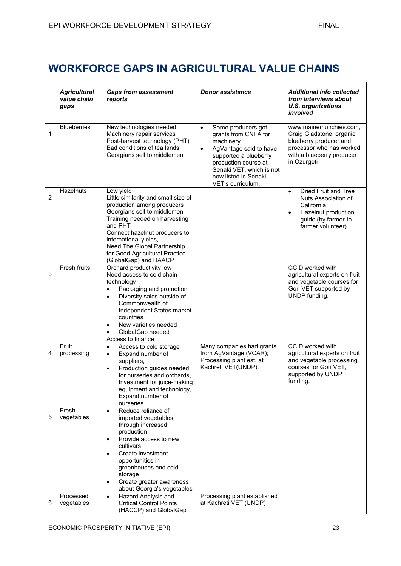## **WORKFORCE GAPS IN AGRICULTURAL VALUE CHAINS**

|                | <b>Agricultural</b><br>value chain<br>gaps | <b>Gaps from assessment</b><br>reports                                                                                                                                                                                                                                                                        | <b>Donor assistance</b>                                                                                                                                                                                                               | <b>Additional info collected</b><br>from interviews about<br><b>U.S. organizations</b><br>involved                                                              |
|----------------|--------------------------------------------|---------------------------------------------------------------------------------------------------------------------------------------------------------------------------------------------------------------------------------------------------------------------------------------------------------------|---------------------------------------------------------------------------------------------------------------------------------------------------------------------------------------------------------------------------------------|-----------------------------------------------------------------------------------------------------------------------------------------------------------------|
| 1              | <b>Blueberries</b>                         | New technologies needed<br>Machinery repair services<br>Post-harvest technology (PHT)<br>Bad conditions of tea lands<br>Georgians sell to middlemen                                                                                                                                                           | Some producers got<br>$\bullet$<br>grants from CNFA for<br>machinery<br>AgVantage said to have<br>$\bullet$<br>supported a blueberry<br>production course at<br>Senaki VET, which is not<br>now listed in Senaki<br>VET's curriculum. | www.mainemunchies.com,<br>Craig Gladstone, organic<br>blueberry producer and<br>processor who has worked<br>with a blueberry producer<br>in Ozurgeti            |
| $\overline{2}$ | Hazelnuts                                  | Low yield<br>Little similarity and small size of<br>production among producers<br>Georgians sell to middlemen<br>Training needed on harvesting<br>and PHT<br>Connect hazelnut producers to<br>international yields,<br>Need The Global Partnership<br>for Good Agricultural Practice<br>(GlobalGap) and HAACP |                                                                                                                                                                                                                                       | <b>Dried Fruit and Tree</b><br>$\bullet$<br>Nuts Association of<br>California<br>Hazelnut production<br>$\bullet$<br>guide (by farmer-to-<br>farmer volunteer). |
| 3              | Fresh fruits                               | Orchard productivity low<br>Need access to cold chain<br>technology<br>Packaging and promotion<br>Diversity sales outside of<br>$\bullet$<br>Commonwealth of<br>Independent States market<br>countries<br>New varieties needed<br>GlobalGap needed<br>Access to finance                                       |                                                                                                                                                                                                                                       | CCID worked with<br>agricultural experts on fruit<br>and vegetable courses for<br>Gori VET supported by<br>UNDP funding.                                        |
| 4              | Fruit<br>processing                        | Access to cold storage<br>$\bullet$<br>Expand number of<br>$\bullet$<br>suppliers,<br>Production guides needed<br>$\bullet$<br>for nurseries and orchards,<br>Investment for juice-making<br>equipment and technology,<br>Expand number of<br>nurseries                                                       | Many companies had grants<br>from AgVantage (VCAR);<br>Processing plant est. at<br>Kachreti VET(UNDP).                                                                                                                                | CCID worked with<br>agricultural experts on fruit<br>and vegetable processing<br>courses for Gori VET,<br>supported by UNDP<br>funding.                         |
| 5              | Fresh<br>vegetables                        | Reduce reliance of<br>$\bullet$<br>imported vegetables<br>through increased<br>production<br>Provide access to new<br>$\bullet$<br>cultivars<br>Create investment<br>$\bullet$<br>opportunities in<br>greenhouses and cold<br>storage<br>Create greater awareness<br>$\bullet$<br>about Georgia's vegetables  |                                                                                                                                                                                                                                       |                                                                                                                                                                 |
| 6              | Processed<br>vegetables                    | Hazard Analysis and<br>$\bullet$<br><b>Critical Control Points</b><br>(HACCP) and GlobalGap                                                                                                                                                                                                                   | Processing plant established<br>at Kachreti VET (UNDP)                                                                                                                                                                                |                                                                                                                                                                 |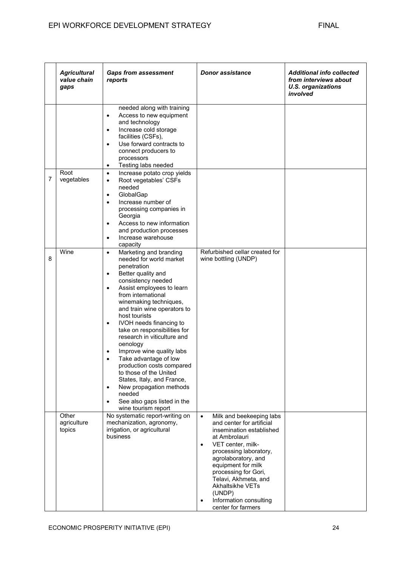|   | <b>Agricultural</b><br>value chain<br>gaps | <b>Gaps from assessment</b><br>reports                                                                                                                                                                                                                                                                                                                                                                                                                                                                                                                                                                                                                                                        | <b>Donor assistance</b>                                                                                                                                                                                                                                                                                                                                             | <b>Additional info collected</b><br>from interviews about<br><b>U.S. organizations</b><br>involved |
|---|--------------------------------------------|-----------------------------------------------------------------------------------------------------------------------------------------------------------------------------------------------------------------------------------------------------------------------------------------------------------------------------------------------------------------------------------------------------------------------------------------------------------------------------------------------------------------------------------------------------------------------------------------------------------------------------------------------------------------------------------------------|---------------------------------------------------------------------------------------------------------------------------------------------------------------------------------------------------------------------------------------------------------------------------------------------------------------------------------------------------------------------|----------------------------------------------------------------------------------------------------|
|   |                                            | needed along with training<br>Access to new equipment<br>$\bullet$<br>and technology<br>Increase cold storage<br>$\bullet$<br>facilities (CSFs),<br>Use forward contracts to<br>$\bullet$<br>connect producers to<br>processors<br>Testing labs needed<br>$\bullet$                                                                                                                                                                                                                                                                                                                                                                                                                           |                                                                                                                                                                                                                                                                                                                                                                     |                                                                                                    |
| 7 | Root<br>vegetables                         | Increase potato crop yields<br>$\bullet$<br>Root vegetables' CSFs<br>$\bullet$<br>needed<br>GlobalGap<br>$\bullet$<br>Increase number of<br>$\bullet$<br>processing companies in<br>Georgia<br>Access to new information<br>$\bullet$<br>and production processes<br>Increase warehouse<br>$\bullet$<br>capacity                                                                                                                                                                                                                                                                                                                                                                              |                                                                                                                                                                                                                                                                                                                                                                     |                                                                                                    |
| 8 | Wine                                       | Marketing and branding<br>$\bullet$<br>needed for world market<br>penetration<br>Better quality and<br>$\bullet$<br>consistency needed<br>Assist employees to learn<br>$\bullet$<br>from international<br>winemaking techniques,<br>and train wine operators to<br>host tourists<br>IVOH needs financing to<br>$\bullet$<br>take on responsibilities for<br>research in viticulture and<br>oenology<br>Improve wine quality labs<br>$\bullet$<br>Take advantage of low<br>$\bullet$<br>production costs compared<br>to those of the United<br>States, Italy, and France,<br>New propagation methods<br>$\bullet$<br>needed<br>See also gaps listed in the<br>$\bullet$<br>wine tourism report | Refurbished cellar created for<br>wine bottling (UNDP)                                                                                                                                                                                                                                                                                                              |                                                                                                    |
|   | Other<br>agriculture<br>topics             | No systematic report-writing on<br>mechanization, agronomy,<br>irrigation, or agricultural<br>business                                                                                                                                                                                                                                                                                                                                                                                                                                                                                                                                                                                        | Milk and beekeeping labs<br>$\bullet$<br>and center for artificial<br>insemination established<br>at Ambrolauri<br>VET center, milk-<br>$\bullet$<br>processing laboratory,<br>agrolaboratory, and<br>equipment for milk<br>processing for Gori,<br>Telavi, Akhmeta, and<br>Akhaltsikhe VETs<br>(UNDP)<br>Information consulting<br>$\bullet$<br>center for farmers |                                                                                                    |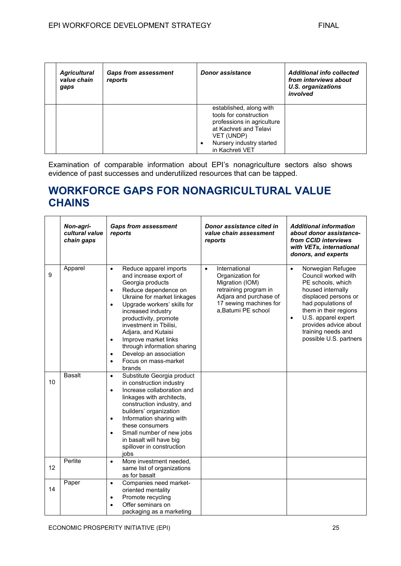| <b>Agricultural</b><br>value chain<br>gaps | <b>Gaps from assessment</b><br>reports | Donor assistance                                                                                                                                                            | <b>Additional info collected</b><br>from interviews about<br>U.S. organizations<br>involved |
|--------------------------------------------|----------------------------------------|-----------------------------------------------------------------------------------------------------------------------------------------------------------------------------|---------------------------------------------------------------------------------------------|
|                                            |                                        | established, along with<br>tools for construction<br>professions in agriculture<br>at Kachreti and Telavi<br>VET (UNDP)<br>Nursery industry started<br>٠<br>in Kachreti VET |                                                                                             |

Examination of comparable information about EPI's nonagriculture sectors also shows evidence of past successes and underutilized resources that can be tapped.

## **WORKFORCE GAPS FOR NONAGRICULTURAL VALUE CHAINS**

|    | Non-agri-<br>cultural value<br>chain gaps | <b>Gaps from assessment</b><br>reports                                                                                                                                                                                                                                                                                                                                                                                                         | Donor assistance cited in<br>value chain assessment<br>reports                                                                                                        | <b>Additional information</b><br>about donor assistance-<br>from CCID interviews<br>with VETs, international<br>donors, and experts                                                                                                                                                 |
|----|-------------------------------------------|------------------------------------------------------------------------------------------------------------------------------------------------------------------------------------------------------------------------------------------------------------------------------------------------------------------------------------------------------------------------------------------------------------------------------------------------|-----------------------------------------------------------------------------------------------------------------------------------------------------------------------|-------------------------------------------------------------------------------------------------------------------------------------------------------------------------------------------------------------------------------------------------------------------------------------|
| 9  | Apparel                                   | Reduce apparel imports<br>$\bullet$<br>and increase export of<br>Georgia products<br>Reduce dependence on<br>$\bullet$<br>Ukraine for market linkages<br>Upgrade workers' skills for<br>$\bullet$<br>increased industry<br>productivity, promote<br>investment in Tbilisi,<br>Adjara, and Kutaisi<br>Improve market links<br>$\bullet$<br>through information sharing<br>Develop an association<br>$\bullet$<br>Focus on mass-market<br>brands | International<br>$\bullet$<br>Organization for<br>Migration (IOM)<br>retraining program in<br>Adjara and purchase of<br>17 sewing machines for<br>a, Batumi PE school | Norwegian Refugee<br>$\bullet$<br>Council worked with<br>PE schools, which<br>housed internally<br>displaced persons or<br>had populations of<br>them in their regions<br>U.S. apparel expert<br>$\bullet$<br>provides advice about<br>training needs and<br>possible U.S. partners |
| 10 | <b>Basalt</b>                             | Substitute Georgia product<br>$\bullet$<br>in construction industry<br>Increase collaboration and<br>$\bullet$<br>linkages with architects,<br>construction industry, and<br>builders' organization<br>Information sharing with<br>$\bullet$<br>these consumers<br>Small number of new jobs<br>$\bullet$<br>in basalt will have big<br>spillover in construction<br>iobs                                                                       |                                                                                                                                                                       |                                                                                                                                                                                                                                                                                     |
| 12 | Perlite                                   | More investment needed,<br>$\bullet$<br>same list of organizations<br>as for basalt                                                                                                                                                                                                                                                                                                                                                            |                                                                                                                                                                       |                                                                                                                                                                                                                                                                                     |
| 14 | Paper                                     | Companies need market-<br>$\bullet$<br>oriented mentality<br>Promote recycling<br>$\bullet$<br>Offer seminars on<br>packaging as a marketing                                                                                                                                                                                                                                                                                                   |                                                                                                                                                                       |                                                                                                                                                                                                                                                                                     |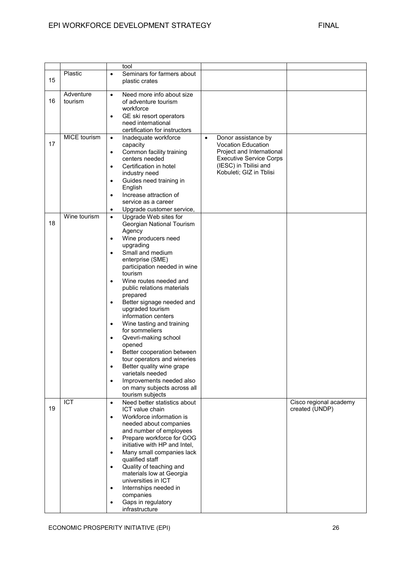|    |                      | tool                                                                                                                                                                                                                                                                                                                                                                                                                                                                                                                                                                                                                                                                                                                                    |                                                                                                                                                                                  |                                          |
|----|----------------------|-----------------------------------------------------------------------------------------------------------------------------------------------------------------------------------------------------------------------------------------------------------------------------------------------------------------------------------------------------------------------------------------------------------------------------------------------------------------------------------------------------------------------------------------------------------------------------------------------------------------------------------------------------------------------------------------------------------------------------------------|----------------------------------------------------------------------------------------------------------------------------------------------------------------------------------|------------------------------------------|
| 15 | Plastic              | Seminars for farmers about<br>$\bullet$<br>plastic crates                                                                                                                                                                                                                                                                                                                                                                                                                                                                                                                                                                                                                                                                               |                                                                                                                                                                                  |                                          |
| 16 | Adventure<br>tourism | Need more info about size<br>$\bullet$<br>of adventure tourism<br>workforce<br>GE ski resort operators<br>$\bullet$<br>need international<br>certification for instructors                                                                                                                                                                                                                                                                                                                                                                                                                                                                                                                                                              |                                                                                                                                                                                  |                                          |
| 17 | MICE tourism         | Inadequate workforce<br>$\bullet$<br>capacity<br>Common facility training<br>$\bullet$<br>centers needed<br>Certification in hotel<br>$\bullet$<br>industry need<br>Guides need training in<br>$\bullet$<br>English<br>Increase attraction of<br>$\bullet$<br>service as a career<br>Upgrade customer service,<br>$\bullet$                                                                                                                                                                                                                                                                                                                                                                                                             | Donor assistance by<br>$\bullet$<br><b>Vocation Education</b><br>Project and International<br><b>Executive Service Corps</b><br>(IESC) in Tbilisi and<br>Kobuleti; GIZ in Tblisi |                                          |
| 18 | Wine tourism         | Upgrade Web sites for<br>$\bullet$<br>Georgian National Tourism<br>Agency<br>Wine producers need<br>$\bullet$<br>upgrading<br>Small and medium<br>$\bullet$<br>enterprise (SME)<br>participation needed in wine<br>tourism<br>Wine routes needed and<br>$\bullet$<br>public relations materials<br>prepared<br>Better signage needed and<br>$\bullet$<br>upgraded tourism<br>information centers<br>Wine tasting and training<br>$\bullet$<br>for sommeliers<br>Qvevri-making school<br>$\bullet$<br>opened<br>Better cooperation between<br>$\bullet$<br>tour operators and wineries<br>Better quality wine grape<br>٠<br>varietals needed<br>Improvements needed also<br>$\bullet$<br>on many subjects across all<br>tourism subjects |                                                                                                                                                                                  |                                          |
| 19 | ICT                  | Need better statistics about<br>$\bullet$<br>ICT value chain<br>Workforce information is<br>$\bullet$<br>needed about companies<br>and number of employees<br>Prepare workforce for GOG<br>$\bullet$<br>initiative with HP and Intel,<br>Many small companies lack<br>$\bullet$<br>qualified staff<br>Quality of teaching and<br>$\bullet$<br>materials low at Georgia<br>universities in ICT<br>Internships needed in<br>$\bullet$<br>companies<br>Gaps in regulatory<br>$\bullet$<br>infrastructure                                                                                                                                                                                                                                   |                                                                                                                                                                                  | Cisco regional academy<br>created (UNDP) |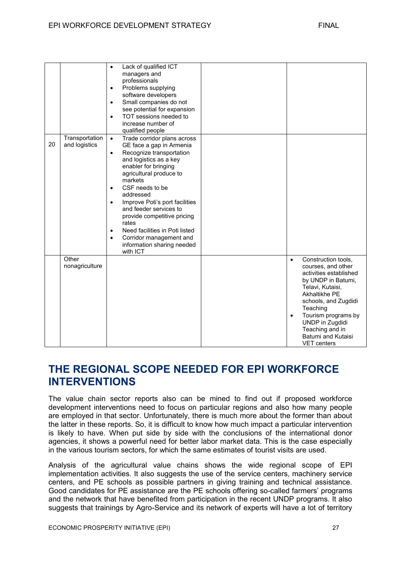|    |                                 | Lack of qualified ICT<br>$\bullet$<br>managers and<br>professionals<br>Problems supplying<br>$\bullet$<br>software developers<br>Small companies do not<br>$\bullet$<br>see potential for expansion<br>TOT sessions needed to<br>$\bullet$<br>increase number of<br>qualified people                                                                                                                                                                                                                 |                                                                                                                                                                                                                                              |
|----|---------------------------------|------------------------------------------------------------------------------------------------------------------------------------------------------------------------------------------------------------------------------------------------------------------------------------------------------------------------------------------------------------------------------------------------------------------------------------------------------------------------------------------------------|----------------------------------------------------------------------------------------------------------------------------------------------------------------------------------------------------------------------------------------------|
| 20 | Transportation<br>and logistics | Trade corridor plans across<br>$\bullet$<br>GE face a gap in Armenia<br>Recognize transportation<br>$\bullet$<br>and logistics as a key<br>enabler for bringing<br>agricultural produce to<br>markets<br>CSF needs to be<br>$\bullet$<br>addressed<br>Improve Poti's port facilities<br>$\bullet$<br>and feeder services to<br>provide competitive pricing<br>rates<br>Need facilities in Poti listed<br>$\bullet$<br>Corridor management and<br>$\bullet$<br>information sharing needed<br>with ICT |                                                                                                                                                                                                                                              |
|    | Other<br>nonagriculture         |                                                                                                                                                                                                                                                                                                                                                                                                                                                                                                      | Construction tools,<br>$\bullet$<br>courses, and other<br>activities established<br>by UNDP in Batumi,<br>Telavi, Kutaisi,<br>Akhaltikhe PE<br>schools, and Zugdidi<br>Teaching<br>Tourism programs by<br>UNDP in Zugdidi<br>Teaching and in |

## **THE REGIONAL SCOPE NEEDED FOR EPI WORKFORCE INTERVENTIONS**

The value chain sector reports also can be mined to find out if proposed workforce development interventions need to focus on particular regions and also how many people are employed in that sector. Unfortunately, there is much more about the former than about the latter in these reports. So, it is difficult to know how much impact a particular intervention is likely to have. When put side by side with the conclusions of the international donor agencies, it shows a powerful need for better labor market data. This is the case especially in the various tourism sectors, for which the same estimates of tourist visits are used.

Analysis of the agricultural value chains shows the wide regional scope of EPI implementation activities. It also suggests the use of the service centers, machinery service centers, and PE schools as possible partners in giving training and technical assistance. Good candidates for PE assistance are the PE schools offering so-called farmers' programs and the network that have benefited from participation in the recent UNDP programs. It also suggests that trainings by Agro-Service and its network of experts will have a lot of territory

Batumi and Kutaisi VET centers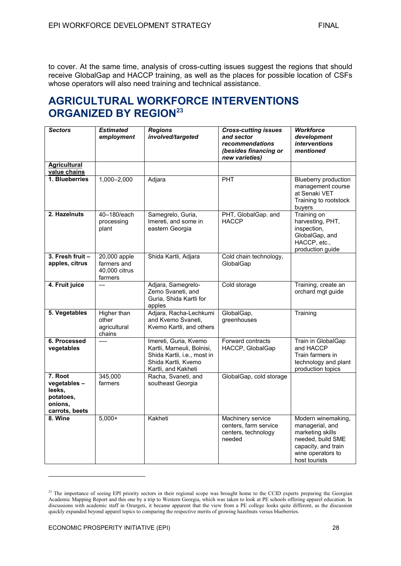to cover. At the same time, analysis of cross-cutting issues suggest the regions that should receive GlobalGap and HACCP training, as well as the places for possible location of CSFs whose operators will also need training and technical assistance.

## **AGRICULTURAL WORKFORCE INTERVENTIONS ORGANIZED BY REGION<sup>23</sup>**

| <b>Sectors</b>                                                             | <b>Estimated</b><br>employment                          | <b>Regions</b><br>involved/targeted                                                                                              | <b>Cross-cutting issues</b><br>and sector<br>recommendations<br>(besides financing or<br>new varieties) | <b>Workforce</b><br>development<br><i>interventions</i><br>mentioned                                                                        |
|----------------------------------------------------------------------------|---------------------------------------------------------|----------------------------------------------------------------------------------------------------------------------------------|---------------------------------------------------------------------------------------------------------|---------------------------------------------------------------------------------------------------------------------------------------------|
| <b>Agricultural</b><br>value chains                                        |                                                         |                                                                                                                                  |                                                                                                         |                                                                                                                                             |
| 1. Blueberries                                                             | $1,000 - 2,000$                                         | Adjara                                                                                                                           | <b>PHT</b>                                                                                              | Blueberry production<br>management course<br>at Senaki VET<br>Training to rootstock<br>buyers                                               |
| 2. Hazelnuts                                                               | 40-180/each<br>processing<br>plant                      | Samegrelo, Guria,<br>Imereti, and some in<br>eastern Georgia                                                                     | PHT, GlobalGap. and<br><b>HACCP</b>                                                                     | Training on<br>harvesting, PHT,<br>inspection,<br>GlobalGap, and<br>HACCP, etc.,<br>production guide                                        |
| 3. Fresh fruit -<br>apples, citrus                                         | 20,000 apple<br>farmers and<br>40,000 citrus<br>farmers | Shida Kartli, Adjara                                                                                                             | Cold chain technology,<br>GlobalGap                                                                     |                                                                                                                                             |
| 4. Fruit juice                                                             | $---$                                                   | Adjara, Samegrelo-<br>Zemo Svaneti, and<br>Guria, Shida Kartli for<br>apples                                                     | Cold storage                                                                                            | Training, create an<br>orchard mgt guide                                                                                                    |
| 5. Vegetables                                                              | Higher than<br>other<br>agricultural<br>chains          | Adjara, Racha-Lechkumi<br>and Kvemo Svaneti.<br>Kvemo Kartli, and others                                                         | GlobalGap,<br>greenhouses                                                                               | Training                                                                                                                                    |
| 6. Processed<br>vegetables                                                 | $---$                                                   | Imereti, Guria, Kvemo<br>Kartli, Marneuli, Bolnisi,<br>Shida Kartli, i.e., most in<br>Shida Kartli, Kvemo<br>Kartli, and Kakheti | Forward contracts<br>HACCP, GlobalGap                                                                   | Train in GlobalGap<br>and HACCP<br>Train farmers in<br>technology and plant<br>production topics                                            |
| 7. Root<br>vegetables-<br>leeks,<br>potatoes,<br>onions.<br>carrots, beets | 345,000<br>farmers                                      | Racha, Svaneti, and<br>southeast Georgia                                                                                         | GlobalGap, cold storage                                                                                 |                                                                                                                                             |
| 8. Wine                                                                    | $5,000+$                                                | Kakheti                                                                                                                          | Machinery service<br>centers, farm service<br>centers, technology<br>needed                             | Modern winemaking,<br>managerial, and<br>marketing skills<br>needed, build SME<br>capacity, and train<br>wine operators to<br>host tourists |

<sup>&</sup>lt;sup>23</sup> The importance of seeing EPI priority sectors in their regional scope was brought home to the CCID experts preparing the Georgian Academic Mapping Report and this one by a trip to Western Georgia, which was taken to look at PE schools offering apparel education. In discussions with academic staff in Ozurgeti, it became apparent that the view from a PE college looks quite different, as the discussion quickly expanded beyond apparel topics to comparing the respective merits of growing hazelnuts versus blueberries.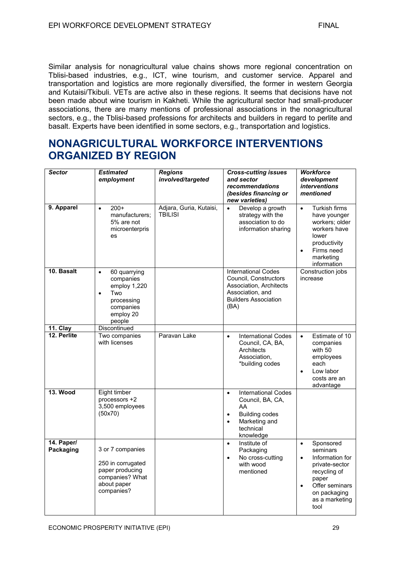Similar analysis for nonagricultural value chains shows more regional concentration on Tblisi-based industries, e.g., ICT, wine tourism, and customer service. Apparel and transportation and logistics are more regionally diversified, the former in western Georgia and Kutaisi/Tkibuli. VETs are active also in these regions. It seems that decisions have not been made about wine tourism in Kakheti. While the agricultural sector had small-producer associations, there are many mentions of professional associations in the nonagricultural sectors, e.g., the Tblisi-based professions for architects and builders in regard to perlite and basalt. Experts have been identified in some sectors, e.g., transportation and logistics.

## **NONAGRICULTURAL WORKFORCE INTERVENTIONS ORGANIZED BY REGION**

| <b>Sector</b>           | <b>Estimated</b><br>employment                                                                                               | <b>Regions</b><br>involved/targeted       | <b>Cross-cutting issues</b><br>and sector<br>recommendations<br>(besides financing or<br>new varieties)                                                         | <b>Workforce</b><br>development<br><i>interventions</i><br>mentioned                                                                                                                   |
|-------------------------|------------------------------------------------------------------------------------------------------------------------------|-------------------------------------------|-----------------------------------------------------------------------------------------------------------------------------------------------------------------|----------------------------------------------------------------------------------------------------------------------------------------------------------------------------------------|
| 9. Apparel              | $200+$<br>$\bullet$<br>manufacturers;<br>5% are not<br>microenterpris<br>es                                                  | Adjara, Guria, Kutaisi,<br><b>TBILISI</b> | Develop a growth<br>$\bullet$<br>strategy with the<br>association to do<br>information sharing                                                                  | Turkish firms<br>$\bullet$<br>have younger<br>workers; older<br>workers have<br>lower<br>productivity<br>Firms need<br>$\bullet$<br>marketing<br>information                           |
| 10. Basalt              | 60 quarrying<br>$\bullet$<br>companies<br>employ 1,220<br>Two<br>$\bullet$<br>processing<br>companies<br>employ 20<br>people |                                           | <b>International Codes</b><br>Council, Constructors<br>Association, Architects<br>Association, and<br><b>Builders Association</b><br>(BA)                       | Construction jobs<br>increase                                                                                                                                                          |
| 11. Clay                | Discontinued                                                                                                                 |                                           |                                                                                                                                                                 |                                                                                                                                                                                        |
| 12. Perlite             | Two companies<br>with licenses                                                                                               | Paravan Lake                              | <b>International Codes</b><br>$\bullet$<br>Council, CA, BA,<br>Architects<br>Association,<br>*building codes                                                    | Estimate of 10<br>$\bullet$<br>companies<br>with 50<br>employees<br>each<br>Low labor<br>costs are an<br>advantage                                                                     |
| <b>13. Wood</b>         | Eight timber<br>processors +2<br>3,500 employees<br>(50x70)                                                                  |                                           | <b>International Codes</b><br>$\bullet$<br>Council, BA, CA,<br>AA<br><b>Building codes</b><br>$\bullet$<br>Marketing and<br>$\bullet$<br>technical<br>knowledge |                                                                                                                                                                                        |
| 14. Paper/<br>Packaging | 3 or 7 companies<br>250 in corrugated<br>paper producing<br>companies? What<br>about paper<br>companies?                     |                                           | Institute of<br>$\bullet$<br>Packaging<br>No cross-cutting<br>$\bullet$<br>with wood<br>mentioned                                                               | Sponsored<br>$\bullet$<br>seminars<br>Information for<br>$\bullet$<br>private-sector<br>recycling of<br>paper<br>Offer seminars<br>$\bullet$<br>on packaging<br>as a marketing<br>tool |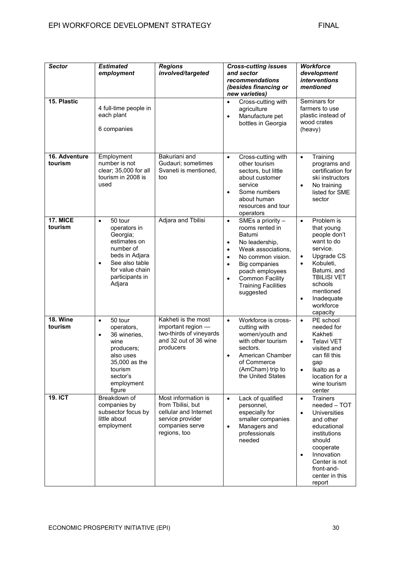| <b>Sector</b>              | <b>Estimated</b><br>employment                                                                                                                                                 | <b>Regions</b><br>involved/targeted                                                                                      | <b>Cross-cutting issues</b><br>and sector<br>recommendations<br>(besides financing or<br>new varieties)                                                                                                                                                                                            | <b>Workforce</b><br>development<br><i>interventions</i><br>mentioned                                                                                                                                                                                  |  |
|----------------------------|--------------------------------------------------------------------------------------------------------------------------------------------------------------------------------|--------------------------------------------------------------------------------------------------------------------------|----------------------------------------------------------------------------------------------------------------------------------------------------------------------------------------------------------------------------------------------------------------------------------------------------|-------------------------------------------------------------------------------------------------------------------------------------------------------------------------------------------------------------------------------------------------------|--|
| 15. Plastic                | 4 full-time people in<br>each plant<br>6 companies                                                                                                                             |                                                                                                                          | Cross-cutting with<br>$\bullet$<br>agriculture<br>Manufacture pet<br>$\bullet$<br>bottles in Georgia                                                                                                                                                                                               | Seminars for<br>farmers to use<br>plastic instead of<br>wood crates<br>(heavy)                                                                                                                                                                        |  |
| 16. Adventure<br>tourism   | Employment<br>number is not<br>clear; 35,000 for all<br>tourism in 2008 is<br>used                                                                                             | Bakuriani and<br>Gudauri; sometimes<br>Svaneti is mentioned,<br>too                                                      | Cross-cutting with<br>$\bullet$<br>other tourism<br>sectors, but little<br>about customer<br>service<br>Some numbers<br>$\bullet$<br>about human<br>resources and tour<br>operators                                                                                                                | Training<br>$\bullet$<br>programs and<br>certification for<br>ski instructors<br>No training<br>$\bullet$<br>listed for SME<br>sector                                                                                                                 |  |
| <b>17. MICE</b><br>tourism | 50 tour<br>$\bullet$<br>operators in<br>Georgia;<br>estimates on<br>number of<br>beds in Adjara<br>See also table<br>$\bullet$<br>for value chain<br>participants in<br>Adjara | Adjara and Tbilisi                                                                                                       | SMEs a priority -<br>$\bullet$<br>rooms rented in<br>Batumi<br>No leadership,<br>$\bullet$<br>Weak associations,<br>$\bullet$<br>No common vision.<br>$\bullet$<br>Big companies<br>$\bullet$<br>poach employees<br><b>Common Facility</b><br>$\bullet$<br><b>Training Facilities</b><br>suggested | Problem is<br>$\bullet$<br>that young<br>people don't<br>want to do<br>service.<br>Upgrade CS<br>$\bullet$<br>Kobuleti,<br>$\bullet$<br>Batumi, and<br><b>TBILISI VET</b><br>schools<br>mentioned<br>Inadequate<br>$\bullet$<br>workforce<br>capacity |  |
| <b>18. Wine</b><br>tourism | 50 tour<br>$\bullet$<br>operators,<br>36 wineries,<br>$\bullet$<br>wine<br>producers;<br>also uses<br>35,000 as the<br>tourism<br>sector's<br>employment<br>figure             | Kakheti is the most<br>important region -<br>two-thirds of vineyards<br>and 32 out of 36 wine<br>producers               | Workforce is cross-<br>$\bullet$<br>cutting with<br>women/youth and<br>with other tourism<br>sectors.<br>American Chamber<br>$\bullet$<br>of Commerce<br>(AmCham) trip to<br>the United States                                                                                                     | PE school<br>$\bullet$<br>needed for<br>Kakheti<br><b>Telavi VET</b><br>$\bullet$<br>visited and<br>can fill this<br>gap<br>Ikalto as a<br>$\bullet$<br>location for a<br>wine tourism<br>center                                                      |  |
| <b>19. ICT</b>             | Breakdown of<br>companies by<br>subsector focus by<br>little about<br>employment                                                                                               | Most information is<br>from Tbilisi, but<br>cellular and Internet<br>service provider<br>companies serve<br>regions, too | Lack of qualified<br>$\bullet$<br>personnel,<br>especially for<br>smaller companies<br>Managers and<br>$\bullet$<br>professionals<br>needed                                                                                                                                                        | <b>Trainers</b><br>$\bullet$<br>needed - TOT<br>Universities<br>$\bullet$<br>and other<br>educational<br>institutions<br>should<br>cooperate<br>Innovation<br>$\bullet$<br>Center is not<br>front-and-<br>center in this<br>report                    |  |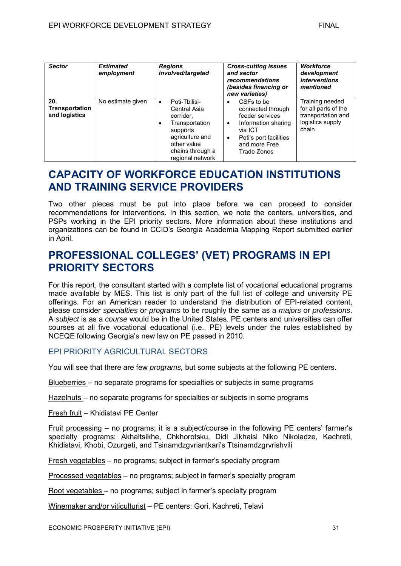| <b>Sector</b>                          | <b>Estimated</b><br>employment | <b>Regions</b><br>involved/targeted                                                                                                                                  | <b>Cross-cutting issues</b><br>and sector<br>recommendations<br>(besides financing or<br>new varieties)                                                          | <b>Workforce</b><br>development<br><i>interventions</i><br>mentioned                       |
|----------------------------------------|--------------------------------|----------------------------------------------------------------------------------------------------------------------------------------------------------------------|------------------------------------------------------------------------------------------------------------------------------------------------------------------|--------------------------------------------------------------------------------------------|
| 20.<br>Transportation<br>and logistics | No estimate given              | Poti-Tbilisi-<br>$\bullet$<br>Central Asia<br>corridor.<br>Transportation<br>٠<br>supports<br>agriculture and<br>other value<br>chains through a<br>regional network | CSFs to be<br>connected through<br>feeder services<br>Information sharing<br>٠<br>via ICT<br>Poti's port facilities<br>$\bullet$<br>and more Free<br>Trade Zones | Training needed<br>for all parts of the<br>transportation and<br>logistics supply<br>chain |

# **CAPACITY OF WORKFORCE EDUCATION INSTITUTIONS AND TRAINING SERVICE PROVIDERS**

Two other pieces must be put into place before we can proceed to consider recommendations for interventions. In this section, we note the centers, universities, and PSPs working in the EPI priority sectors. More information about these institutions and organizations can be found in CCID's Georgia Academia Mapping Report submitted earlier in April.

# **PROFESSIONAL COLLEGES' (VET) PROGRAMS IN EPI PRIORITY SECTORS**

For this report, the consultant started with a complete list of vocational educational programs made available by MES. This list is only part of the full list of college and university PE offerings. For an American reader to understand the distribution of EPI-related content, please consider *specialties* or *programs* to be roughly the same as a *majors* or *professions*. A *subject* is as a *course* would be in the United States. PE centers and universities can offer courses at all five vocational educational (i.e., PE) levels under the rules established by NCEQE following Georgia's new law on PE passed in 2010.

# **FPI PRIORITY AGRICULTURAL SECTORS**

You will see that there are few *programs,* but some subjects at the following PE centers.

Blueberries – no separate programs for specialties or subjects in some programs

Hazelnuts – no separate programs for specialties or subjects in some programs

Fresh fruit – Khidistavi PE Center

Fruit processing – no programs; it is a subject/course in the following PE centers' farmer's specialty programs: Akhaltsikhe, Chkhorotsku, Didi Jikhaisi Niko Nikoladze, Kachreti, Khidistavi, Khobi, Ozurgeti, and Tsinamdzgvriantkari's Ttsinamdzgrvrishvili

Fresh vegetables – no programs; subject in farmer's specialty program

Processed vegetables – no programs; subject in farmer's specialty program

Root vegetables – no programs; subject in farmer's specialty program

Winemaker and/or viticulturist – PE centers: Gori, Kachreti, Telavi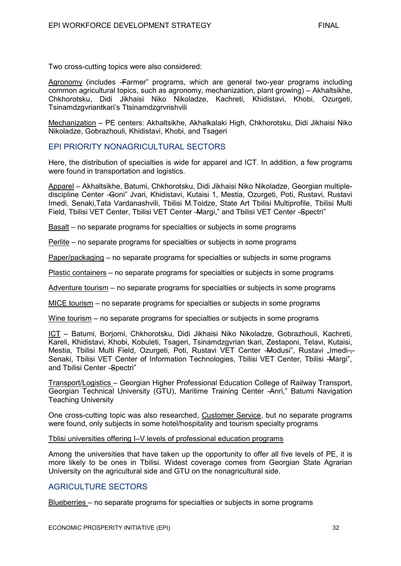Two cross-cutting topics were also considered:

Agronomy (includes -Farmer" programs, which are general two-year programs including common agricultural topics, such as agronomy, mechanization, plant growing) – Akhaltsikhe, Chkhorotsku, Didi Jikhaisi Niko Nikoladze, Kachreti, Khidistavi, Khobi, Ozurgeti, Tsinamdzgvriantkari's Ttsinamdzgrvrishvili

Mechanization – PE centers: Akhaltsikhe, Akhalkalaki High, Chkhorotsku, Didi Jikhaisi Niko Nikoladze, Gobrazhouli, Khidistavi, Khobi, and Tsageri

# EPI PRIORITY NONAGRICULTURAL SECTORS

Here, the distribution of specialties is wide for apparel and ICT. In addition, a few programs were found in transportation and logistics.

Apparel – Akhaltsikhe, Batumi, Chkhorotsku, Didi Jikhaisi Niko Nikoladze, Georgian multiplediscipline Center -Goni" Jvari, Khidistavi, Kutaisi 1, Mestia, Ozurgeti, Poti, Rustavi, Rustavi Imedi, Senaki,Tata Vardanashvili, Tbilisi M.Toidze, State Art Tbilisi Multiprofile, Tbilisi Multi Field, Tbilisi VET Center, Tbilisi VET Center - Margi," and Tbilisi VET Center - Spectri"

Basalt – no separate programs for specialties or subjects in some programs

Perlite – no separate programs for specialties or subjects in some programs

Paper/packaging – no separate programs for specialties or subjects in some programs

Plastic containers – no separate programs for specialties or subjects in some programs

Adventure tourism – no separate programs for specialties or subjects in some programs

MICE tourism – no separate programs for specialties or subjects in some programs

Wine tourism – no separate programs for specialties or subjects in some programs

ICT – Batumi, Borjomi, Chkhorotsku, Didi Jikhaisi Niko Nikoladze, Gobrazhouli, Kachreti, Kareli, Khidistavi, Khobi, Kobuleti, Tsageri, Tsinamdzgvrian tkari, Zestaponi, Telavi, Kutaisi, Mestia, Tbilisi Multi Field, Ozurgeti, Poti, Rustavi VET Center - Modusi", Rustavi "Imedi-Senaki, Tbilisi VET Center of Information Technologies, Tbilisi VET Center, Tbilisi -Margi", and Tbilisi Center - Spectri"

Transport/Logistics – Georgian Higher Professional Education College of Railway Transport, Georgian Technical University (GTU), Maritime Training Center -Anri," Batumi Navigation Teaching University

One cross-cutting topic was also researched, Customer Service, but no separate programs were found, only subjects in some hotel/hospitality and tourism specialty programs

Tblisi universities offering I–V levels of professional education programs

Among the universities that have taken up the opportunity to offer all five levels of PE, it is more likely to be ones in Tbilisi. Widest coverage comes from Georgian State Agrarian University on the agricultural side and GTU on the nonagricultural side.

# AGRICULTURE SECTORS

Blueberries – no separate programs for specialties or subjects in some programs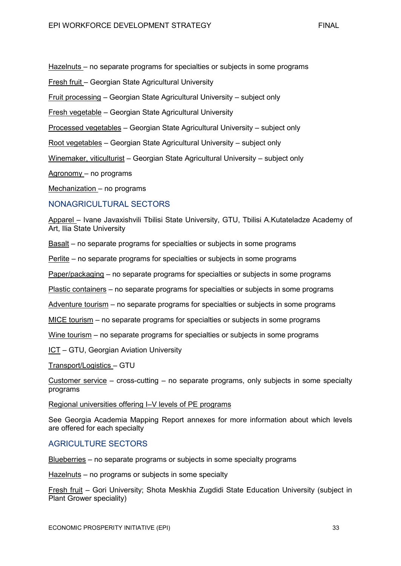Hazelnuts – no separate programs for specialties or subjects in some programs

Fresh fruit – Georgian State Agricultural University

Fruit processing – Georgian State Agricultural University – subject only

Fresh vegetable – Georgian State Agricultural University

Processed vegetables – Georgian State Agricultural University – subject only

Root vegetables – Georgian State Agricultural University – subject only

Winemaker, viticulturist – Georgian State Agricultural University – subject only

Agronomy – no programs

Mechanization – no programs

### NONAGRICULTURAL SECTORS

Apparel – Ivane Javaxishvili Tbilisi State University, GTU, Tbilisi A.Kutateladze Academy of Art, Ilia State University

Basalt – no separate programs for specialties or subjects in some programs

Perlite – no separate programs for specialties or subjects in some programs

Paper/packaging – no separate programs for specialties or subjects in some programs

Plastic containers – no separate programs for specialties or subjects in some programs

Adventure tourism – no separate programs for specialties or subjects in some programs

MICE tourism – no separate programs for specialties or subjects in some programs

Wine tourism – no separate programs for specialties or subjects in some programs

ICT – GTU, Georgian Aviation University

Transport/Logistics – GTU

Customer service – cross-cutting – no separate programs, only subjects in some specialty programs

#### Regional universities offering I–V levels of PE programs

See Georgia Academia Mapping Report annexes for more information about which levels are offered for each specialty

# AGRICULTURE SECTORS

Blueberries – no separate programs or subjects in some specialty programs

Hazelnuts – no programs or subjects in some specialty

Fresh fruit – Gori University; Shota Meskhia Zugdidi State Education University (subject in Plant Grower speciality)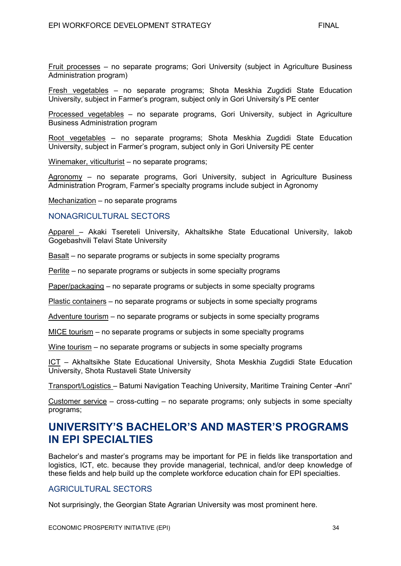Fruit processes – no separate programs; Gori University (subject in Agriculture Business Administration program)

Fresh vegetables – no separate programs; Shota Meskhia Zugdidi State Education University, subject in Farmer's program, subject only in Gori University's PE center

Processed vegetables – no separate programs, Gori University, subject in Agriculture Business Administration program

Root vegetables – no separate programs; Shota Meskhia Zugdidi State Education University, subject in Farmer's program, subject only in Gori University PE center

Winemaker, viticulturist – no separate programs;

Agronomy – no separate programs, Gori University, subject in Agriculture Business Administration Program, Farmer's specialty programs include subject in Agronomy

Mechanization – no separate programs

## NONAGRICULTURAL SECTORS

Apparel – Akaki Tsereteli University, Akhaltsikhe State Educational University, Iakob Gogebashvili Telavi State University

Basalt – no separate programs or subjects in some specialty programs

Perlite – no separate programs or subjects in some specialty programs

Paper/packaging – no separate programs or subjects in some specialty programs

Plastic containers – no separate programs or subjects in some specialty programs

Adventure tourism – no separate programs or subjects in some specialty programs

MICE tourism – no separate programs or subjects in some specialty programs

Wine tourism – no separate programs or subjects in some specialty programs

ICT – Akhaltsikhe State Educational University, Shota Meskhia Zugdidi State Education University, Shota Rustaveli State University

Transport/Logistics – Batumi Navigation Teaching University, Maritime Training Center -Anri"

Customer service – cross-cutting – no separate programs; only subjects in some specialty programs;

# **UNIVERSITY'S BACHELOR'S AND MASTER'S PROGRAMS IN EPI SPECIALTIES**

Bachelor's and master's programs may be important for PE in fields like transportation and logistics, ICT, etc. because they provide managerial, technical, and/or deep knowledge of these fields and help build up the complete workforce education chain for EPI specialties.

## AGRICULTURAL SECTORS

Not surprisingly, the Georgian State Agrarian University was most prominent here.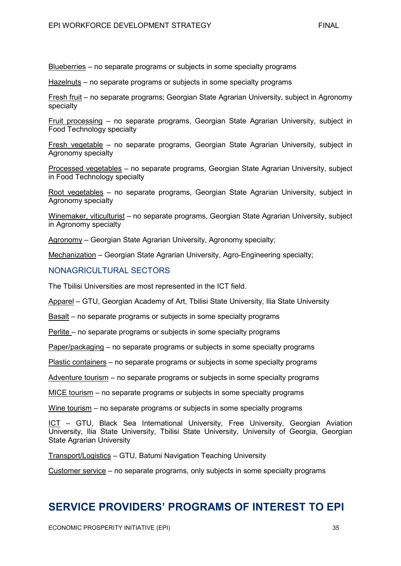Blueberries – no separate programs or subjects in some specialty programs

Hazelnuts – no separate programs or subjects in some specialty programs

Fresh fruit – no separate programs; Georgian State Agrarian University, subject in Agronomy specialty

Fruit processing – no separate programs, Georgian State Agrarian University, subject in Food Technology specialty

Fresh vegetable – no separate programs, Georgian State Agrarian University, subject in Agronomy specialty

Processed vegetables – no separate programs, Georgian State Agrarian University, subject in Food Technology specialty

Root vegetables – no separate programs, Georgian State Agrarian University, subject in Agronomy specialty

Winemaker, viticulturist – no separate programs, Georgian State Agrarian University, subject in Agronomy specialty

Agronomy – Georgian State Agrarian University, Agronomy specialty;

Mechanization – Georgian State Agrarian University, Agro-Engineering specialty;

### NONAGRICULTURAL SECTORS

The Tbilisi Universities are most represented in the ICT field.

Apparel – GTU, Georgian Academy of Art, Tbilisi State University, Ilia State University

Basalt – no separate programs or subjects in some specialty programs

Perlite – no separate programs or subjects in some specialty programs

Paper/packaging – no separate programs or subjects in some specialty programs

Plastic containers – no separate programs or subjects in some specialty programs

Adventure tourism – no separate programs or subjects in some specialty programs

MICE tourism – no separate programs or subjects in some specialty programs

Wine tourism – no separate programs or subjects in some specialty programs

ICT - GTU, Black Sea International University, Free University, Georgian Aviation University, Ilia State University, Tbilisi State University, University of Georgia, Georgian State Agrarian University

Transport/Logistics – GTU, Batumi Navigation Teaching University

Customer service – no separate programs, only subjects in some specialty programs

# **SERVICE PROVIDERS' PROGRAMS OF INTEREST TO EPI**

ECONOMIC PROSPERITY INITIATIVE (EPI) 35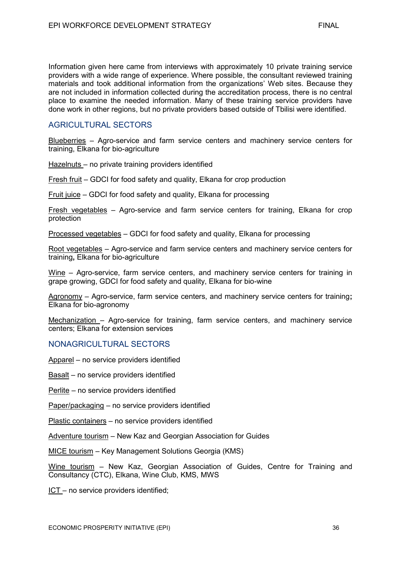Information given here came from interviews with approximately 10 private training service providers with a wide range of experience. Where possible, the consultant reviewed training materials and took additional information from the organizations' Web sites. Because they are not included in information collected during the accreditation process, there is no central place to examine the needed information. Many of these training service providers have done work in other regions, but no private providers based outside of Tbilisi were identified.

# **AGRICULTURAL SECTORS**

Blueberries – Agro-service and farm service centers and machinery service centers for training, Elkana for bio-agriculture

Hazelnuts – no private training providers identified

Fresh fruit – GDCI for food safety and quality, Elkana for crop production

Fruit juice – GDCI for food safety and quality, Elkana for processing

Fresh vegetables – Agro-service and farm service centers for training, Elkana for crop protection

Processed vegetables – GDCI for food safety and quality, Elkana for processing

Root vegetables – Agro-service and farm service centers and machinery service centers for training**,** Elkana for bio-agriculture

Wine – Agro-service, farm service centers, and machinery service centers for training in grape growing, GDCI for food safety and quality, Elkana for bio-wine

Agronomy – Agro-service, farm service centers, and machinery service centers for training**;** Elkana for bio-agronomy

Mechanization – Agro-service for training, farm service centers, and machinery service centers; Elkana for extension services

#### NONAGRICULTURAL SECTORS

Apparel – no service providers identified

Basalt – no service providers identified

Perlite – no service providers identified

Paper/packaging – no service providers identified

Plastic containers – no service providers identified

Adventure tourism – New Kaz and Georgian Association for Guides

MICE tourism – Key Management Solutions Georgia (KMS)

Wine tourism – New Kaz, Georgian Association of Guides, Centre for Training and Consultancy (CTC), Elkana, Wine Club, KMS, MWS

ICT – no service providers identified;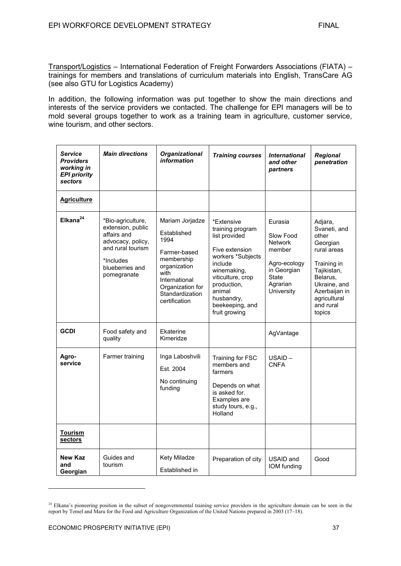Transport/Logistics – International Federation of Freight Forwarders Associations (FIATA) – trainings for members and translations of curriculum materials into English, TransCare AG (see also GTU for Logistics Academy)

In addition, the following information was put together to show the main directions and interests of the service providers we contacted. The challenge for EPI managers will be to mold several groups together to work as a training team in agriculture, customer service, wine tourism, and other sectors.

| <b>Service</b><br><b>Providers</b><br>working in<br><b>EPI priority</b><br>sectors | <b>Main directions</b>                                                                                                                         | <b>Organizational</b><br>information                                                                                                                                  | <b>Training courses</b>                                                                                                                                                                                          | <b>International</b><br>and other<br>partners                                                                             | <b>Regional</b><br>penetration                                                                                                                                                |
|------------------------------------------------------------------------------------|------------------------------------------------------------------------------------------------------------------------------------------------|-----------------------------------------------------------------------------------------------------------------------------------------------------------------------|------------------------------------------------------------------------------------------------------------------------------------------------------------------------------------------------------------------|---------------------------------------------------------------------------------------------------------------------------|-------------------------------------------------------------------------------------------------------------------------------------------------------------------------------|
| <b>Agriculture</b>                                                                 |                                                                                                                                                |                                                                                                                                                                       |                                                                                                                                                                                                                  |                                                                                                                           |                                                                                                                                                                               |
| $E$ Ikana $^{24}$                                                                  | *Bio-agriculture,<br>extension, public<br>affairs and<br>advocacy, policy,<br>and rural tourism<br>*Includes<br>blueberries and<br>pomegranate | Mariam Jorjadze<br>Established<br>1994<br>Farmer-based<br>membership<br>organization<br>with<br>International<br>Organization for<br>Standardization<br>certification | *Extensive<br>training program<br>list provided<br>Five extension<br>workers *Subjects<br>include<br>winemaking,<br>viticulture, crop<br>production,<br>animal<br>husbandry,<br>beekeeping, and<br>fruit growing | Eurasia<br>Slow Food<br><b>Network</b><br>member<br>Agro-ecology<br>in Georgian<br><b>State</b><br>Agrarian<br>University | Adjara,<br>Svaneti, and<br>other<br>Georgian<br>rural areas<br>Training in<br>Tajikistan,<br>Belarus.<br>Ukraine, and<br>Azerbaijan in<br>agricultural<br>and rural<br>topics |
| <b>GCDI</b>                                                                        | Food safety and<br>quality                                                                                                                     | Ekaterine<br>Kimeridze                                                                                                                                                |                                                                                                                                                                                                                  | AgVantage                                                                                                                 |                                                                                                                                                                               |
| Agro-<br>service                                                                   | Farmer training                                                                                                                                | Inga Laboshvili<br>Est. 2004<br>No continuing<br>funding                                                                                                              | Training for FSC<br>members and<br>farmers<br>Depends on what<br>is asked for.<br>Examples are<br>study tours, e.g.,<br>Holland                                                                                  | $USAID -$<br><b>CNFA</b>                                                                                                  |                                                                                                                                                                               |
| <b>Tourism</b><br>sectors                                                          |                                                                                                                                                |                                                                                                                                                                       |                                                                                                                                                                                                                  |                                                                                                                           |                                                                                                                                                                               |
| <b>New Kaz</b><br>and<br>Georgian                                                  | Guides and<br>tourism                                                                                                                          | Kety Miladze<br>Established in                                                                                                                                        | Preparation of city                                                                                                                                                                                              | USAID and<br>IOM funding                                                                                                  | Good                                                                                                                                                                          |

<sup>&</sup>lt;sup>24</sup> Elkana's pioneering position in the subset of nongovernmental training service providers in the agriculture domain can be seen in the report by Temel and Maru for the Food and Agriculture Organization of the United Nations prepared in 2003 (17–18).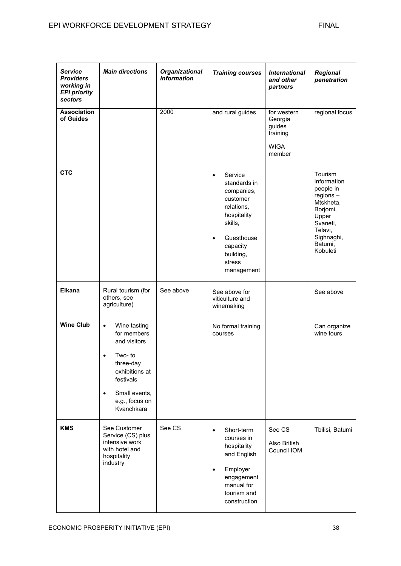| <b>Service</b><br><b>Providers</b><br>working in<br><b>EPI priority</b><br>sectors | <b>Main directions</b>                                                                                                                                               | <b>Organizational</b><br>information | <b>Training courses</b>                                                                                                                                                    | <b>International</b><br>and other<br>partners                         | <b>Regional</b><br>penetration                                                                                                                   |
|------------------------------------------------------------------------------------|----------------------------------------------------------------------------------------------------------------------------------------------------------------------|--------------------------------------|----------------------------------------------------------------------------------------------------------------------------------------------------------------------------|-----------------------------------------------------------------------|--------------------------------------------------------------------------------------------------------------------------------------------------|
| <b>Association</b><br>of Guides                                                    |                                                                                                                                                                      | 2000                                 | and rural guides                                                                                                                                                           | for western<br>Georgia<br>guides<br>training<br><b>WIGA</b><br>member | regional focus                                                                                                                                   |
| <b>CTC</b>                                                                         |                                                                                                                                                                      |                                      | Service<br>٠<br>standards in<br>companies,<br>customer<br>relations,<br>hospitality<br>skills,<br>Guesthouse<br>$\bullet$<br>capacity<br>building,<br>stress<br>management |                                                                       | Tourism<br>information<br>people in<br>$regions -$<br>Mtskheta,<br>Borjomi,<br>Upper<br>Svaneti,<br>Telavi,<br>Sighnaghi,<br>Batumi,<br>Kobuleti |
| <b>Elkana</b>                                                                      | Rural tourism (for<br>others, see<br>agriculture)                                                                                                                    | See above                            | See above for<br>viticulture and<br>winemaking                                                                                                                             |                                                                       | See above                                                                                                                                        |
| <b>Wine Club</b>                                                                   | Wine tasting<br>$\bullet$<br>for members<br>and visitors<br>Two-to<br>٠<br>three-day<br>exhibitions at<br>festivals<br>Small events,<br>e.g., focus on<br>Kvanchkara |                                      | No formal training<br>courses                                                                                                                                              |                                                                       | Can organize<br>wine tours                                                                                                                       |
| <b>KMS</b>                                                                         | See Customer<br>Service (CS) plus<br>intensive work<br>with hotel and<br>hospitality<br>industry                                                                     | See CS                               | Short-term<br>$\bullet$<br>courses in<br>hospitality<br>and English<br>Employer<br>engagement<br>manual for<br>tourism and<br>construction                                 | See CS<br>Also British<br>Council IOM                                 | Tbilisi, Batumi                                                                                                                                  |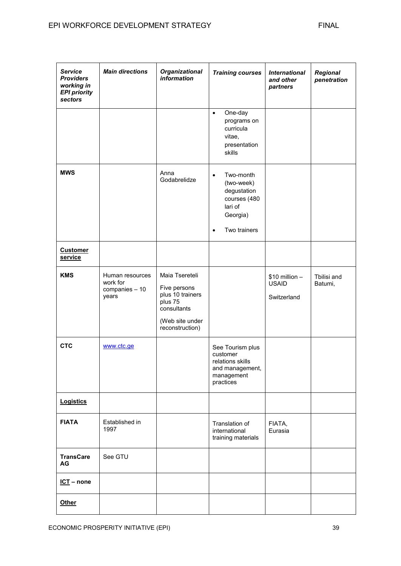| <b>Service</b><br><b>Providers</b><br>working in<br><b>EPI priority</b><br>sectors | <b>Main directions</b>                                 | <b>Organizational</b><br>information                                                                               | <b>Training courses</b>                                                                                    | <b>International</b><br>and other<br>partners  | Regional<br>penetration |
|------------------------------------------------------------------------------------|--------------------------------------------------------|--------------------------------------------------------------------------------------------------------------------|------------------------------------------------------------------------------------------------------------|------------------------------------------------|-------------------------|
|                                                                                    |                                                        |                                                                                                                    | One-day<br>$\bullet$<br>programs on<br>curricula<br>vitae,<br>presentation<br>skills                       |                                                |                         |
| <b>MWS</b>                                                                         |                                                        | Anna<br>Godabrelidze                                                                                               | Two-month<br>$\bullet$<br>(two-week)<br>degustation<br>courses (480<br>lari of<br>Georgia)<br>Two trainers |                                                |                         |
| <b>Customer</b><br>service                                                         |                                                        |                                                                                                                    |                                                                                                            |                                                |                         |
| <b>KMS</b>                                                                         | Human resources<br>work for<br>companies - 10<br>years | Maia Tsereteli<br>Five persons<br>plus 10 trainers<br>plus 75<br>consultants<br>(Web site under<br>reconstruction) |                                                                                                            | $$10$ million -<br><b>USAID</b><br>Switzerland | Tbilisi and<br>Batumi,  |
| <b>CTC</b>                                                                         | www.ctc.ge                                             |                                                                                                                    | See Tourism plus<br>customer<br>relations skills<br>and management,<br>management<br>practices             |                                                |                         |
| <b>Logistics</b>                                                                   |                                                        |                                                                                                                    |                                                                                                            |                                                |                         |
| <b>FIATA</b>                                                                       | Established in<br>1997                                 |                                                                                                                    | Translation of<br>international<br>training materials                                                      | FIATA,<br>Eurasia                              |                         |
| <b>TransCare</b><br>AG                                                             | See GTU                                                |                                                                                                                    |                                                                                                            |                                                |                         |
| $ICI$ – none                                                                       |                                                        |                                                                                                                    |                                                                                                            |                                                |                         |
| Other                                                                              |                                                        |                                                                                                                    |                                                                                                            |                                                |                         |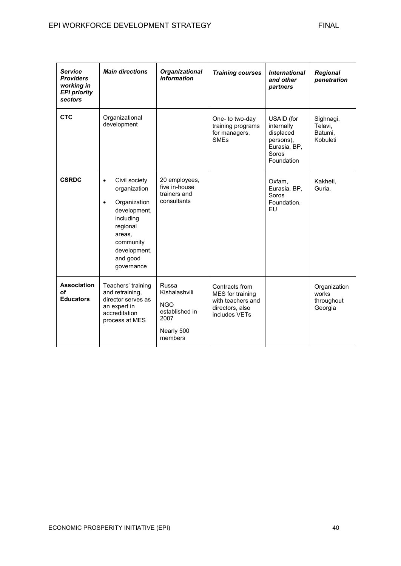| <b>Service</b><br><b>Providers</b><br>working in<br><b>EPI priority</b><br>sectors | <b>Main directions</b>                                                                                                                                                            | <b>Organizational</b><br>information                                                    | <b>Training courses</b>                                                                     | <b>International</b><br>and other<br>partners                                             | Regional<br>penetration                        |
|------------------------------------------------------------------------------------|-----------------------------------------------------------------------------------------------------------------------------------------------------------------------------------|-----------------------------------------------------------------------------------------|---------------------------------------------------------------------------------------------|-------------------------------------------------------------------------------------------|------------------------------------------------|
| <b>CTC</b>                                                                         | Organizational<br>development                                                                                                                                                     |                                                                                         | One- to two-day<br>training programs<br>for managers,<br><b>SMEs</b>                        | USAID (for<br>internally<br>displaced<br>persons),<br>Eurasia, BP,<br>Soros<br>Foundation | Sighnagi,<br>Telavi,<br>Batumi.<br>Kobuleti    |
| <b>CSRDC</b>                                                                       | Civil society<br>$\bullet$<br>organization<br>Organization<br>$\bullet$<br>development,<br>including<br>regional<br>areas.<br>community<br>development,<br>and good<br>governance | 20 employees,<br>five in-house<br>trainers and<br>consultants                           |                                                                                             | Oxfam,<br>Eurasia, BP,<br>Soros<br>Foundation,<br>EU                                      | Kakheti,<br>Guria,                             |
| <b>Association</b><br>οf<br><b>Educators</b>                                       | Teachers' training<br>and retraining,<br>director serves as<br>an expert in<br>accreditation<br>process at MES                                                                    | Russa<br>Kishalashvili<br><b>NGO</b><br>established in<br>2007<br>Nearly 500<br>members | Contracts from<br>MES for training<br>with teachers and<br>directors, also<br>includes VETs |                                                                                           | Organization<br>works<br>throughout<br>Georgia |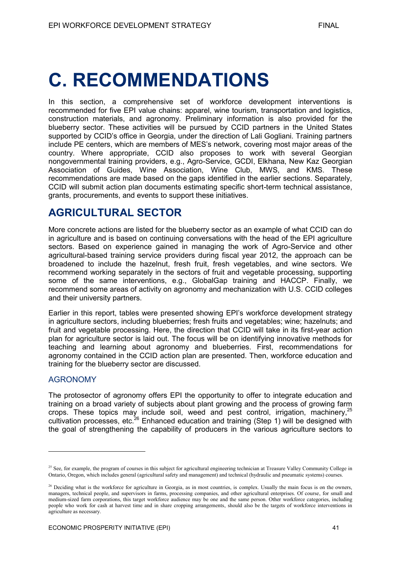# **C. RECOMMENDATIONS**

In this section, a comprehensive set of workforce development interventions is recommended for five EPI value chains: apparel, wine tourism, transportation and logistics, construction materials, and agronomy. Preliminary information is also provided for the blueberry sector. These activities will be pursued by CCID partners in the United States supported by CCID's office in Georgia, under the direction of Lali Gogliani. Training partners include PE centers, which are members of MES's network, covering most major areas of the country. Where appropriate, CCID also proposes to work with several Georgian nongovernmental training providers, e.g., Agro-Service, GCDI, Elkhana, New Kaz Georgian Association of Guides, Wine Association, Wine Club, MWS, and KMS. These recommendations are made based on the gaps identified in the earlier sections. Separately, CCID will submit action plan documents estimating specific short-term technical assistance, grants, procurements, and events to support these initiatives.

# **AGRICULTURAL SECTOR**

More concrete actions are listed for the blueberry sector as an example of what CCID can do in agriculture and is based on continuing conversations with the head of the EPI agriculture sectors. Based on experience gained in managing the work of Agro-Service and other agricultural-based training service providers during fiscal year 2012, the approach can be broadened to include the hazelnut, fresh fruit, fresh vegetables, and wine sectors. We recommend working separately in the sectors of fruit and vegetable processing, supporting some of the same interventions, e.g., GlobalGap training and HACCP. Finally, we recommend some areas of activity on agronomy and mechanization with U.S. CCID colleges and their university partners.

Earlier in this report, tables were presented showing EPI's workforce development strategy in agriculture sectors, including blueberries; fresh fruits and vegetables; wine; hazelnuts; and fruit and vegetable processing. Here, the direction that CCID will take in its first-year action plan for agriculture sector is laid out. The focus will be on identifying innovative methods for teaching and learning about agronomy and blueberries. First, recommendations for agronomy contained in the CCID action plan are presented. Then, workforce education and training for the blueberry sector are discussed.

# AGRONOMY

-

The protosector of agronomy offers EPI the opportunity to offer to integrate education and training on a broad variety of subjects about plant growing and the process of growing farm crops. These topics may include soil, weed and pest control, irrigation, machinery,<sup>25</sup> cultivation processes, etc.<sup>26</sup> Enhanced education and training (Step 1) will be designed with the goal of strengthening the capability of producers in the various agriculture sectors to

<sup>&</sup>lt;sup>25</sup> See, for example, the program of courses in this subject for agricultural engineering technician at Treasure Valley Community College in Ontario, Oregon, which includes general (agricultural safety and management) and technical (hydraulic and pneumatic systems) courses.

<sup>&</sup>lt;sup>26</sup> Deciding what is the workforce for agriculture in Georgia, as in most countries, is complex. Usually the main focus is on the owners, managers, technical people, and supervisors in farms, processing companies, and other agricultural enterprises. Of course, for small and medium-sized farm corporations, this target workforce audience may be one and the same person. Other workforce categories, including people who work for cash at harvest time and in share cropping arrangements, should also be the targets of workforce interventions in agriculture as necessary.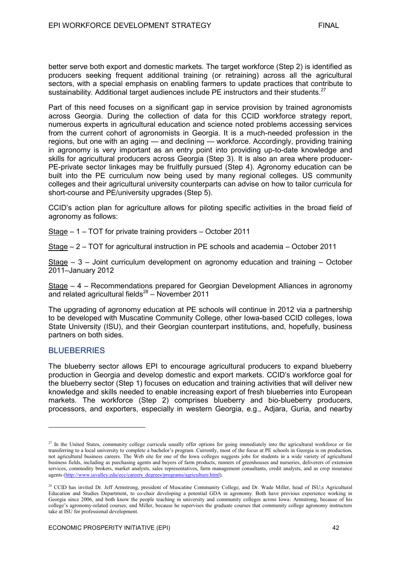better serve both export and domestic markets. The target workforce (Step 2) is identified as producers seeking frequent additional training (or retraining) across all the agricultural sectors, with a special emphasis on enabling farmers to update practices that contribute to sustainability. Additional target audiences include PE instructors and their students.<sup>27</sup>

Part of this need focuses on a significant gap in service provision by trained agronomists across Georgia. During the collection of data for this CCID workforce strategy report, numerous experts in agricultural education and science noted problems accessing services from the current cohort of agronomists in Georgia. It is a much-needed profession in the regions, but one with an aging — and declining — workforce. Accordingly, providing training in agronomy is very important as an entry point into providing up-to-date knowledge and skills for agricultural producers across Georgia (Step 3). It is also an area where producer-PE-private sector linkages may be fruitfully pursued (Step 4). Agronomy education can be built into the PE curriculum now being used by many regional colleges. US community colleges and their agricultural university counterparts can advise on how to tailor curricula for short-course and PE/university upgrades (Step 5).

CCID's action plan for agriculture allows for piloting specific activities in the broad field of agronomy as follows:

Stage – 1 – TOT for private training providers – October 2011

Stage – 2 – TOT for agricultural instruction in PE schools and academia – October 2011

Stage – 3 – Joint curriculum development on agronomy education and training – October 2011–January 2012

Stage – 4 – Recommendations prepared for Georgian Development Alliances in agronomy and related agricultural fields $^{28}$  – November 2011

The upgrading of agronomy education at PE schools will continue in 2012 via a partnership to be developed with Muscatine Community College, other Iowa-based CCID colleges, Iowa State University (ISU), and their Georgian counterpart institutions, and, hopefully, business partners on both sides.

### **BLUEBERRIES**

-

The blueberry sector allows EPI to encourage agricultural producers to expand blueberry production in Georgia and develop domestic and export markets. CCID's workforce goal for the blueberry sector (Step 1) focuses on education and training activities that will deliver new knowledge and skills needed to enable increasing export of fresh blueberries into European markets. The workforce (Step 2) comprises blueberry and bio-blueberry producers, processors, and exporters, especially in western Georgia, e.g., Adjara, Guria, and nearby

<sup>&</sup>lt;sup>27</sup> In the United States, community college curricula usually offer options for going immediately into the agricultural workforce or for transferring to a local university to complete a bachelor's program. Currently, most of the focus at PE schools in Georgia is on production, not agricultural business careers. The Web site for one of the Iowa colleges suggests jobs for students in a wide variety of agricultural business fields, including as purchasing agents and buyers of farm products, runners of greenhouses and nurseries, deliverers of extension services, commodity brokers, market analysts, sales representatives, farm management consultants, credit analysts, and as crop insurance agents [\(http://www.iavalley.edu/ecc/careers\\_degrees/programs/agriculture.html\)](http://www.iavalley.edu/ecc/careers_degrees/programs/agriculture.html).

<sup>&</sup>lt;sup>28</sup> CCID has invited Dr. Jeff Armstrong, president of Muscatine Community College, and Dr. Wade Miller, head of ISU;s Agricultural Education and Studies Department, to co-chair developing a potential GDA in agronomy. Both have previous experience working in Georgia since 2006, and both know the people teaching in university and community colleges across Iowa: Armstrong, because of his college's agronomy-related courses; and Miller, because he supervises the graduate courses that community college agronomy instructors take at ISU for professional development.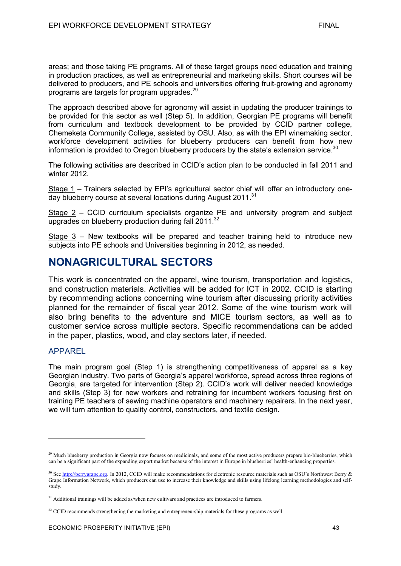areas; and those taking PE programs. All of these target groups need education and training in production practices, as well as entrepreneurial and marketing skills. Short courses will be delivered to producers, and PE schools and universities offering fruit-growing and agronomy programs are targets for program upgrades.<sup>29</sup>

The approach described above for agronomy will assist in updating the producer trainings to be provided for this sector as well (Step 5). In addition, Georgian PE programs will benefit from curriculum and textbook development to be provided by CCID partner college, Chemeketa Community College, assisted by OSU. Also, as with the EPI winemaking sector, workforce development activities for blueberry producers can benefit from how new information is provided to Oregon blueberry producers by the state's extension service. $30$ 

The following activities are described in CCID's action plan to be conducted in fall 2011 and winter 2012.

Stage 1 – Trainers selected by EPI's agricultural sector chief will offer an introductory oneday blueberry course at several locations during August 2011.<sup>31</sup>

Stage 2 – CCID curriculum specialists organize PE and university program and subject upgrades on blueberry production during fall 2011.<sup>32</sup>

Stage 3 – New textbooks will be prepared and teacher training held to introduce new subjects into PE schools and Universities beginning in 2012, as needed.

# **NONAGRICULTURAL SECTORS**

This work is concentrated on the apparel, wine tourism, transportation and logistics, and construction materials. Activities will be added for ICT in 2002. CCID is starting by recommending actions concerning wine tourism after discussing priority activities planned for the remainder of fiscal year 2012. Some of the wine tourism work will also bring benefits to the adventure and MICE tourism sectors, as well as to customer service across multiple sectors. Specific recommendations can be added in the paper, plastics, wood, and clay sectors later, if needed.

### APPAREL

-

The main program goal (Step 1) is strengthening competitiveness of apparel as a key Georgian industry. Two parts of Georgia's apparel workforce, spread across three regions of Georgia, are targeted for intervention (Step 2). CCID's work will deliver needed knowledge and skills (Step 3) for new workers and retraining for incumbent workers focusing first on training PE teachers of sewing machine operators and machinery repairers. In the next year, we will turn attention to quality control, constructors, and textile design.

<sup>&</sup>lt;sup>29</sup> Much blueberry production in Georgia now focuses on medicinals, and some of the most active producers prepare bio-blueberries, which can be a significant part of the expanding export market because of the interest in Europe in blueberries' health-enhancing properties.

<sup>&</sup>lt;sup>30</sup> See [http://berrygrape.org.](http://berrygrape.org/) In 2012, CCID will make recommendations for electronic resource materials such as OSU's Northwest Berry  $\&$ Grape Information Network, which producers can use to increase their knowledge and skills using lifelong learning methodologies and selfstudy.

<sup>&</sup>lt;sup>31</sup> Additional trainings will be added as/when new cultivars and practices are introduced to farmers.

<sup>&</sup>lt;sup>32</sup> CCID recommends strengthening the marketing and entrepreneurship materials for these programs as well.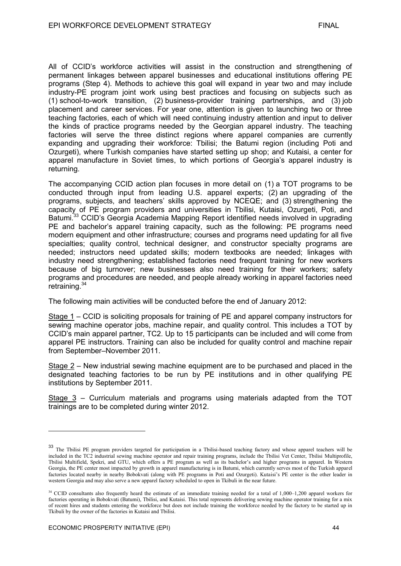All of CCID's workforce activities will assist in the construction and strengthening of permanent linkages between apparel businesses and educational institutions offering PE programs (Step 4). Methods to achieve this goal will expand in year two and may include industry-PE program joint work using best practices and focusing on subjects such as (1) school-to-work transition, (2) business-provider training partnerships, and (3) job placement and career services. For year one, attention is given to launching two or three teaching factories, each of which will need continuing industry attention and input to deliver the kinds of practice programs needed by the Georgian apparel industry. The teaching factories will serve the three distinct regions where apparel companies are currently expanding and upgrading their workforce: Tbilisi; the Batumi region (including Poti and Ozurgeti), where Turkish companies have started setting up shop; and Kutaisi, a center for apparel manufacture in Soviet times, to which portions of Georgia's apparel industry is returning.

The accompanying CCID action plan focuses in more detail on (1) a TOT programs to be conducted through input from leading U.S. apparel experts; (2) an upgrading of the programs, subjects, and teachers' skills approved by NCEQE; and (3) strengthening the capacity of PE program providers and universities in Tbilisi, Kutaisi, Ozurgeti, Poti, and Batumi.<sup>33</sup> CCID's Georgia Academia Mapping Report identified needs involved in upgrading PE and bachelor's apparel training capacity, such as the following: PE programs need modern equipment and other infrastructure; courses and programs need updating for all five specialties; quality control, technical designer, and constructor specialty programs are needed; instructors need updated skills; modern textbooks are needed; linkages with industry need strengthening; established factories need frequent training for new workers because of big turnover; new businesses also need training for their workers; safety programs and procedures are needed, and people already working in apparel factories need retraining.<sup>34</sup>

The following main activities will be conducted before the end of January 2012:

Stage 1 – CCID is soliciting proposals for training of PE and apparel company instructors for sewing machine operator jobs, machine repair, and quality control. This includes a TOT by CCID's main apparel partner, TC2. Up to 15 participants can be included and will come from apparel PE instructors. Training can also be included for quality control and machine repair from September–November 2011.

Stage 2 – New industrial sewing machine equipment are to be purchased and placed in the designated teaching factories to be run by PE institutions and in other qualifying PE institutions by September 2011.

Stage 3 – Curriculum materials and programs using materials adapted from the TOT trainings are to be completed during winter 2012.

<sup>&</sup>lt;sup>33</sup> The Tbilisi PE program providers targeted for participation in a Tbilisi-based teaching factory and whose apparel teachers will be the Thilisi V<sub>ot</sub> Center Thilisi Multiprefile included in the TC2 industrial sewing machine operator and repair training programs, include the Tbilisi Vet Center, Tbilisi Multiprofile, Tbilisi Multifield, Spekri, and GTU, which offers a PE program as well as its bachelor's and higher programs in apparel. In Western Georgia, the PE center most impacted by growth in apparel manufacturing is in Batumi, which currently serves most of the Turkish apparel factories located nearby in nearby Bobokvati (along with PE programs in Poti and Ozurgeti). Kutaisi's PE center is the other leader in western Georgia and may also serve a new apparel factory scheduled to open in Tkibuli in the near future.

<sup>&</sup>lt;sup>34</sup> CCID consultants also frequently heard the estimate of an immediate training needed for a total of 1,000-1,200 apparel workers for factories operating in Bobokvati (Batumi), Tbilisi, and Kutaisi. This total represents delivering sewing machine operator training for a mix of recent hires and students entering the workforce but does not include training the workforce needed by the factory to be started up in Tkibuli by the owner of the factories in Kutaisi and Tbilisi.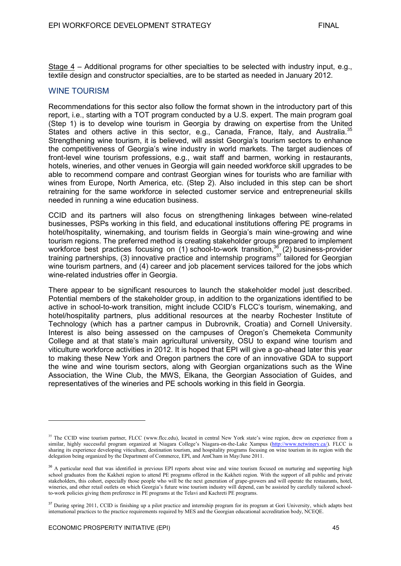Stage 4 – Additional programs for other specialties to be selected with industry input, e.g., textile design and constructor specialties, are to be started as needed in January 2012.

#### WINE TOURISM

Recommendations for this sector also follow the format shown in the introductory part of this report, i.e., starting with a TOT program conducted by a U.S. expert. The main program goal (Step 1) is to develop wine tourism in Georgia by drawing on expertise from the United States and others active in this sector, e.g., Canada, France, Italy, and Australia.<sup>35</sup> Strengthening wine tourism, it is believed, will assist Georgia's tourism sectors to enhance the competitiveness of Georgia's wine industry in world markets. The target audiences of front-level wine tourism professions, e.g., wait staff and barmen, working in restaurants, hotels, wineries, and other venues in Georgia will gain needed workforce skill upgrades to be able to recommend compare and contrast Georgian wines for tourists who are familiar with wines from Europe, North America, etc. (Step 2). Also included in this step can be short retraining for the same workforce in selected customer service and entrepreneurial skills needed in running a wine education business.

CCID and its partners will also focus on strengthening linkages between wine-related businesses, PSPs working in this field, and educational institutions offering PE programs in hotel/hospitality, winemaking, and tourism fields in Georgia's main wine-growing and wine tourism regions. The preferred method is creating stakeholder groups prepared to implement workforce best practices focusing on (1) school-to-work transition,<sup>36</sup> (2) business-provider training partnerships, (3) innovative practice and internship programs<sup>37</sup> tailored for Georgian wine tourism partners, and (4) career and job placement services tailored for the jobs which wine-related industries offer in Georgia.

There appear to be significant resources to launch the stakeholder model just described. Potential members of the stakeholder group, in addition to the organizations identified to be active in school-to-work transition, might include CCID's FLCC's tourism, winemaking, and hotel/hospitality partners, plus additional resources at the nearby Rochester Institute of Technology (which has a partner campus in Dubrovnik, Croatia) and Cornell University. Interest is also being assessed on the campuses of Oregon's Chemeketa Community College and at that state's main agricultural university, OSU to expand wine tourism and viticulture workforce activities in 2012. It is hoped that EPI will give a go-ahead later this year to making these New York and Oregon partners the core of an innovative GDA to support the wine and wine tourism sectors, along with Georgian organizations such as the Wine Association, the Wine Club, the MWS, Elkana, the Georgian Association of Guides, and representatives of the wineries and PE schools working in this field in Georgia.

<sup>&</sup>lt;sup>35</sup> The CCID wine tourism partner, FLCC (www.flcc.edu), located in central New York state's wine region, drew on experience from a similar, highly successful program organized at Niagara College's Niagara-on-the-Lake Xampus [\(http://www.nctwinery.ca/\)](http://www.nctwinery.ca/). FLCC is sharing its experience developing viticulture, destination tourism, and hospitality programs focusing on wine tourism in its region with the delegation being organized by the Department of Commerce, EPI, and AmCham in May/June 2011.

<sup>&</sup>lt;sup>36</sup> A particular need that was identified in previous EPI reports about wine and wine tourism focused on nurturing and supporting high school graduates from the Kakheti region to attend PE programs offered in the Kakheti region. With the support of all public and private stakeholders, this cohort, especially those people who will be the next generation of grape-growers and will operate the restaurants, hotel, wineries, and other retail outlets on which Georgia's future wine tourism industry will depend, can be assisted by carefully tailored schoolto-work policies giving them preference in PE programs at the Telavi and Kachreti PE programs.

<sup>&</sup>lt;sup>37</sup> During spring 2011, CCID is finishing up a pilot practice and internship program for its program at Gori University, which adapts best international practices to the practice requirements required by MES and the Georgian educational accreditation body, NCEQE.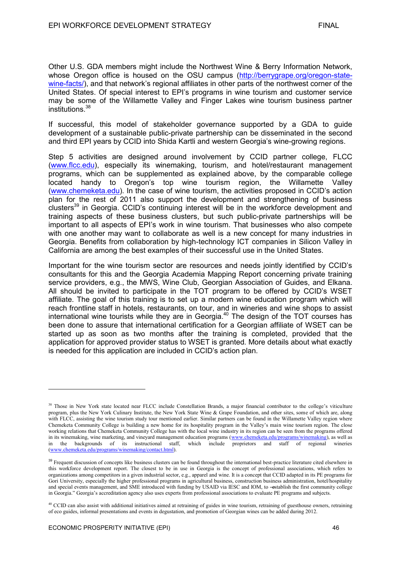Other U.S. GDA members might include the Northwest Wine & Berry Information Network, whose Oregon office is housed on the OSU campus [\(http://berrygrape.org/oregon-state](http://berrygrape.org/oregon-state-wine-facts/)[wine-facts/\)](http://berrygrape.org/oregon-state-wine-facts/), and that network's regional affiliates in other parts of the northwest corner of the United States. Of special interest to EPI's programs in wine tourism and customer service may be some of the Willamette Valley and Finger Lakes wine tourism business partner institutions.<sup>38</sup>

If successful, this model of stakeholder governance supported by a GDA to guide development of a sustainable public-private partnership can be disseminated in the second and third EPI years by CCID into Shida Kartli and western Georgia's wine-growing regions.

Step 5 activities are designed around involvement by CCID partner college, FLCC [\(www.flcc.edu\)](http://www.flcc.edu/), especially its winemaking, tourism, and hotel/restaurant management programs, which can be supplemented as explained above, by the comparable college located handy to Oregon's top wine tourism region, the Willamette Valley [\(www.chemeketa.edu\)](http://www.chemeketa.edu/). In the case of wine tourism, the activities proposed in CCID's action plan for the rest of 2011 also support the development and strengthening of business clusters<sup>39</sup> in Georgia. CCID's continuing interest will be in the workforce development and training aspects of these business clusters, but such public-private partnerships will be important to all aspects of EPI's work in wine tourism. That businesses who also compete with one another may want to collaborate as well is a new concept for many industries in Georgia. Benefits from collaboration by high-technology ICT companies in Silicon Valley in California are among the best examples of their successful use in the United States.

Important for the wine tourism sector are resources and needs jointly identified by CCID's consultants for this and the Georgia Academia Mapping Report concerning private training service providers, e.g., the MWS, Wine Club, Georgian Association of Guides, and Elkana. All should be invited to participate in the TOT program to be offered by CCID's WSET affiliate. The goal of this training is to set up a modern wine education program which will reach frontline staff in hotels, restaurants, on tour, and in wineries and wine shops to assist international wine tourists while they are in Georgia.<sup>40</sup> The design of the TOT courses has been done to assure that international certification for a Georgian affiliate of WSET can be started up as soon as two months after the training is completed, provided that the application for approved provider status to WSET is granted. More details about what exactly is needed for this application are included in CCID's action plan.

<sup>&</sup>lt;sup>38</sup> Those in New York state located near FLCC include Constellation Brands, a major financial contributor to the college's viticulture program, plus the New York Culinary Institute, the New York State Wine & Grape Foundation, and other sites, some of which are, along with FLCC, assisting the wine tourism study tour mentioned earlier. Similar partners can be found in the Willamette Valley region where Chemeketa Community College is building a new home for its hospitality program in the Valley's main wine tourism region. The close working relations that Chemeketa Community College has with the local wine industry in its region can be seen from the programs offered in its winemaking, wine marketing, and vineyard management education programs [\(www.chemeketa.edu/programs/winemaking\)](http://www.chemeketa.edu/programs/winemaking), as well as in the backgrounds of its instructional staff, which include proprietors and staff of regional wineries [\(www.chemeketa.edu/programs/winemaking/contact.html\)](http://www.chemeketa.edu/programs/winemaking/contact.html).

<sup>&</sup>lt;sup>39</sup> Frequent discussion of concepts like business clusters can be found throughout the international best-practice literature cited elsewhere in this workforce development report. The closest to be in use in Georgia is the concept of professional associations, which refers to organizations among competitors in a given industrial sector, e.g., apparel and wine. It is a concept that CCID adapted in its PE programs for Gori University, especially the higher professional programs in agricultural business, construction business administration, hotel/hospitality and special events management, and SME introduced with funding by USAID via IESC and IOM, to -establish the first community college in Georgia." Georgia's accreditation agency also uses experts from professional associations to evaluate PE programs and subjects.

<sup>&</sup>lt;sup>40</sup> CCID can also assist with additional initiatives aimed at retraining of guides in wine tourism, retraining of guesthouse owners, retraining of eco guides, informal presentations and events in degustation, and promotion of Georgian wines can be added during 2012.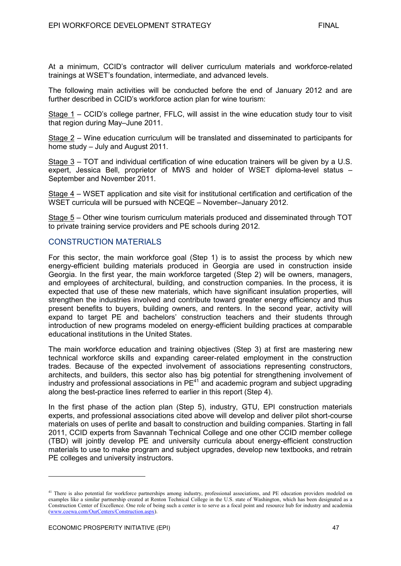At a minimum, CCID's contractor will deliver curriculum materials and workforce-related trainings at WSET's foundation, intermediate, and advanced levels.

The following main activities will be conducted before the end of January 2012 and are further described in CCID's workforce action plan for wine tourism:

Stage 1 – CCID's college partner, FFLC, will assist in the wine education study tour to visit that region during May–June 2011.

Stage 2 – Wine education curriculum will be translated and disseminated to participants for home study – July and August 2011.

Stage 3 – TOT and individual certification of wine education trainers will be given by a U.S. expert, Jessica Bell, proprietor of MWS and holder of WSET diploma-level status – September and November 2011.

Stage 4 – WSET application and site visit for institutional certification and certification of the WSET curricula will be pursued with NCEQE – November–January 2012.

Stage 5 – Other wine tourism curriculum materials produced and disseminated through TOT to private training service providers and PE schools during 2012.

# CONSTRUCTION MATERIALS

For this sector, the main workforce goal (Step 1) is to assist the process by which new energy-efficient building materials produced in Georgia are used in construction inside Georgia. In the first year, the main workforce targeted (Step 2) will be owners, managers, and employees of architectural, building, and construction companies. In the process, it is expected that use of these new materials, which have significant insulation properties, will strengthen the industries involved and contribute toward greater energy efficiency and thus present benefits to buyers, building owners, and renters. In the second year, activity will expand to target PE and bachelors' construction teachers and their students through introduction of new programs modeled on energy-efficient building practices at comparable educational institutions in the United States.

The main workforce education and training objectives (Step 3) at first are mastering new technical workforce skills and expanding career-related employment in the construction trades. Because of the expected involvement of associations representing constructors, architects, and builders, this sector also has big potential for strengthening involvement of industry and professional associations in  $PE<sup>41</sup>$  and academic program and subject upgrading along the best-practice lines referred to earlier in this report (Step 4).

In the first phase of the action plan (Step 5), industry, GTU, EPI construction materials experts, and professional associations cited above will develop and deliver pilot short-course materials on uses of perlite and basalt to construction and building companies. Starting in fall 2011, CCID experts from Savannah Technical College and one other CCID member college (TBD) will jointly develop PE and university curricula about energy-efficient construction materials to use to make program and subject upgrades, develop new textbooks, and retrain PE colleges and university instructors.

<sup>&</sup>lt;sup>41</sup> There is also potential for workforce partnerships among industry, professional associations, and PE education providers modeled on examples like a similar partnership created at Renton Technical College in the U.S. state of Washington, which has been designated as a Construction Center of Excellence. One role of being such a center is to serve as a focal point and resource hub for industry and academia [\(www.coewa.com/OurCenters/Construction.aspx\)](http://www.coewa.com/OurCenters/Construction.aspx).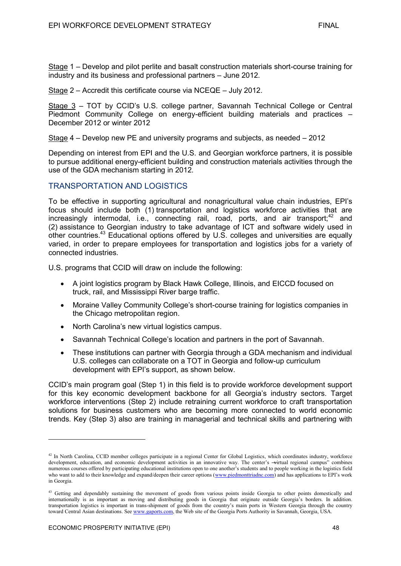Stage 2 – Accredit this certificate course via NCEQE – July 2012.

Stage 3 – TOT by CCID's U.S. college partner, Savannah Technical College or Central Piedmont Community College on energy-efficient building materials and practices – December 2012 or winter 2012

Stage 4 – Develop new PE and university programs and subjects, as needed – 2012

Depending on interest from EPI and the U.S. and Georgian workforce partners, it is possible to pursue additional energy-efficient building and construction materials activities through the use of the GDA mechanism starting in 2012.

# TRANSPORTATION AND LOGISTICS

To be effective in supporting agricultural and nonagricultural value chain industries, EPI's focus should include both (1) transportation and logistics workforce activities that are increasingly intermodal, i.e., connecting rail, road, ports, and air transport;<sup>42</sup> and (2) assistance to Georgian industry to take advantage of ICT and software widely used in other countries.<sup>43</sup> Educational options offered by U.S. colleges and universities are equally varied, in order to prepare employees for transportation and logistics jobs for a variety of connected industries.

U.S. programs that CCID will draw on include the following:

- A joint logistics program by Black Hawk College, Illinois, and EICCD focused on truck, rail, and Mississippi River barge traffic.
- Moraine Valley Community College's short-course training for logistics companies in the Chicago metropolitan region.
- North Carolina's new virtual logistics campus.
- Savannah Technical College's location and partners in the port of Savannah.
- These institutions can partner with Georgia through a GDA mechanism and individual U.S. colleges can collaborate on a TOT in Georgia and follow-up curriculum development with EPI's support, as shown below.

CCID's main program goal (Step 1) in this field is to provide workforce development support for this key economic development backbone for all Georgia's industry sectors. Target workforce interventions (Step 2) include retraining current workforce to craft transportation solutions for business customers who are becoming more connected to world economic trends. Key (Step 3) also are training in managerial and technical skills and partnering with

<sup>&</sup>lt;sup>42</sup> In North Carolina, CCID member colleges participate in a regional Center for Global Logistics, which coordinates industry, workforce development, education, and economic development activities in an innovative way. The center's —virtual regional campus" combines numerous courses offered by participating educational institutions open to one another's students and to people working in the logistics field who want to add to their knowledge and expand/deepen their career options [\(www.piedmonttriadnc.com\)](http://www.piedmonttriadnc.com/) and has applications to EPI's work in Georgia.

<sup>&</sup>lt;sup>43</sup> Getting and dependably sustaining the movement of goods from various points inside Georgia to other points domestically and internationally is as important as moving and distributing goods in Georgia that originate outside Georgia's borders. In addition. transportation logistics is important in trans-shipment of goods from the country's main ports in Western Georgia through the country toward Central Asian destinations. Se[e www.gaports.com,](http://www.gaports.com/) the Web site of the Georgia Ports Authority in Savannah, Georgia, USA.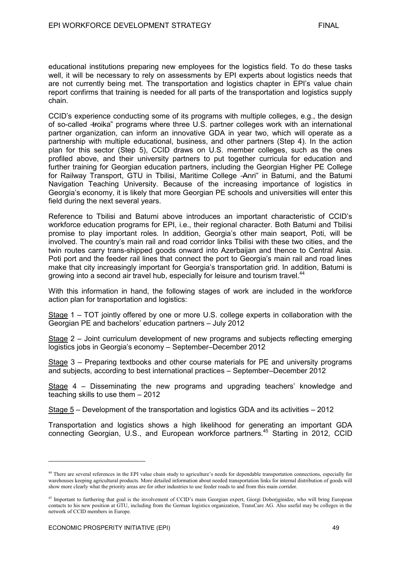educational institutions preparing new employees for the logistics field. To do these tasks well, it will be necessary to rely on assessments by EPI experts about logistics needs that are not currently being met. The transportation and logistics chapter in EPI's value chain report confirms that training is needed for all parts of the transportation and logistics supply chain.

CCID's experience conducting some of its programs with multiple colleges, e.g., the design of so-called -troika" programs where three U.S. partner colleges work with an international partner organization, can inform an innovative GDA in year two, which will operate as a partnership with multiple educational, business, and other partners (Step 4). In the action plan for this sector (Step 5), CCID draws on U.S. member colleges, such as the ones profiled above, and their university partners to put together curricula for education and further training for Georgian education partners, including the Georgian Higher PE College for Railway Transport, GTU in Tbilisi, Maritime College -Anri" in Batumi, and the Batumi Navigation Teaching University. Because of the increasing importance of logistics in Georgia's economy, it is likely that more Georgian PE schools and universities will enter this field during the next several years.

Reference to Tbilisi and Batumi above introduces an important characteristic of CCID's workforce education programs for EPI, i.e., their regional character. Both Batumi and Tbilisi promise to play important roles. In addition, Georgia's other main seaport, Poti, will be involved. The country's main rail and road corridor links Tbilisi with these two cities, and the twin routes carry trans-shipped goods onward into Azerbaijan and thence to Central Asia. Poti port and the feeder rail lines that connect the port to Georgia's main rail and road lines make that city increasingly important for Georgia's transportation grid. In addition, Batumi is growing into a second air travel hub, especially for leisure and tourism travel.<sup>44</sup>

With this information in hand, the following stages of work are included in the workforce action plan for transportation and logistics:

Stage 1 – TOT jointly offered by one or more U.S. college experts in collaboration with the Georgian PE and bachelors' education partners – July 2012

Stage 2 – Joint curriculum development of new programs and subjects reflecting emerging logistics jobs in Georgia's economy – September–December 2012

Stage 3 – Preparing textbooks and other course materials for PE and university programs and subjects, according to best international practices – September–December 2012

Stage 4 – Disseminating the new programs and upgrading teachers' knowledge and teaching skills to use them – 2012

Stage 5 – Development of the transportation and logistics GDA and its activities – 2012

Transportation and logistics shows a high likelihood for generating an important GDA connecting Georgian, U.S., and European workforce partners.<sup>45</sup> Starting in 2012, CCID

<sup>&</sup>lt;sup>44</sup> There are several references in the EPI value chain study to agriculture's needs for dependable transportation connections, especially for warehouses keeping agricultural products. More detailed information about needed transportation links for internal distribution of goods will show more clearly what the priority areas are for other industries to use feeder roads to and from this main corridor.

<sup>&</sup>lt;sup>45</sup> Important to furthering that goal is the involvement of CCID's main Georgian expert, Giorgi Doborjginidze, who will bring European contacts to his new position at GTU, including from the German logistics organization, TransCare AG. Also useful may be colleges in the network of CCID members in Europe.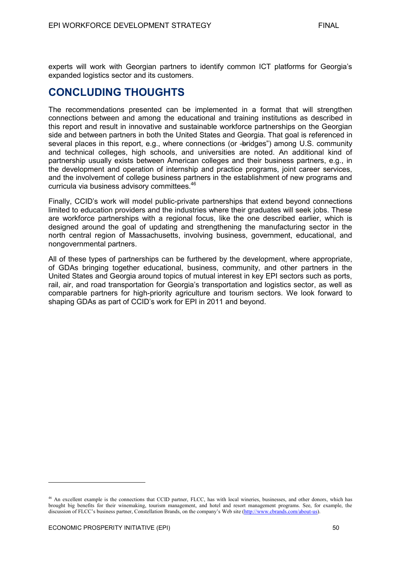experts will work with Georgian partners to identify common ICT platforms for Georgia's expanded logistics sector and its customers.

# **CONCLUDING THOUGHTS**

The recommendations presented can be implemented in a format that will strengthen connections between and among the educational and training institutions as described in this report and result in innovative and sustainable workforce partnerships on the Georgian side and between partners in both the United States and Georgia. That goal is referenced in several places in this report, e.g., where connections (or -bridges") among U.S. community and technical colleges, high schools, and universities are noted. An additional kind of partnership usually exists between American colleges and their business partners, e.g., in the development and operation of internship and practice programs, joint career services, and the involvement of college business partners in the establishment of new programs and curricula via business advisory committees.<sup>46</sup>

Finally, CCID's work will model public-private partnerships that extend beyond connections limited to education providers and the industries where their graduates will seek jobs. These are workforce partnerships with a regional focus, like the one described earlier, which is designed around the goal of updating and strengthening the manufacturing sector in the north central region of Massachusetts, involving business, government, educational, and nongovernmental partners.

All of these types of partnerships can be furthered by the development, where appropriate, of GDAs bringing together educational, business, community, and other partners in the United States and Georgia around topics of mutual interest in key EPI sectors such as ports, rail, air, and road transportation for Georgia's transportation and logistics sector, as well as comparable partners for high-priority agriculture and tourism sectors. We look forward to shaping GDAs as part of CCID's work for EPI in 2011 and beyond.

<sup>&</sup>lt;sup>46</sup> An excellent example is the connections that CCID partner, FLCC, has with local wineries, businesses, and other donors, which has brought big benefits for their winemaking, tourism management, and hotel and resort management programs. See, for example, the discussion of FLCC's business partner, Constellation Brands, on the company's Web site [\(http://www.cbrands.com/about-us\)](http://www.cbrands.com/about-us).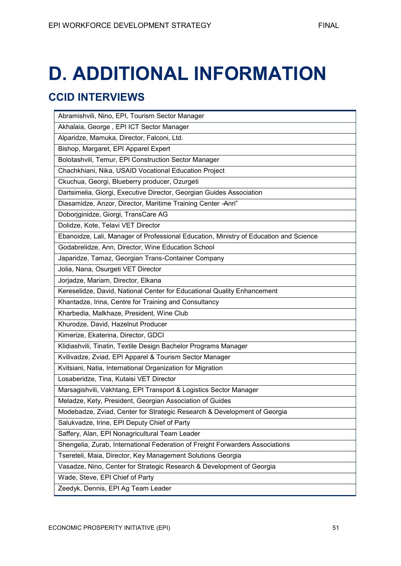# **D. ADDITIONAL INFORMATION**

# **CCID INTERVIEWS**

| Abramishvili, Nino, EPI, Tourism Sector Manager                                       |
|---------------------------------------------------------------------------------------|
| Akhalaia, George, EPI ICT Sector Manager                                              |
| Alparidze, Mamuka, Director, Falconi, Ltd.                                            |
| Bishop, Margaret, EPI Apparel Expert                                                  |
| Bolotashvili, Temur, EPI Construction Sector Manager                                  |
| Chachkhiani, Nika, USAID Vocational Education Project                                 |
| Ckuchua, Georgi, Blueberry producer, Ozurgeti                                         |
| Dartsimelia, Giorgi, Executive Director, Georgian Guides Association                  |
| Diasamidze, Anzor, Director, Maritime Training Center - Anri"                         |
| Doborjginidze, Giorgi, TransCare AG                                                   |
| Dolidze, Kote, Telavi VET Director                                                    |
| Ebanoidze, Lali, Manager of Professional Education, Ministry of Education and Science |
| Godabrelidze, Ann, Director, Wine Education School                                    |
| Japaridze, Tamaz, Georgian Trans-Container Company                                    |
| Jolia, Nana, Osurgeti VET Director                                                    |
| Jorjadze, Mariam, Director, Elkana                                                    |
| Kereselidze, David, National Center for Educational Quality Enhancement               |
| Khantadze, Irina, Centre for Training and Consultancy                                 |
| Kharbedia, Malkhaze, President, Wine Club                                             |
| Khurodze, David, Hazelnut Producer                                                    |
| Kimerize, Ekaterina, Director, GDCI                                                   |
| Klidiashvili, Tinatin, Textile Design Bachelor Programs Manager                       |
| Kvilivadze, Zviad, EPI Apparel & Tourism Sector Manager                               |
| Kvitsiani, Natia, International Organization for Migration                            |
| Losaberidze, Tina, Kutaisi VET Director                                               |
| Marsagishvili, Vakhtang, EPI Transport & Logistics Sector Manager                     |
| Meladze, Kety, President, Georgian Association of Guides                              |
| Modebadze, Zviad, Center for Strategic Research & Development of Georgia              |
| Salukvadze, Irine, EPI Deputy Chief of Party                                          |
| Saffery, Alan, EPI Nonagricultural Team Leader                                        |
| Shengelia, Zurab, International Federation of Freight Forwarders Associations         |
| Tsereteli, Maia, Director, Key Management Solutions Georgia                           |
| Vasadze, Nino, Center for Strategic Research & Development of Georgia                 |
| Wade, Steve, EPI Chief of Party                                                       |
| Zeedyk, Dennis, EPI Ag Team Leader                                                    |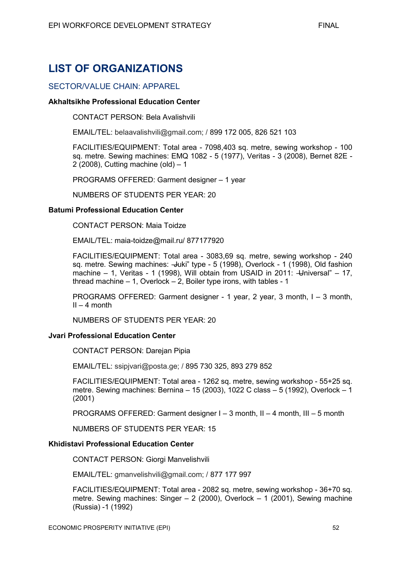# **LIST OF ORGANIZATIONS**

# SECTOR/VALUE CHAIN: APPAREL

#### **Akhaltsikhe Professional Education Center**

CONTACT PERSON: Bela Avalishvili

EMAIL/TEL: belaavalishvili@gmail.com; / 899 172 005, 826 521 103

FACILITIES/EQUIPMENT: Total area - 7098,403 sq. metre, sewing workshop - 100 sq. metre. Sewing machines: EMQ 1082 - 5 (1977), Veritas - 3 (2008), Bernet 82E - 2 (2008), Cutting machine (old) – 1

PROGRAMS OFFERED: Garment designer – 1 year

NUMBERS OF STUDENTS PER YEAR: 20

#### **Batumi Professional Education Center**

CONTACT PERSON: Maia Toidze

EMAIL/TEL: maia-toidze@mail.ru/ 877177920

FACILITIES/EQUIPMENT: Total area - 3083,69 sq. metre, sewing workshop - 240 sq. metre. Sewing machines: - Juki" type - 5 (1998), Overlock - 1 (1998), Old fashion machine – 1, Veritas - 1 (1998), Will obtain from USAID in 2011:  $\frac{1}{2}$  Universal" – 17, thread machine – 1, Overlock – 2, Boiler type irons, with tables - 1

PROGRAMS OFFERED: Garment designer - 1 year, 2 year, 3 month, I – 3 month,  $II - 4$  month

NUMBERS OF STUDENTS PER YEAR: 20

#### **Jvari Professional Education Center**

CONTACT PERSON: Darejan Pipia

EMAIL/TEL: ssipjvari@posta.ge; / 895 730 325, 893 279 852

FACILITIES/EQUIPMENT: Total area - 1262 sq. metre, sewing workshop - 55+25 sq. metre. Sewing machines: Bernina – 15 (2003), 1022 C class – 5 (1992), Overlock – 1 (2001)

PROGRAMS OFFERED: Garment designer I – 3 month, II – 4 month, III – 5 month

NUMBERS OF STUDENTS PER YEAR: 15

#### **Khidistavi Professional Education Center**

CONTACT PERSON: Giorgi Manvelishvili

EMAIL/TEL: gmanvelishvili@gmail.com; / 877 177 997

FACILITIES/EQUIPMENT: Total area - 2082 sq. metre, sewing workshop - 36+70 sq. metre. Sewing machines: Singer  $- 2$  (2000), Overlock  $- 1$  (2001), Sewing machine (Russia) -1 (1992)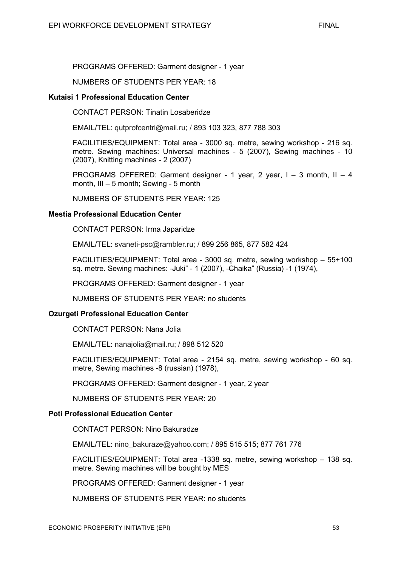PROGRAMS OFFERED: Garment designer - 1 year

#### NUMBERS OF STUDENTS PER YEAR: 18

#### **Kutaisi 1 Professional Education Center**

CONTACT PERSON: Tinatin Losaberidze

EMAIL/TEL: qutprofcentri@mail.ru; / 893 103 323, 877 788 303

FACILITIES/EQUIPMENT: Total area - 3000 sq. metre, sewing workshop - 216 sq. metre. Sewing machines: Universal machines - 5 (2007), Sewing machines - 10 (2007), Knitting machines - 2 (2007)

PROGRAMS OFFERED: Garment designer - 1 year,  $2$  year,  $1 - 3$  month,  $II - 4$ month, III – 5 month; Sewing - 5 month

NUMBERS OF STUDENTS PER YEAR: 125

#### **Mestia Professional Education Center**

CONTACT PERSON: Irma Japaridze

EMAIL/TEL: svaneti-psc@rambler.ru; / 899 256 865, 877 582 424

FACILITIES/EQUIPMENT: Total area - 3000 sq. metre, sewing workshop – 55+100 sq. metre. Sewing machines: - Juki" - 1 (2007), - Ghaika" (Russia) - 1 (1974),

PROGRAMS OFFERED: Garment designer - 1 year

NUMBERS OF STUDENTS PER YEAR: no students

#### **Ozurgeti Professional Education Center**

CONTACT PERSON: Nana Jolia

EMAIL/TEL: nanajolia@mail.ru; / 898 512 520

FACILITIES/EQUIPMENT: Total area - 2154 sq. metre, sewing workshop - 60 sq. metre, Sewing machines -8 (russian) (1978),

PROGRAMS OFFERED: Garment designer - 1 year, 2 year

NUMBERS OF STUDENTS PER YEAR: 20

#### **Poti Professional Education Center**

CONTACT PERSON: Nino Bakuradze

EMAIL/TEL: nino\_bakuraze@yahoo.com; / 895 515 515; 877 761 776

FACILITIES/EQUIPMENT: Total area -1338 sq. metre, sewing workshop – 138 sq. metre. Sewing machines will be bought by MES

PROGRAMS OFFERED: Garment designer - 1 year

NUMBERS OF STUDENTS PER YEAR: no students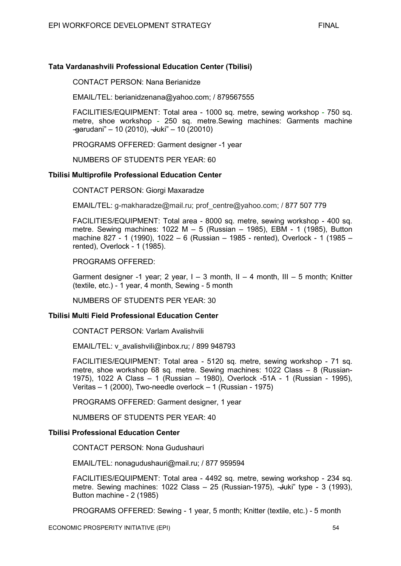## **Tata Vardanashvili Professional Education Center (Tbilisi)**

CONTACT PERSON: Nana Berianidze

EMAIL/TEL: berianidzenana@yahoo.com; / 879567555

FACILITIES/EQUIPMENT: Total area - 1000 sq. metre, sewing workshop - 750 sq. metre, shoe workshop - 250 sq. metre.Sewing machines: Garments machine  $-$ garudani" – 10 (2010),  $-$ Juki" – 10 (20010)

PROGRAMS OFFERED: Garment designer -1 year

NUMBERS OF STUDENTS PER YEAR: 60

#### **Tbilisi Multiprofile Professional Education Center**

CONTACT PERSON: Giorgi Maxaradze

EMAIL/TEL: g-makharadze@mail.ru; prof\_centre@yahoo.com; / 877 507 779

FACILITIES/EQUIPMENT: Total area - 8000 sq. metre, sewing workshop - 400 sq. metre. Sewing machines:  $1022 M - 5$  (Russian – 1985), EBM - 1 (1985), Button machine 827 - 1 (1990), 1022 – 6 (Russian – 1985 - rented), Overlock - 1 (1985 – rented), Overlock - 1 (1985).

PROGRAMS OFFERED:

Garment designer -1 year; 2 year,  $I - 3$  month,  $II - 4$  month,  $III - 5$  month; Knitter (textile, etc.) - 1 year, 4 month, Sewing - 5 month

NUMBERS OF STUDENTS PER YEAR: 30

#### **Tbilisi Multi Field Professional Education Center**

CONTACT PERSON: Varlam Avalishvili

EMAIL/TEL: v\_avalishvili@inbox.ru; / 899 948793

FACILITIES/EQUIPMENT: Total area - 5120 sq. metre, sewing workshop - 71 sq. metre, shoe workshop 68 sq. metre. Sewing machines: 1022 Class – 8 (Russian-1975), 1022 A Class – 1 (Russian – 1980), Overlock -51A - 1 (Russian - 1995), Veritas – 1 (2000), Two-needle overlock – 1 (Russian - 1975)

PROGRAMS OFFERED: Garment designer, 1 year

NUMBERS OF STUDENTS PER YEAR: 40

#### **Tbilisi Professional Education Center**

CONTACT PERSON: Nona Gudushauri

EMAIL/TEL: nonagudushauri@mail.ru; / 877 959594

FACILITIES/EQUIPMENT: Total area - 4492 sq. metre, sewing workshop - 234 sq. metre. Sewing machines:  $1022$  Class –  $25$  (Russian-1975),  $-\frac{1}{2}$ uki" type - 3 (1993), Button machine - 2 (1985)

PROGRAMS OFFERED: Sewing - 1 year, 5 month; Knitter (textile, etc.) - 5 month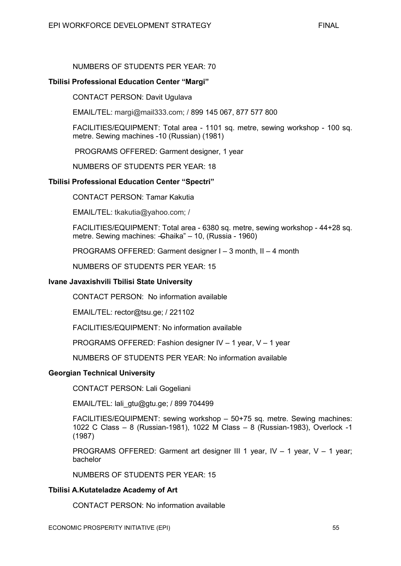# NUMBERS OF STUDENTS PER YEAR: 70

#### **Tbilisi Professional Education Center "Margi"**

CONTACT PERSON: Davit Ugulava

EMAIL/TEL: margi@mail333.com; / 899 145 067, 877 577 800

FACILITIES/EQUIPMENT: Total area - 1101 sq. metre, sewing workshop - 100 sq. metre. Sewing machines -10 (Russian) (1981)

PROGRAMS OFFERED: Garment designer, 1 year

NUMBERS OF STUDENTS PER YEAR: 18

#### **Tbilisi Professional Education Center "Spectri"**

CONTACT PERSON: Tamar Kakutia

EMAIL/TEL: tkakutia@yahoo.com; /

FACILITIES/EQUIPMENT: Total area - 6380 sq. metre, sewing workshop - 44+28 sq. metre. Sewing machines: - Ghaika" – 10, (Russia - 1960)

PROGRAMS OFFERED: Garment designer I – 3 month, II – 4 month

NUMBERS OF STUDENTS PER YEAR: 15

#### **Ivane Javaxishvili Tbilisi State University**

CONTACT PERSON: No information available

EMAIL/TEL: rector@tsu.ge; / 221102

FACILITIES/EQUIPMENT: No information available

PROGRAMS OFFERED: Fashion designer IV – 1 year, V – 1 year

NUMBERS OF STUDENTS PER YEAR: No information available

#### **Georgian Technical University**

CONTACT PERSON: Lali Gogeliani

EMAIL/TEL: lali\_gtu@gtu.ge; / 899 704499

FACILITIES/EQUIPMENT: sewing workshop – 50+75 sq. metre. Sewing machines: 1022 C Class – 8 (Russian-1981), 1022 M Class – 8 (Russian-1983), Overlock -1 (1987)

PROGRAMS OFFERED: Garment art designer III 1 year, IV – 1 year, V – 1 year; bachelor

NUMBERS OF STUDENTS PER YEAR: 15

#### **Tbilisi A.Kutateladze Academy of Art**

CONTACT PERSON: No information available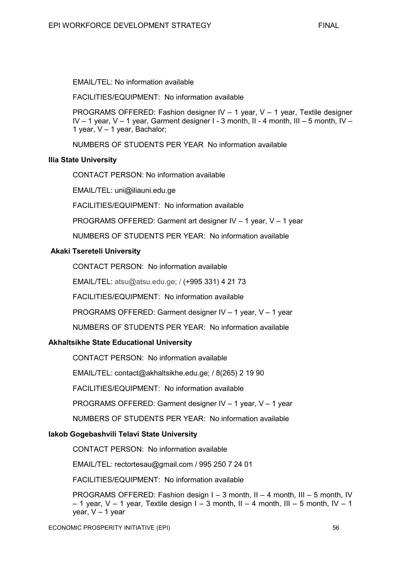EMAIL/TEL: No information available

FACILITIES/EQUIPMENT: No information available

PROGRAMS OFFERED: Fashion designer IV – 1 year, V – 1 year, Textile designer IV – 1 year, V – 1 year, Garment designer I - 3 month, II - 4 month, III – 5 month, IV – 1 year, V – 1 year, Bachalor;

NUMBERS OF STUDENTS PER YEAR No information available

# **Ilia State University**

CONTACT PERSON: No information available

EMAIL/TEL: uni@iliauni.edu.ge

FACILITIES/EQUIPMENT: No information available

PROGRAMS OFFERED: Garment art designer IV – 1 year, V – 1 year

NUMBERS OF STUDENTS PER YEAR: No information available

# **Akaki Tsereteli University**

CONTACT PERSON: No information available

EMAIL/TEL: atsu@atsu.edu.ge; / (+995 331) 4 21 73

FACILITIES/EQUIPMENT: No information available

PROGRAMS OFFERED: Garment designer IV – 1 year, V – 1 year

NUMBERS OF STUDENTS PER YEAR: No information available

### **Akhaltsikhe State Educational University**

CONTACT PERSON: No information available

EMAIL/TEL: contact@akhaltsikhe.edu.ge; / 8(265) 2 19 90

FACILITIES/EQUIPMENT: No information available

PROGRAMS OFFERED: Garment designer IV – 1 year, V – 1 year

NUMBERS OF STUDENTS PER YEAR: No information available

### **Iakob Gogebashvili Telavi State University**

CONTACT PERSON: No information available

EMAIL/TEL: rectortesau@gmail.com / 995 250 7 24 01

FACILITIES/EQUIPMENT: No information available

PROGRAMS OFFERED: Fashion design I – 3 month, II – 4 month, III – 5 month, IV  $-$  1 year, V – 1 year, Textile design I – 3 month, II – 4 month, III – 5 month, IV – 1 year,  $V - 1$  year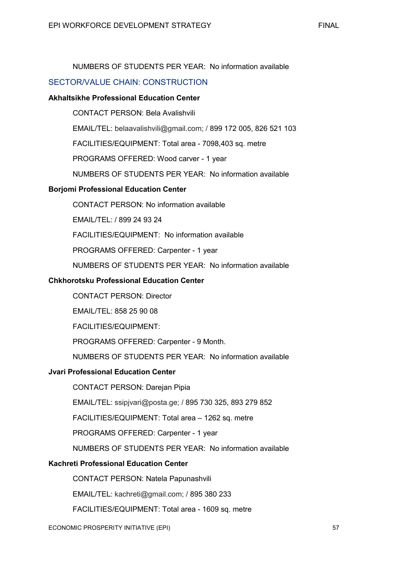# NUMBERS OF STUDENTS PER YEAR: No information available

# SECTOR/VALUE CHAIN: CONSTRUCTION

## **Akhaltsikhe Professional Education Center**

CONTACT PERSON: Bela Avalishvili

EMAIL/TEL: belaavalishvili@gmail.com; / 899 172 005, 826 521 103

FACILITIES/EQUIPMENT: Total area - 7098,403 sq. metre

PROGRAMS OFFERED: Wood carver - 1 year

NUMBERS OF STUDENTS PER YEAR: No information available

# **Borjomi Professional Education Center**

CONTACT PERSON: No information available

EMAIL/TEL: / 899 24 93 24

FACILITIES/EQUIPMENT: No information available

PROGRAMS OFFERED: Carpenter - 1 year

NUMBERS OF STUDENTS PER YEAR: No information available

### **Chkhorotsku Professional Education Center**

CONTACT PERSON: Director

EMAIL/TEL: 858 25 90 08

FACILITIES/EQUIPMENT:

PROGRAMS OFFERED: Carpenter - 9 Month.

NUMBERS OF STUDENTS PER YEAR: No information available

### **Jvari Professional Education Center**

CONTACT PERSON: Darejan Pipia

EMAIL/TEL: ssipjvari@posta.ge; / 895 730 325, 893 279 852

FACILITIES/EQUIPMENT: Total area – 1262 sq. metre

PROGRAMS OFFERED: Carpenter - 1 year

NUMBERS OF STUDENTS PER YEAR: No information available

### **Kachreti Professional Education Center**

CONTACT PERSON: Natela Papunashvili

EMAIL/TEL: kachreti@gmail.com; / 895 380 233

FACILITIES/EQUIPMENT: Total area - 1609 sq. metre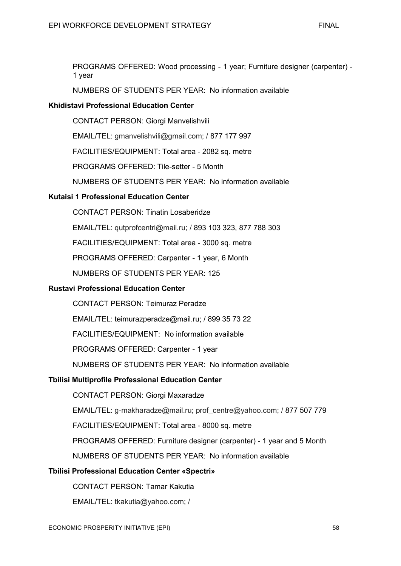PROGRAMS OFFERED: Wood processing - 1 year; Furniture designer (carpenter) - 1 year

NUMBERS OF STUDENTS PER YEAR: No information available

# **Khidistavi Professional Education Center**

CONTACT PERSON: Giorgi Manvelishvili

EMAIL/TEL: gmanvelishvili@gmail.com; / 877 177 997

FACILITIES/EQUIPMENT: Total area - 2082 sq. metre

PROGRAMS OFFERED: Tile-setter - 5 Month

NUMBERS OF STUDENTS PER YEAR: No information available

# **Kutaisi 1 Professional Education Center**

CONTACT PERSON: Tinatin Losaberidze

EMAIL/TEL: qutprofcentri@mail.ru; / 893 103 323, 877 788 303

FACILITIES/EQUIPMENT: Total area - 3000 sq. metre

PROGRAMS OFFERED: Carpenter - 1 year, 6 Month

NUMBERS OF STUDENTS PER YEAR: 125

### **Rustavi Professional Education Center**

CONTACT PERSON: Teimuraz Peradze

EMAIL/TEL: teimurazperadze@mail.ru; / 899 35 73 22

FACILITIES/EQUIPMENT: No information available

PROGRAMS OFFERED: Carpenter - 1 year

NUMBERS OF STUDENTS PER YEAR: No information available

## **Tbilisi Multiprofile Professional Education Center**

CONTACT PERSON: Giorgi Maxaradze

EMAIL/TEL: g-makharadze@mail.ru; prof\_centre@yahoo.com; / 877 507 779

FACILITIES/EQUIPMENT: Total area - 8000 sq. metre

PROGRAMS OFFERED: Furniture designer (carpenter) - 1 year and 5 Month

NUMBERS OF STUDENTS PER YEAR: No information available

# **Tbilisi Professional Education Center «Spectri»**

CONTACT PERSON: Tamar Kakutia

EMAIL/TEL: tkakutia@yahoo.com; /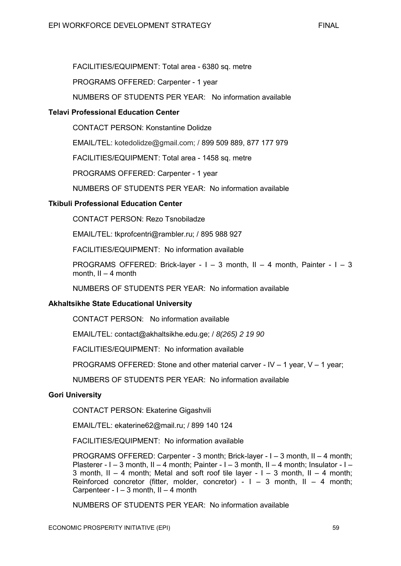FACILITIES/EQUIPMENT: Total area - 6380 sq. metre

PROGRAMS OFFERED: Carpenter - 1 year

NUMBERS OF STUDENTS PER YEAR: No information available

# **Telavi Professional Education Center**

CONTACT PERSON: Konstantine Dolidze

EMAIL/TEL: kotedolidze@gmail.com; / 899 509 889, 877 177 979

FACILITIES/EQUIPMENT: Total area - 1458 sq. metre

PROGRAMS OFFERED: Carpenter - 1 year

NUMBERS OF STUDENTS PER YEAR: No information available

# **Tkibuli Professional Education Center**

CONTACT PERSON: Rezo Tsnobiladze

EMAIL/TEL: tkprofcentri@rambler.ru; / 895 988 927

FACILITIES/EQUIPMENT: No information available

PROGRAMS OFFERED: Brick-layer - I – 3 month, II – 4 month, Painter - I – 3 month,  $II - 4$  month

NUMBERS OF STUDENTS PER YEAR: No information available

### **Akhaltsikhe State Educational University**

CONTACT PERSON: No information available

EMAIL/TEL: contact@akhaltsikhe.edu.ge; / *8(265) 2 19 90* 

FACILITIES/EQUIPMENT: No information available

PROGRAMS OFFERED: Stone and other material carver - IV – 1 year, V – 1 year;

NUMBERS OF STUDENTS PER YEAR: No information available

### **Gori University**

CONTACT PERSON: Ekaterine Gigashvili

EMAIL/TEL: ekaterine62@mail.ru; / 899 140 124

FACILITIES/EQUIPMENT: No information available

PROGRAMS OFFERED: Carpenter - 3 month; Brick-layer - I – 3 month, II – 4 month; Plasterer - I – 3 month, II – 4 month; Painter - I – 3 month, II – 4 month; Insulator - I – 3 month,  $II - 4$  month; Metal and soft roof tile layer  $-1 - 3$  month,  $II - 4$  month; Reinforced concretor (fitter, molder, concretor) -  $I - 3$  month,  $II - 4$  month; Carpenteer -  $I - 3$  month,  $II - 4$  month

NUMBERS OF STUDENTS PER YEAR: No information available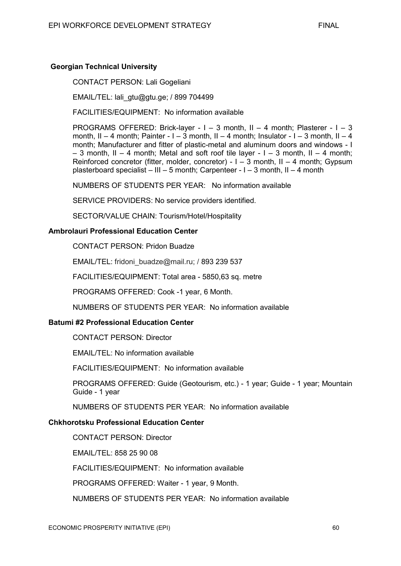CONTACT PERSON: Lali Gogeliani

EMAIL/TEL: lali\_gtu@gtu.ge; / 899 704499

FACILITIES/EQUIPMENT: No information available

PROGRAMS OFFERED: Brick-layer - I – 3 month, II – 4 month; Plasterer - I – 3 month. II – 4 month: Painter - I – 3 month, II – 4 month; Insulator - I – 3 month, II – 4 month; Manufacturer and fitter of plastic-metal and aluminum doors and windows - I  $-$  3 month, II – 4 month; Metal and soft roof tile layer - I – 3 month, II – 4 month; Reinforced concretor (fitter, molder, concretor) -  $I - 3$  month,  $II - 4$  month; Gypsum plasterboard specialist – III – 5 month; Carpenteer - I – 3 month, II – 4 month

NUMBERS OF STUDENTS PER YEAR: No information available

SERVICE PROVIDERS: No service providers identified.

SECTOR/VALUE CHAIN: Tourism/Hotel/Hospitality

#### **Ambrolauri Professional Education Center**

CONTACT PERSON: Pridon Buadze

EMAIL/TEL: fridoni\_buadze@mail.ru; / 893 239 537

FACILITIES/EQUIPMENT: Total area - 5850,63 sq. metre

PROGRAMS OFFERED: Cook -1 year, 6 Month.

NUMBERS OF STUDENTS PER YEAR: No information available

#### **Batumi #2 Professional Education Center**

CONTACT PERSON: Director

EMAIL/TEL: No information available

FACILITIES/EQUIPMENT: No information available

PROGRAMS OFFERED: Guide (Geotourism, etc.) - 1 year; Guide - 1 year; Mountain Guide - 1 year

NUMBERS OF STUDENTS PER YEAR: No information available

#### **Chkhorotsku Professional Education Center**

CONTACT PERSON: Director

EMAIL/TEL: 858 25 90 08

FACILITIES/EQUIPMENT: No information available

PROGRAMS OFFERED: Waiter - 1 year, 9 Month.

NUMBERS OF STUDENTS PER YEAR: No information available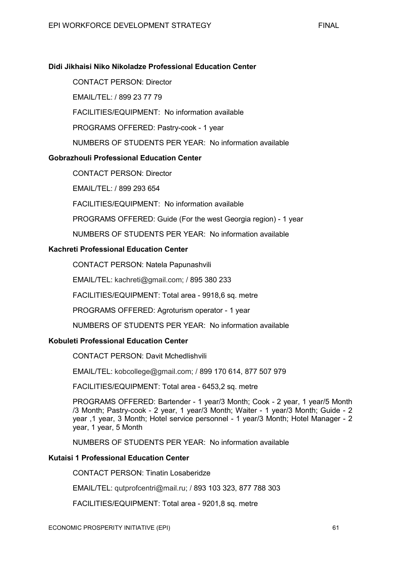# **Didi Jikhaisi Niko Nikoladze Professional Education Center**

CONTACT PERSON: Director

EMAIL/TEL: / 899 23 77 79

FACILITIES/EQUIPMENT: No information available

PROGRAMS OFFERED: Pastry-cook - 1 year

NUMBERS OF STUDENTS PER YEAR: No information available

# **Gobrazhouli Professional Education Center**

CONTACT PERSON: Director

EMAIL/TEL: / 899 293 654

FACILITIES/EQUIPMENT: No information available

PROGRAMS OFFERED: Guide (For the west Georgia region) - 1 year

NUMBERS OF STUDENTS PER YEAR: No information available

# **Kachreti Professional Education Center**

CONTACT PERSON: Natela Papunashvili

EMAIL/TEL: kachreti@gmail.com; / 895 380 233

FACILITIES/EQUIPMENT: Total area - 9918,6 sq. metre

PROGRAMS OFFERED: Agroturism operator - 1 year

NUMBERS OF STUDENTS PER YEAR: No information available

# **Kobuleti Professional Education Center**

CONTACT PERSON: Davit Mchedlishvili

EMAIL/TEL: kobcollege@gmail.com; / 899 170 614, 877 507 979

FACILITIES/EQUIPMENT: Total area - 6453,2 sq. metre

PROGRAMS OFFERED: Bartender - 1 year/3 Month; Cook - 2 year, 1 year/5 Month /3 Month; Pastry-cook - 2 year, 1 year/3 Month; Waiter - 1 year/3 Month; Guide - 2 year ,1 year, 3 Month; Hotel service personnel - 1 year/3 Month; Hotel Manager - 2 year, 1 year, 5 Month

NUMBERS OF STUDENTS PER YEAR: No information available

# **Kutaisi 1 Professional Education Center**

CONTACT PERSON: Tinatin Losaberidze

EMAIL/TEL: qutprofcentri@mail.ru; / 893 103 323, 877 788 303

FACILITIES/EQUIPMENT: Total area - 9201,8 sq. metre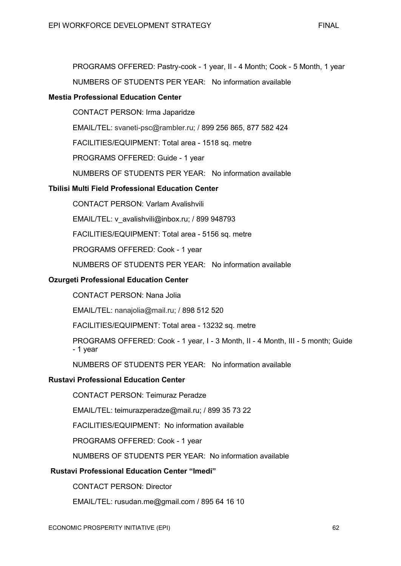PROGRAMS OFFERED: Pastry-cook - 1 year, II - 4 Month; Cook - 5 Month, 1 year

NUMBERS OF STUDENTS PER YEAR: No information available

# **Mestia Professional Education Center**

CONTACT PERSON: Irma Japaridze

EMAIL/TEL: svaneti-psc@rambler.ru; / 899 256 865, 877 582 424

FACILITIES/EQUIPMENT: Total area - 1518 sq. metre

PROGRAMS OFFERED: Guide - 1 year

NUMBERS OF STUDENTS PER YEAR: No information available

# **Tbilisi Multi Field Professional Education Center**

CONTACT PERSON: Varlam Avalishvili

EMAIL/TEL: v\_avalishvili@inbox.ru; / 899 948793

FACILITIES/EQUIPMENT: Total area - 5156 sq. metre

PROGRAMS OFFERED: Cook - 1 year

NUMBERS OF STUDENTS PER YEAR: No information available

## **Ozurgeti Professional Education Center**

CONTACT PERSON: Nana Jolia

EMAIL/TEL: nanajolia@mail.ru; / 898 512 520

FACILITIES/EQUIPMENT: Total area - 13232 sq. metre

PROGRAMS OFFERED: Cook - 1 year, I - 3 Month, II - 4 Month, III - 5 month; Guide - 1 year

NUMBERS OF STUDENTS PER YEAR: No information available

## **Rustavi Professional Education Center**

CONTACT PERSON: Teimuraz Peradze

EMAIL/TEL: teimurazperadze@mail.ru; / 899 35 73 22

FACILITIES/EQUIPMENT: No information available

PROGRAMS OFFERED: Cook - 1 year

NUMBERS OF STUDENTS PER YEAR: No information available

# **Rustavi Professional Education Center "Imedi"**

CONTACT PERSON: Director

EMAIL/TEL: rusudan.me@gmail.com / 895 64 16 10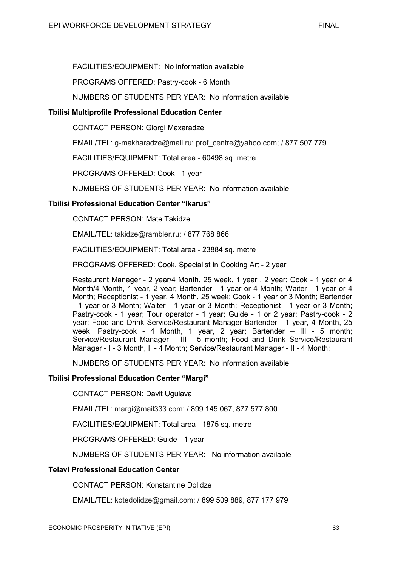FACILITIES/EQUIPMENT: No information available

PROGRAMS OFFERED: Pastry-cook - 6 Month

NUMBERS OF STUDENTS PER YEAR: No information available

# **Tbilisi Multiprofile Professional Education Center**

CONTACT PERSON: Giorgi Maxaradze

EMAIL/TEL: g-makharadze@mail.ru; prof\_centre@yahoo.com; / 877 507 779

FACILITIES/EQUIPMENT: Total area - 60498 sq. metre

PROGRAMS OFFERED: Cook - 1 year

NUMBERS OF STUDENTS PER YEAR: No information available

# **Tbilisi Professional Education Center "Ikarus"**

CONTACT PERSON: Mate Takidze

EMAIL/TEL: takidze@rambler.ru; / 877 768 866

FACILITIES/EQUIPMENT: Total area - 23884 sq. metre

PROGRAMS OFFERED: Cook, Specialist in Cooking Art - 2 year

Restaurant Manager - 2 year/4 Month, 25 week, 1 year , 2 year; Cook - 1 year or 4 Month/4 Month, 1 year, 2 year; Bartender - 1 year or 4 Month; Waiter - 1 year or 4 Month; Receptionist - 1 year, 4 Month, 25 week; Cook - 1 year or 3 Month; Bartender - 1 year or 3 Month; Waiter - 1 year or 3 Month; Receptionist - 1 year or 3 Month; Pastry-cook - 1 year; Tour operator - 1 year; Guide - 1 or 2 year; Pastry-cook - 2 year; Food and Drink Service/Restaurant Manager-Bartender - 1 year, 4 Month, 25 week; Pastry-cook - 4 Month, 1 year, 2 year; Bartender - III - 5 month; Service/Restaurant Manager – III - 5 month; Food and Drink Service/Restaurant Manager - I - 3 Month, II - 4 Month; Service/Restaurant Manager - II - 4 Month;

NUMBERS OF STUDENTS PER YEAR: No information available

### **Tbilisi Professional Education Center "Margi"**

CONTACT PERSON: Davit Ugulava

EMAIL/TEL: margi@mail333.com; / 899 145 067, 877 577 800

FACILITIES/EQUIPMENT: Total area - 1875 sq. metre

PROGRAMS OFFERED: Guide - 1 year

NUMBERS OF STUDENTS PER YEAR: No information available

### **Telavi Professional Education Center**

CONTACT PERSON: Konstantine Dolidze

EMAIL/TEL: kotedolidze@gmail.com; / 899 509 889, 877 177 979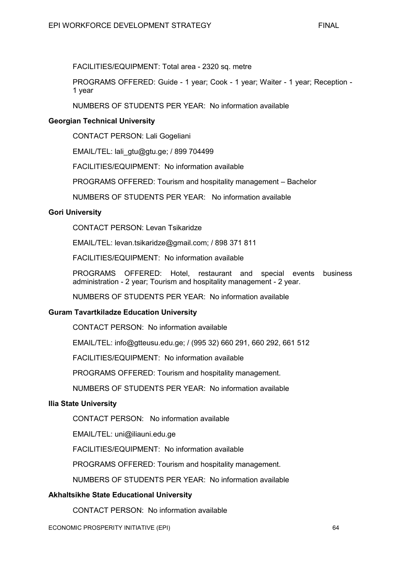FACILITIES/EQUIPMENT: Total area - 2320 sq. metre

PROGRAMS OFFERED: Guide - 1 year; Cook - 1 year; Waiter - 1 year; Reception - 1 year

NUMBERS OF STUDENTS PER YEAR: No information available

# **Georgian Technical University**

CONTACT PERSON: Lali Gogeliani

EMAIL/TEL: lali\_gtu@gtu.ge; / 899 704499

FACILITIES/EQUIPMENT: No information available

PROGRAMS OFFERED: Tourism and hospitality management – Bachelor

NUMBERS OF STUDENTS PER YEAR: No information available

# **Gori University**

CONTACT PERSON: Levan Tsikaridze

EMAIL/TEL: levan.tsikaridze@gmail.com; / 898 371 811

FACILITIES/EQUIPMENT: No information available

PROGRAMS OFFERED: Hotel, restaurant and special events business administration - 2 year; Tourism and hospitality management - 2 year.

NUMBERS OF STUDENTS PER YEAR: No information available

### **Guram Tavartkiladze Education University**

CONTACT PERSON: No information available

EMAIL/TEL: info@gtteusu.edu.ge; / (995 32) 660 291, 660 292, 661 512

FACILITIES/EQUIPMENT: No information available

PROGRAMS OFFERED: Tourism and hospitality management.

NUMBERS OF STUDENTS PER YEAR: No information available

### **Ilia State University**

CONTACT PERSON: No information available

EMAIL/TEL: uni@iliauni.edu.ge

FACILITIES/EQUIPMENT: No information available

PROGRAMS OFFERED: Tourism and hospitality management.

NUMBERS OF STUDENTS PER YEAR: No information available

### **Akhaltsikhe State Educational University**

CONTACT PERSON: No information available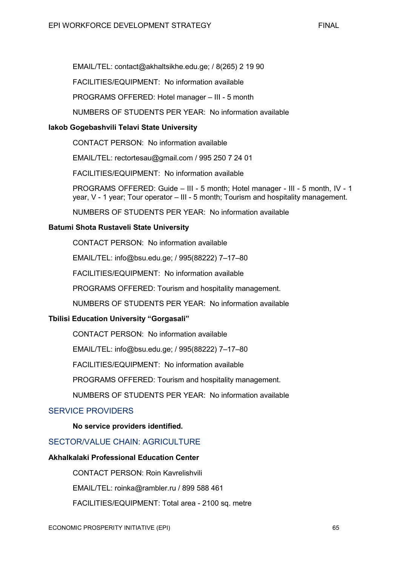EMAIL/TEL: contact@akhaltsikhe.edu.ge; / 8(265) 2 19 90

FACILITIES/EQUIPMENT: No information available

PROGRAMS OFFERED: Hotel manager – III - 5 month

NUMBERS OF STUDENTS PER YEAR: No information available

# **Iakob Gogebashvili Telavi State University**

CONTACT PERSON: No information available

EMAIL/TEL: rectortesau@gmail.com / 995 250 7 24 01

FACILITIES/EQUIPMENT: No information available

PROGRAMS OFFERED: Guide – III - 5 month; Hotel manager - III - 5 month, IV - 1 year, V - 1 year; Tour operator – III - 5 month; Tourism and hospitality management.

NUMBERS OF STUDENTS PER YEAR: No information available

# **Batumi Shota Rustaveli State University**

CONTACT PERSON: No information available

EMAIL/TEL: info@bsu.edu.ge; / 995(88222) 7–17–80

FACILITIES/EQUIPMENT: No information available

PROGRAMS OFFERED: Tourism and hospitality management.

NUMBERS OF STUDENTS PER YEAR: No information available

# **Tbilisi Education University "Gorgasali"**

CONTACT PERSON: No information available

EMAIL/TEL: info@bsu.edu.ge; / 995(88222) 7–17–80

FACILITIES/EQUIPMENT: No information available

PROGRAMS OFFERED: Tourism and hospitality management.

NUMBERS OF STUDENTS PER YEAR: No information available

# SERVICE PROVIDERS

**No service providers identified.** 

# SECTOR/VALUE CHAIN: AGRICULTURE

## **Akhalkalaki Professional Education Center**

CONTACT PERSON: Roin Kavrelishvili

EMAIL/TEL: roinka@rambler.ru / 899 588 461

FACILITIES/EQUIPMENT: Total area - 2100 sq. metre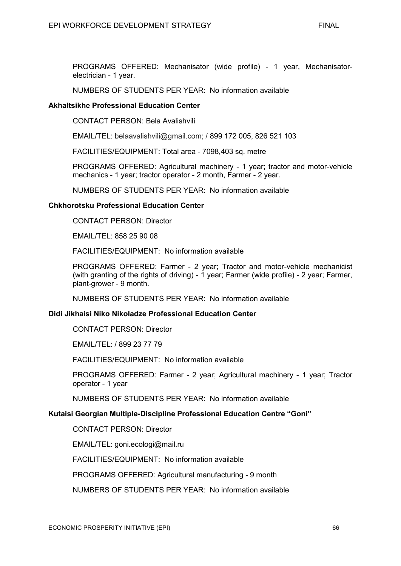PROGRAMS OFFERED: Mechanisator (wide profile) - 1 year, Mechanisatorelectrician - 1 year.

NUMBERS OF STUDENTS PER YEAR: No information available

#### **Akhaltsikhe Professional Education Center**

CONTACT PERSON: Bela Avalishvili

EMAIL/TEL: belaavalishvili@gmail.com; / 899 172 005, 826 521 103

FACILITIES/EQUIPMENT: Total area - 7098,403 sq. metre

PROGRAMS OFFERED: Agricultural machinery - 1 year; tractor and motor-vehicle mechanics - 1 year; tractor operator - 2 month, Farmer - 2 year.

NUMBERS OF STUDENTS PER YEAR: No information available

#### **Chkhorotsku Professional Education Center**

CONTACT PERSON: Director

EMAIL/TEL: 858 25 90 08

FACILITIES/EQUIPMENT: No information available

PROGRAMS OFFERED: Farmer - 2 year; Tractor and motor-vehicle mechanicist (with granting of the rights of driving) - 1 year; Farmer (wide profile) - 2 year; Farmer, plant-grower - 9 month.

NUMBERS OF STUDENTS PER YEAR: No information available

#### **Didi Jikhaisi Niko Nikoladze Professional Education Center**

CONTACT PERSON: Director

EMAIL/TEL: / 899 23 77 79

FACILITIES/EQUIPMENT: No information available

PROGRAMS OFFERED: Farmer - 2 year; Agricultural machinery - 1 year; Tractor operator - 1 year

NUMBERS OF STUDENTS PER YEAR: No information available

#### **Kutaisi Georgian Multiple-Discipline Professional Education Centre "Goni"**

CONTACT PERSON: Director

EMAIL/TEL: goni.ecologi@mail.ru

FACILITIES/EQUIPMENT: No information available

PROGRAMS OFFERED: Agricultural manufacturing - 9 month

NUMBERS OF STUDENTS PER YEAR: No information available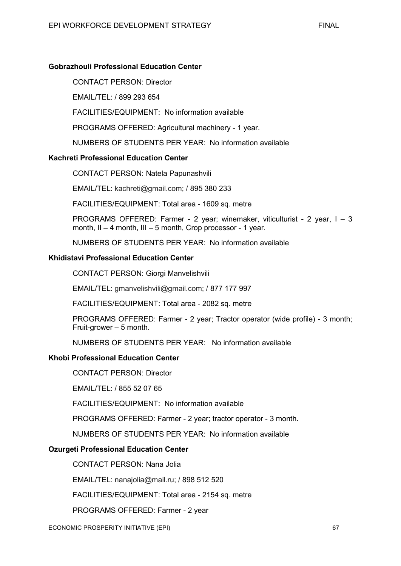# **Gobrazhouli Professional Education Center**

CONTACT PERSON: Director

EMAIL/TEL: / 899 293 654

FACILITIES/EQUIPMENT: No information available

PROGRAMS OFFERED: Agricultural machinery - 1 year.

NUMBERS OF STUDENTS PER YEAR: No information available

#### **Kachreti Professional Education Center**

CONTACT PERSON: Natela Papunashvili

EMAIL/TEL: kachreti@gmail.com; / 895 380 233

FACILITIES/EQUIPMENT: Total area - 1609 sq. metre

PROGRAMS OFFERED: Farmer - 2 year; winemaker, viticulturist - 2 year, I – 3 month, II – 4 month, III – 5 month, Crop processor - 1 year.

NUMBERS OF STUDENTS PER YEAR: No information available

#### **Khidistavi Professional Education Center**

CONTACT PERSON: Giorgi Manvelishvili

EMAIL/TEL: gmanvelishvili@gmail.com; / 877 177 997

FACILITIES/EQUIPMENT: Total area - 2082 sq. metre

PROGRAMS OFFERED: Farmer - 2 year; Tractor operator (wide profile) - 3 month; Fruit-grower – 5 month.

NUMBERS OF STUDENTS PER YEAR: No information available

#### **Khobi Professional Education Center**

CONTACT PERSON: Director

EMAIL/TEL: / 855 52 07 65

FACILITIES/EQUIPMENT: No information available

PROGRAMS OFFERED: Farmer - 2 year; tractor operator - 3 month.

NUMBERS OF STUDENTS PER YEAR: No information available

# **Ozurgeti Professional Education Center**

CONTACT PERSON: Nana Jolia

EMAIL/TEL: nanajolia@mail.ru; / 898 512 520

FACILITIES/EQUIPMENT: Total area - 2154 sq. metre

PROGRAMS OFFERED: Farmer - 2 year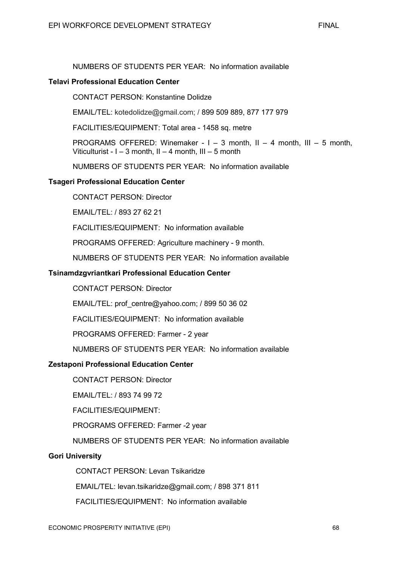#### **Telavi Professional Education Center**

CONTACT PERSON: Konstantine Dolidze

EMAIL/TEL: kotedolidze@gmail.com; / 899 509 889, 877 177 979

FACILITIES/EQUIPMENT: Total area - 1458 sq. metre

PROGRAMS OFFERED: Winemaker -  $I - 3$  month,  $II - 4$  month,  $III - 5$  month, Viticulturist - I – 3 month, II – 4 month, III – 5 month

NUMBERS OF STUDENTS PER YEAR: No information available

## **Tsageri Professional Education Center**

CONTACT PERSON: Director

EMAIL/TEL: / 893 27 62 21

FACILITIES/EQUIPMENT: No information available

PROGRAMS OFFERED: Agriculture machinery - 9 month.

NUMBERS OF STUDENTS PER YEAR: No information available

## **Tsinamdzgvriantkari Professional Education Center**

CONTACT PERSON: Director

EMAIL/TEL: prof\_centre@yahoo.com; / 899 50 36 02

FACILITIES/EQUIPMENT: No information available

PROGRAMS OFFERED: Farmer - 2 year

NUMBERS OF STUDENTS PER YEAR: No information available

# **Zestaponi Professional Education Center**

CONTACT PERSON: Director

EMAIL/TEL: / 893 74 99 72

FACILITIES/EQUIPMENT:

PROGRAMS OFFERED: Farmer -2 year

NUMBERS OF STUDENTS PER YEAR: No information available

# **Gori University**

CONTACT PERSON: Levan Tsikaridze

EMAIL/TEL: levan.tsikaridze@gmail.com; / 898 371 811

FACILITIES/EQUIPMENT: No information available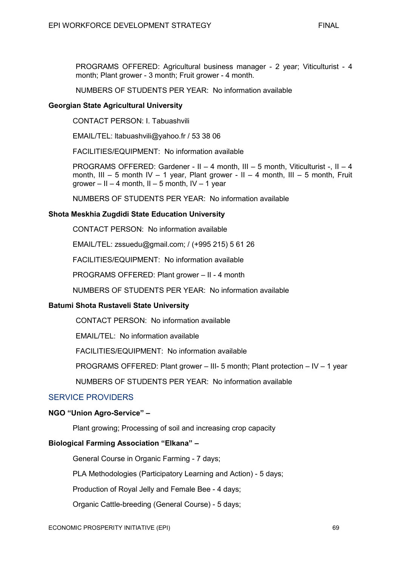PROGRAMS OFFERED: Agricultural business manager - 2 year; Viticulturist - 4 month; Plant grower - 3 month; Fruit grower - 4 month.

NUMBERS OF STUDENTS PER YEAR: No information available

#### **Georgian State Agricultural University**

CONTACT PERSON: I. Tabuashvili

EMAIL/TEL: ltabuashvili@yahoo.fr / 53 38 06

FACILITIES/EQUIPMENT: No information available

PROGRAMS OFFERED: Gardener - II – 4 month, III – 5 month, Viticulturist -, II – 4 month, III – 5 month IV – 1 year, Plant grower - II – 4 month, III – 5 month, Fruit grower – II – 4 month, II – 5 month, IV – 1 year

NUMBERS OF STUDENTS PER YEAR: No information available

## **Shota Meskhia Zugdidi State Education University**

CONTACT PERSON: No information available

EMAIL/TEL: zssuedu@gmail.com; / (+995 215) 5 61 26

FACILITIES/EQUIPMENT: No information available

PROGRAMS OFFERED: Plant grower – II - 4 month

NUMBERS OF STUDENTS PER YEAR: No information available

# **Batumi Shota Rustaveli State University**

CONTACT PERSON: No information available

EMAIL/TEL: No information available

FACILITIES/EQUIPMENT: No information available

PROGRAMS OFFERED: Plant grower – III- 5 month; Plant protection – IV – 1 year

NUMBERS OF STUDENTS PER YEAR: No information available

# SERVICE PROVIDERS

#### **NGO "Union Agro-Service" –**

Plant growing; Processing of soil and increasing crop capacity

# **Biological Farming Association "Elkana" –**

General Course in Organic Farming - 7 days;

PLA Methodologies (Participatory Learning and Action) - 5 days;

Production of Royal Jelly and Female Bee - 4 days;

Organic Cattle-breeding (General Course) - 5 days;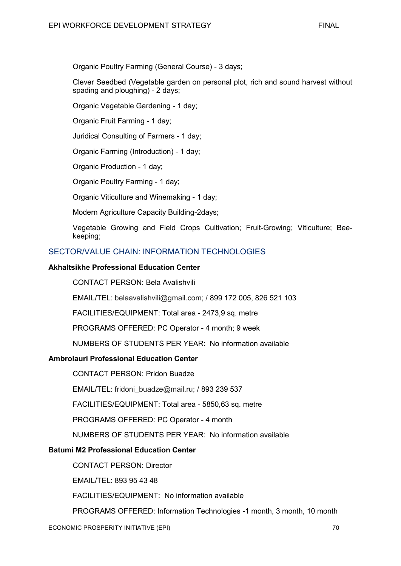Organic Poultry Farming (General Course) - 3 days;

Clever Seedbed (Vegetable garden on personal plot, rich and sound harvest without spading and ploughing) - 2 days;

Organic Vegetable Gardening - 1 day;

Organic Fruit Farming - 1 day;

Juridical Consulting of Farmers - 1 day;

Organic Farming (Introduction) - 1 day;

Organic Production - 1 day;

Organic Poultry Farming - 1 day;

Organic Viticulture and Winemaking - 1 day;

Modern Agriculture Capacity Building-2days;

Vegetable Growing and Field Crops Cultivation; Fruit-Growing; Viticulture; Beekeeping;

# SECTOR/VALUE CHAIN: INFORMATION TECHNOLOGIES

## **Akhaltsikhe Professional Education Center**

CONTACT PERSON: Bela Avalishvili

EMAIL/TEL: belaavalishvili@gmail.com; / 899 172 005, 826 521 103

FACILITIES/EQUIPMENT: Total area - 2473,9 sq. metre

PROGRAMS OFFERED: PC Operator - 4 month; 9 week

NUMBERS OF STUDENTS PER YEAR: No information available

# **Ambrolauri Professional Education Center**

CONTACT PERSON: Pridon Buadze

EMAIL/TEL: fridoni\_buadze@mail.ru; / 893 239 537

FACILITIES/EQUIPMENT: Total area - 5850,63 sq. metre

PROGRAMS OFFERED: PC Operator - 4 month

NUMBERS OF STUDENTS PER YEAR: No information available

# **Batumi M2 Professional Education Center**

CONTACT PERSON: Director

EMAIL/TEL: 893 95 43 48

FACILITIES/EQUIPMENT: No information available

PROGRAMS OFFERED: Information Technologies -1 month, 3 month, 10 month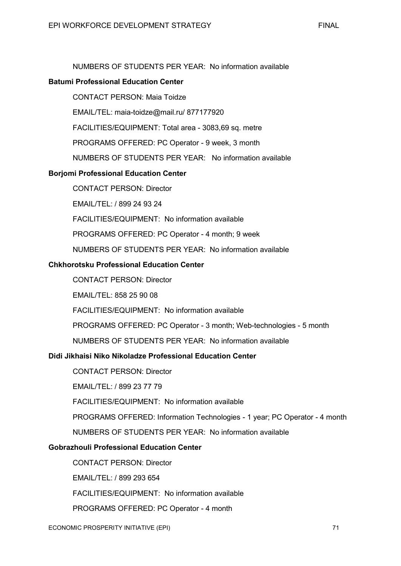## **Batumi Professional Education Center**

CONTACT PERSON: Maia Toidze

EMAIL/TEL: maia-toidze@mail.ru/ 877177920

FACILITIES/EQUIPMENT: Total area - 3083,69 sq. metre

PROGRAMS OFFERED: PC Operator - 9 week, 3 month

NUMBERS OF STUDENTS PER YEAR: No information available

## **Borjomi Professional Education Center**

CONTACT PERSON: Director

EMAIL/TEL: / 899 24 93 24

FACILITIES/EQUIPMENT: No information available

PROGRAMS OFFERED: PC Operator - 4 month; 9 week

NUMBERS OF STUDENTS PER YEAR: No information available

# **Chkhorotsku Professional Education Center**

CONTACT PERSON: Director

EMAIL/TEL: 858 25 90 08

FACILITIES/EQUIPMENT: No information available

PROGRAMS OFFERED: PC Operator - 3 month; Web-technologies - 5 month

NUMBERS OF STUDENTS PER YEAR: No information available

## **Didi Jikhaisi Niko Nikoladze Professional Education Center**

CONTACT PERSON: Director

EMAIL/TEL: / 899 23 77 79

FACILITIES/EQUIPMENT: No information available

PROGRAMS OFFERED: Information Technologies - 1 year; PC Operator - 4 month

NUMBERS OF STUDENTS PER YEAR: No information available

# **Gobrazhouli Professional Education Center**

CONTACT PERSON: Director

EMAIL/TEL: / 899 293 654

FACILITIES/EQUIPMENT: No information available

PROGRAMS OFFERED: PC Operator - 4 month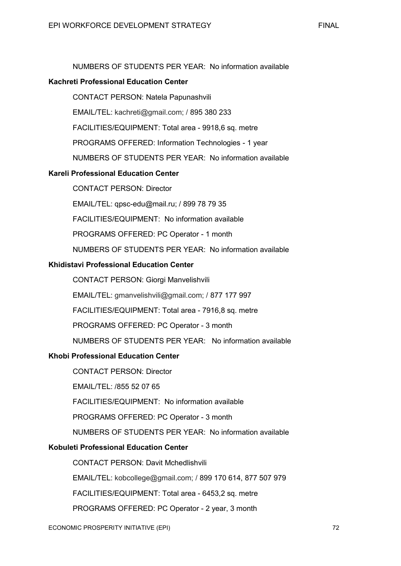## **Kachreti Professional Education Center**

CONTACT PERSON: Natela Papunashvili

EMAIL/TEL: kachreti@gmail.com; / 895 380 233

FACILITIES/EQUIPMENT: Total area - 9918,6 sq. metre

PROGRAMS OFFERED: Information Technologies - 1 year

NUMBERS OF STUDENTS PER YEAR: No information available

# **Kareli Professional Education Center**

CONTACT PERSON: Director

EMAIL/TEL: qpsc-edu@mail.ru; / 899 78 79 35

FACILITIES/EQUIPMENT: No information available

PROGRAMS OFFERED: PC Operator - 1 month

NUMBERS OF STUDENTS PER YEAR: No information available

## **Khidistavi Professional Education Center**

CONTACT PERSON: Giorgi Manvelishvili

EMAIL/TEL: gmanvelishvili@gmail.com; / 877 177 997

FACILITIES/EQUIPMENT: Total area - 7916,8 sq. metre

PROGRAMS OFFERED: PC Operator - 3 month

NUMBERS OF STUDENTS PER YEAR: No information available

#### **Khobi Professional Education Center**

CONTACT PERSON: Director

EMAIL/TEL: /855 52 07 65

FACILITIES/EQUIPMENT: No information available

PROGRAMS OFFERED: PC Operator - 3 month

NUMBERS OF STUDENTS PER YEAR: No information available

# **Kobuleti Professional Education Center**

CONTACT PERSON: Davit Mchedlishvili

EMAIL/TEL: kobcollege@gmail.com; / 899 170 614, 877 507 979

FACILITIES/EQUIPMENT: Total area - 6453,2 sq. metre

PROGRAMS OFFERED: PC Operator - 2 year, 3 month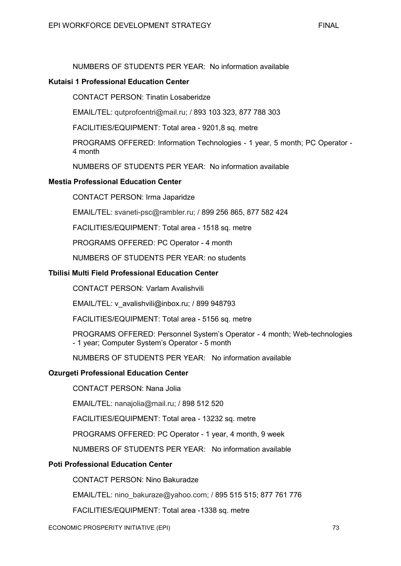#### **Kutaisi 1 Professional Education Center**

CONTACT PERSON: Tinatin Losaberidze

EMAIL/TEL: qutprofcentri@mail.ru; / 893 103 323, 877 788 303

FACILITIES/EQUIPMENT: Total area - 9201,8 sq. metre

PROGRAMS OFFERED: Information Technologies - 1 year, 5 month; PC Operator - 4 month

NUMBERS OF STUDENTS PER YEAR: No information available

#### **Mestia Professional Education Center**

CONTACT PERSON: Irma Japaridze

EMAIL/TEL: svaneti-psc@rambler.ru; / 899 256 865, 877 582 424

FACILITIES/EQUIPMENT: Total area - 1518 sq. metre

PROGRAMS OFFERED: PC Operator - 4 month

NUMBERS OF STUDENTS PER YEAR: no students

## **Tbilisi Multi Field Professional Education Center**

CONTACT PERSON: Varlam Avalishvili

EMAIL/TEL: v\_avalishvili@inbox.ru; / 899 948793

FACILITIES/EQUIPMENT: Total area - 5156 sq. metre

PROGRAMS OFFERED: Personnel System's Operator - 4 month; Web-technologies - 1 year; Computer System's Operator - 5 month

NUMBERS OF STUDENTS PER YEAR: No information available

#### **Ozurgeti Professional Education Center**

CONTACT PERSON: Nana Jolia

EMAIL/TEL: nanajolia@mail.ru; / 898 512 520

FACILITIES/EQUIPMENT: Total area - 13232 sq. metre

PROGRAMS OFFERED: PC Operator - 1 year, 4 month, 9 week

NUMBERS OF STUDENTS PER YEAR: No information available

#### **Poti Professional Education Center**

CONTACT PERSON: Nino Bakuradze

EMAIL/TEL: nino\_bakuraze@yahoo.com; / 895 515 515; 877 761 776

FACILITIES/EQUIPMENT: Total area -1338 sq. metre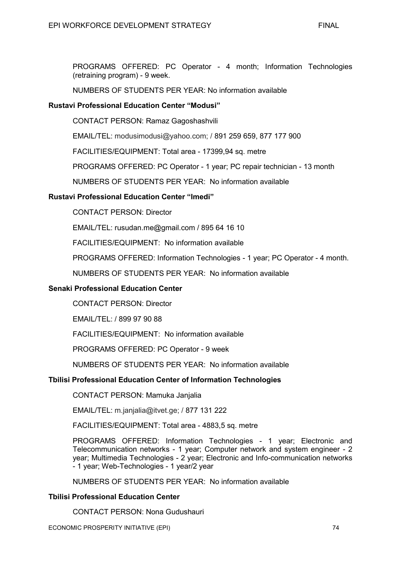PROGRAMS OFFERED: PC Operator - 4 month; Information Technologies (retraining program) - 9 week.

NUMBERS OF STUDENTS PER YEAR: No information available

## **Rustavi Professional Education Center "Modusi"**

CONTACT PERSON: Ramaz Gagoshashvili

EMAIL/TEL: modusimodusi@yahoo.com; / 891 259 659, 877 177 900

FACILITIES/EQUIPMENT: Total area - 17399,94 sq. metre

PROGRAMS OFFERED: PC Operator - 1 year; PC repair technician - 13 month

NUMBERS OF STUDENTS PER YEAR: No information available

# **Rustavi Professional Education Center "Imedi"**

CONTACT PERSON: Director

EMAIL/TEL: rusudan.me@gmail.com / 895 64 16 10

FACILITIES/EQUIPMENT: No information available

PROGRAMS OFFERED: Information Technologies - 1 year; PC Operator - 4 month.

NUMBERS OF STUDENTS PER YEAR: No information available

#### **Senaki Professional Education Center**

CONTACT PERSON: Director

EMAIL/TEL: / 899 97 90 88

FACILITIES/EQUIPMENT: No information available

PROGRAMS OFFERED: PC Operator - 9 week

NUMBERS OF STUDENTS PER YEAR: No information available

#### **Tbilisi Professional Education Center of Information Technologies**

CONTACT PERSON: Mamuka Janjalia

EMAIL/TEL: m.janjalia@itvet.ge; / 877 131 222

FACILITIES/EQUIPMENT: Total area - 4883,5 sq. metre

PROGRAMS OFFERED: Information Technologies - 1 year; Electronic and Telecommunication networks - 1 year; Computer network and system engineer - 2 year; Multimedia Technologies - 2 year; Electronic and Info-communication networks - 1 year; Web-Technologies - 1 year/2 year

NUMBERS OF STUDENTS PER YEAR: No information available

#### **Tbilisi Professional Education Center**

CONTACT PERSON: Nona Gudushauri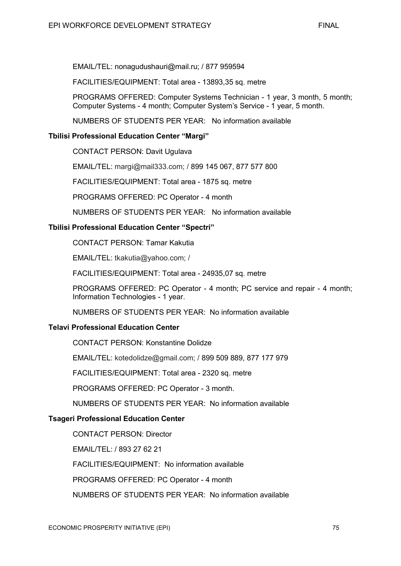EMAIL/TEL: nonagudushauri@mail.ru; / 877 959594

FACILITIES/EQUIPMENT: Total area - 13893,35 sq. metre

PROGRAMS OFFERED: Computer Systems Technician - 1 year, 3 month, 5 month; Computer Systems - 4 month; Computer System's Service - 1 year, 5 month.

NUMBERS OF STUDENTS PER YEAR: No information available

# **Tbilisi Professional Education Center "Margi"**

CONTACT PERSON: Davit Ugulava

EMAIL/TEL: margi@mail333.com; / 899 145 067, 877 577 800

FACILITIES/EQUIPMENT: Total area - 1875 sq. metre

PROGRAMS OFFERED: PC Operator - 4 month

NUMBERS OF STUDENTS PER YEAR: No information available

## **Tbilisi Professional Education Center "Spectri"**

CONTACT PERSON: Tamar Kakutia

EMAIL/TEL: tkakutia@yahoo.com; /

FACILITIES/EQUIPMENT: Total area - 24935,07 sq. metre

PROGRAMS OFFERED: PC Operator - 4 month; PC service and repair - 4 month; Information Technologies - 1 year.

NUMBERS OF STUDENTS PER YEAR: No information available

#### **Telavi Professional Education Center**

CONTACT PERSON: Konstantine Dolidze

EMAIL/TEL: kotedolidze@gmail.com; / 899 509 889, 877 177 979

FACILITIES/EQUIPMENT: Total area - 2320 sq. metre

PROGRAMS OFFERED: PC Operator - 3 month.

NUMBERS OF STUDENTS PER YEAR: No information available

# **Tsageri Professional Education Center**

CONTACT PERSON: Director

EMAIL/TEL: / 893 27 62 21

FACILITIES/EQUIPMENT: No information available

PROGRAMS OFFERED: PC Operator - 4 month

NUMBERS OF STUDENTS PER YEAR: No information available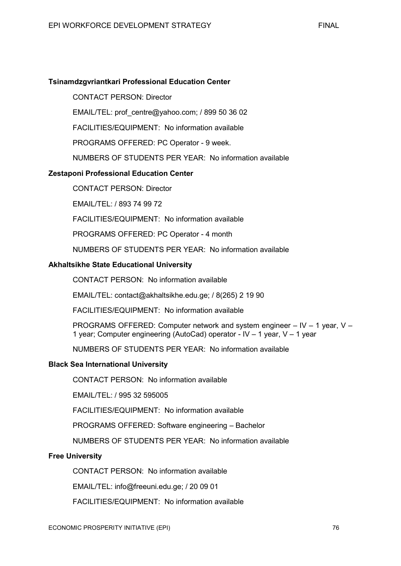# **Tsinamdzgvriantkari Professional Education Center**

CONTACT PERSON: Director

EMAIL/TEL: prof\_centre@yahoo.com; / 899 50 36 02

FACILITIES/EQUIPMENT: No information available

PROGRAMS OFFERED: PC Operator - 9 week.

NUMBERS OF STUDENTS PER YEAR: No information available

## **Zestaponi Professional Education Center**

CONTACT PERSON: Director

EMAIL/TEL: / 893 74 99 72

FACILITIES/EQUIPMENT: No information available

PROGRAMS OFFERED: PC Operator - 4 month

NUMBERS OF STUDENTS PER YEAR: No information available

#### **Akhaltsikhe State Educational University**

CONTACT PERSON: No information available

EMAIL/TEL: contact@akhaltsikhe.edu.ge; / 8(265) 2 19 90

FACILITIES/EQUIPMENT: No information available

PROGRAMS OFFERED: Computer network and system engineer – IV – 1 year, V – 1 year; Computer engineering (AutoCad) operator - IV – 1 year, V – 1 year

NUMBERS OF STUDENTS PER YEAR: No information available

#### **Black Sea International University**

CONTACT PERSON: No information available

EMAIL/TEL: / 995 32 595005

FACILITIES/EQUIPMENT: No information available

PROGRAMS OFFERED: Software engineering – Bachelor

NUMBERS OF STUDENTS PER YEAR: No information available

#### **Free University**

CONTACT PERSON: No information available

EMAIL/TEL: info@freeuni.edu.ge; / 20 09 01

FACILITIES/EQUIPMENT: No information available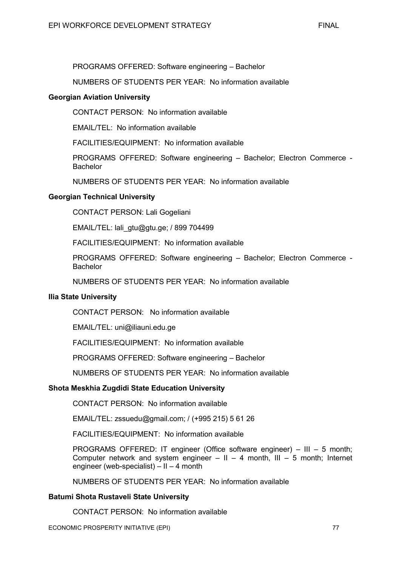PROGRAMS OFFERED: Software engineering – Bachelor

NUMBERS OF STUDENTS PER YEAR: No information available

#### **Georgian Aviation University**

CONTACT PERSON: No information available

EMAIL/TEL: No information available

FACILITIES/EQUIPMENT: No information available

PROGRAMS OFFERED: Software engineering – Bachelor; Electron Commerce - **Bachelor** 

NUMBERS OF STUDENTS PER YEAR: No information available

## **Georgian Technical University**

CONTACT PERSON: Lali Gogeliani

EMAIL/TEL: lali\_gtu@gtu.ge; / 899 704499

FACILITIES/EQUIPMENT: No information available

PROGRAMS OFFERED: Software engineering – Bachelor; Electron Commerce - Bachelor

NUMBERS OF STUDENTS PER YEAR: No information available

#### **Ilia State University**

CONTACT PERSON: No information available

EMAIL/TEL: uni@iliauni.edu.ge

FACILITIES/EQUIPMENT: No information available

PROGRAMS OFFERED: Software engineering – Bachelor

NUMBERS OF STUDENTS PER YEAR: No information available

# **Shota Meskhia Zugdidi State Education University**

CONTACT PERSON: No information available

EMAIL/TEL: zssuedu@gmail.com; / (+995 215) 5 61 26

FACILITIES/EQUIPMENT: No information available

PROGRAMS OFFERED: IT engineer (Office software engineer) – III – 5 month; Computer network and system engineer  $-$  II  $-$  4 month, III  $-$  5 month; Internet engineer (web-specialist) – II – 4 month

NUMBERS OF STUDENTS PER YEAR: No information available

#### **Batumi Shota Rustaveli State University**

CONTACT PERSON: No information available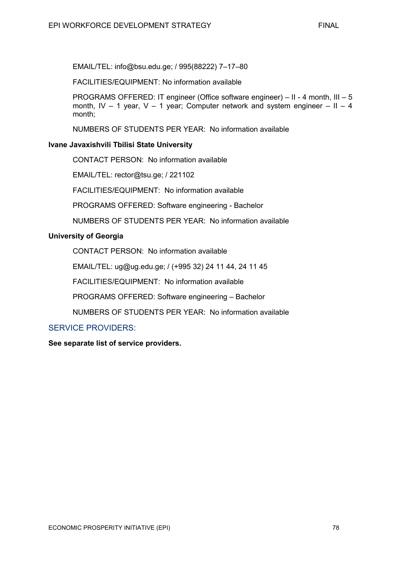EMAIL/TEL: info@bsu.edu.ge; / 995(88222) 7–17–80

FACILITIES/EQUIPMENT: No information available

PROGRAMS OFFERED: IT engineer (Office software engineer) – II - 4 month, III – 5 month, IV – 1 year, V – 1 year; Computer network and system engineer – II – 4 month;

NUMBERS OF STUDENTS PER YEAR: No information available

## **Ivane Javaxishvili Tbilisi State University**

CONTACT PERSON: No information available

EMAIL/TEL: rector@tsu.ge; / 221102

FACILITIES/EQUIPMENT: No information available

PROGRAMS OFFERED: Software engineering - Bachelor

NUMBERS OF STUDENTS PER YEAR: No information available

## **University of Georgia**

CONTACT PERSON: No information available

EMAIL/TEL: ug@ug.edu.ge; / (+995 32) 24 11 44, 24 11 45

FACILITIES/EQUIPMENT: No information available

PROGRAMS OFFERED: Software engineering – Bachelor

NUMBERS OF STUDENTS PER YEAR: No information available

# SERVICE PROVIDERS:

**See separate list of service providers.**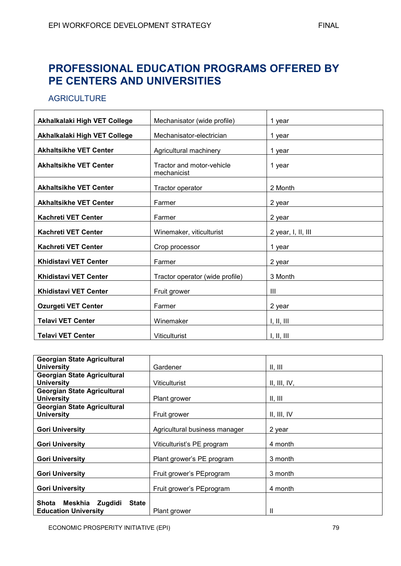# **PROFESSIONAL EDUCATION PROGRAMS OFFERED BY PE CENTERS AND UNIVERSITIES**

# **AGRICULTURE**

| Akhalkalaki High VET College  | Mechanisator (wide profile)              | 1 year             |
|-------------------------------|------------------------------------------|--------------------|
| Akhalkalaki High VET College  | Mechanisator-electrician                 | 1 year             |
| <b>Akhaltsikhe VET Center</b> | Agricultural machinery                   | 1 year             |
| <b>Akhaltsikhe VET Center</b> | Tractor and motor-vehicle<br>mechanicist | 1 year             |
| <b>Akhaltsikhe VET Center</b> | Tractor operator                         | 2 Month            |
| <b>Akhaltsikhe VET Center</b> | Farmer                                   | 2 year             |
| <b>Kachreti VET Center</b>    | Farmer                                   | 2 year             |
| <b>Kachreti VET Center</b>    | Winemaker, viticulturist                 | 2 year, I, II, III |
| <b>Kachreti VET Center</b>    | Crop processor                           | 1 year             |
| <b>Khidistavi VET Center</b>  | Farmer                                   | 2 year             |
| <b>Khidistavi VET Center</b>  | Tractor operator (wide profile)          | 3 Month            |
| <b>Khidistavi VET Center</b>  | Fruit grower                             | III                |
| <b>Ozurgeti VET Center</b>    | Farmer                                   | 2 year             |
| <b>Telavi VET Center</b>      | Winemaker                                | I, II, III         |
| <b>Telavi VET Center</b>      | Viticulturist                            | I, II, III         |

| <b>Georgian State Agricultural</b>                                   |                               |              |
|----------------------------------------------------------------------|-------------------------------|--------------|
| <b>University</b>                                                    | Gardener                      | II, III      |
| <b>Georgian State Agricultural</b>                                   |                               |              |
| <b>University</b>                                                    | <b>Viticulturist</b>          | II, III, IV, |
| <b>Georgian State Agricultural</b>                                   |                               |              |
| <b>University</b>                                                    | Plant grower                  | II, III      |
| <b>Georgian State Agricultural</b>                                   |                               |              |
| <b>University</b>                                                    | Fruit grower                  | II, III, IV  |
| <b>Gori University</b>                                               |                               |              |
|                                                                      | Agricultural business manager | 2 year       |
| <b>Gori University</b>                                               | Viticulturist's PE program    | 4 month      |
| <b>Gori University</b>                                               | Plant grower's PE program     | 3 month      |
| <b>Gori University</b>                                               | Fruit grower's PEprogram      | 3 month      |
| <b>Gori University</b>                                               | Fruit grower's PEprogram      | 4 month      |
| Shota Meskhia Zugdidi<br><b>State</b><br><b>Education University</b> | Plant grower                  |              |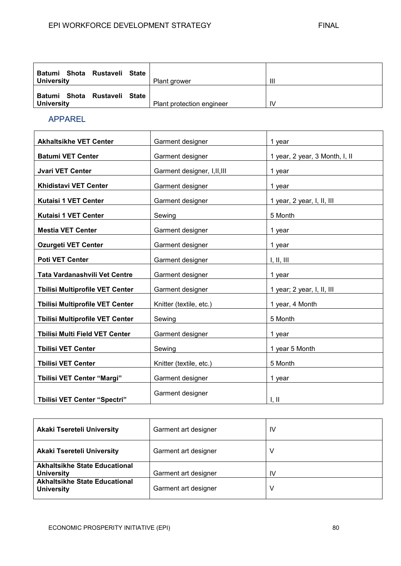| Rustaveli<br>Batumi Shota<br>State<br><b>University</b> | Plant grower              | Ш  |
|---------------------------------------------------------|---------------------------|----|
| Batumi Shota<br>Rustaveli State<br><b>University</b>    | Plant protection engineer | IV |

# APPAREL

| <b>Akhaltsikhe VET Center</b>          | Garment designer             | 1 year                         |
|----------------------------------------|------------------------------|--------------------------------|
| <b>Batumi VET Center</b>               | Garment designer             | 1 year, 2 year, 3 Month, I, II |
| <b>Jvari VET Center</b>                | Garment designer, I, II, III | 1 year                         |
| <b>Khidistavi VET Center</b>           | Garment designer             | 1 year                         |
| Kutaisi 1 VET Center                   | Garment designer             | 1 year, 2 year, I, II, III     |
| <b>Kutaisi 1 VET Center</b>            | Sewing                       | 5 Month                        |
| <b>Mestia VET Center</b>               | Garment designer             | 1 year                         |
| <b>Ozurgeti VET Center</b>             | Garment designer             | 1 year                         |
| <b>Poti VET Center</b>                 | Garment designer             | I, II, III                     |
| Tata Vardanashvili Vet Centre          | Garment designer             | 1 year                         |
| <b>Tbilisi Multiprofile VET Center</b> | Garment designer             | 1 year; 2 year, I, II, III     |
| <b>Tbilisi Multiprofile VET Center</b> | Knitter (textile, etc.)      | 1 year, 4 Month                |
| <b>Tbilisi Multiprofile VET Center</b> | Sewing                       | 5 Month                        |
| <b>Tbilisi Multi Field VET Center</b>  | Garment designer             | 1 year                         |
| <b>Tbilisi VET Center</b>              | Sewing                       | 1 year 5 Month                 |
| <b>Tbilisi VET Center</b>              | Knitter (textile, etc.)      | 5 Month                        |
| <b>Tbilisi VET Center "Margi"</b>      | Garment designer             | 1 year                         |
| <b>Tbilisi VET Center "Spectri"</b>    | Garment designer             | $\mathsf{I}, \mathsf{II}$      |

| <b>Akaki Tsereteli University</b>                         | Garment art designer | IV |
|-----------------------------------------------------------|----------------------|----|
| <b>Akaki Tsereteli University</b>                         | Garment art designer | V  |
| <b>Akhaltsikhe State Educational</b><br><b>University</b> | Garment art designer | IV |
| <b>Akhaltsikhe State Educational</b><br><b>University</b> | Garment art designer | v  |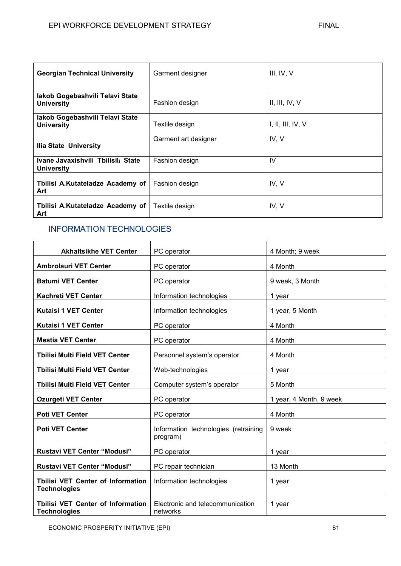| <b>Georgian Technical University</b>                 | Garment designer     | III, IV, V          |
|------------------------------------------------------|----------------------|---------------------|
| lakob Gogebashvili Telavi State<br><b>University</b> | Fashion design       | II, III, IV, V      |
| lakob Gogebashvili Telavi State<br><b>University</b> | Textile design       | I, II, III, IV, $V$ |
| Ilia State University                                | Garment art designer | IV, V               |
| Ivane Javaxishvili Tbilisils State<br>University     | Fashion design       | IV                  |
| Tbilisi A.Kutateladze Academy of<br>Art              | Fashion design       | IV, V               |
| Tbilisi A.Kutateladze Academy of<br>Art              | Textile design       | IV, V               |

# INFORMATION TECHNOLOGIES

| <b>Akhaltsikhe VET Center</b>                                   | PC operator                                      | 4 Month; 9 week         |
|-----------------------------------------------------------------|--------------------------------------------------|-------------------------|
| <b>Ambrolauri VET Center</b>                                    | PC operator                                      | 4 Month                 |
| <b>Batumi VET Center</b>                                        | PC operator                                      | 9 week, 3 Month         |
| <b>Kachreti VET Center</b>                                      | Information technologies                         | 1 year                  |
| <b>Kutaisi 1 VET Center</b>                                     | Information technologies                         | 1 year, 5 Month         |
| <b>Kutaisi 1 VET Center</b>                                     | PC operator                                      | 4 Month                 |
| <b>Mestia VET Center</b>                                        | PC operator                                      | 4 Month                 |
| <b>Tbilisi Multi Field VET Center</b>                           | Personnel system's operator                      | 4 Month                 |
| <b>Tbilisi Multi Field VET Center</b>                           | Web-technologies                                 | 1 year                  |
| <b>Tbilisi Multi Field VET Center</b>                           | Computer system's operator                       | 5 Month                 |
| <b>Ozurgeti VET Center</b>                                      | PC operator                                      | 1 year, 4 Month, 9 week |
| <b>Poti VET Center</b>                                          | PC operator                                      | 4 Month                 |
| <b>Poti VET Center</b>                                          | Information technologies (retraining<br>program) | 9 week                  |
| <b>Rustavi VET Center "Modusi"</b>                              | PC operator                                      | 1 year                  |
| <b>Rustavi VET Center "Modusi"</b>                              | PC repair technician                             | 13 Month                |
| <b>Tbilisi VET Center of Information</b><br><b>Technologies</b> | Information technologies                         | 1 year                  |
| <b>Tbilisi VET Center of Information</b><br><b>Technologies</b> | Electronic and telecommunication<br>networks     | 1 year                  |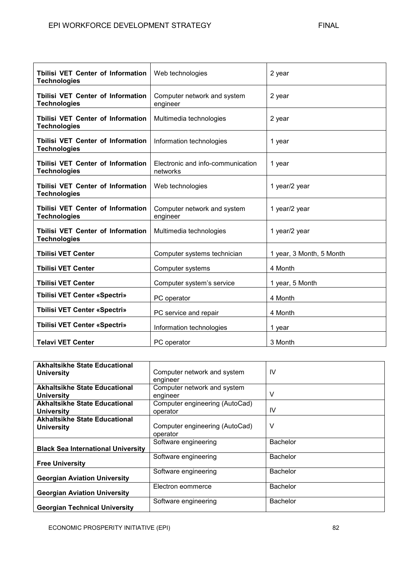| <b>Tbilisi VET Center of Information</b><br><b>Technologies</b> | Web technologies                              | 2 year                   |
|-----------------------------------------------------------------|-----------------------------------------------|--------------------------|
| <b>Tbilisi VET Center of Information</b><br><b>Technologies</b> | Computer network and system<br>engineer       | 2 year                   |
| Tbilisi VET Center of Information<br><b>Technologies</b>        | Multimedia technologies                       | 2 year                   |
| <b>Tbilisi VET Center of Information</b><br><b>Technologies</b> | Information technologies                      | 1 year                   |
| <b>Tbilisi VET Center of Information</b><br><b>Technologies</b> | Electronic and info-communication<br>networks | 1 year                   |
| <b>Tbilisi VET Center of Information</b><br><b>Technologies</b> | Web technologies                              | 1 year/2 year            |
| <b>Tbilisi VET Center of Information</b><br><b>Technologies</b> | Computer network and system<br>engineer       | 1 year/2 year            |
| Tbilisi VET Center of Information<br><b>Technologies</b>        | Multimedia technologies                       | 1 year/2 year            |
| <b>Tbilisi VET Center</b>                                       | Computer systems technician                   | 1 year, 3 Month, 5 Month |
| <b>Tbilisi VET Center</b>                                       | Computer systems                              | 4 Month                  |
| <b>Tbilisi VET Center</b>                                       | Computer system's service                     | 1 year, 5 Month          |
| <b>Tbilisi VET Center «Spectri»</b>                             | PC operator                                   | 4 Month                  |
| <b>Tbilisi VET Center «Spectri»</b>                             | PC service and repair                         | 4 Month                  |
| <b>Tbilisi VET Center «Spectri»</b>                             | Information technologies                      | 1 year                   |
| <b>Telavi VET Center</b>                                        | PC operator                                   | 3 Month                  |

| <b>Akhaltsikhe State Educational</b><br><b>University</b> | Computer network and system<br>engineer    | IV              |
|-----------------------------------------------------------|--------------------------------------------|-----------------|
| <b>Akhaltsikhe State Educational</b><br><b>University</b> | Computer network and system<br>engineer    | V               |
| <b>Akhaltsikhe State Educational</b><br><b>University</b> | Computer engineering (AutoCad)<br>operator | IV              |
| <b>Akhaltsikhe State Educational</b><br><b>University</b> | Computer engineering (AutoCad)<br>operator | ٧               |
| <b>Black Sea International University</b>                 | Software engineering                       | <b>Bachelor</b> |
| <b>Free University</b>                                    | Software engineering                       | <b>Bachelor</b> |
| <b>Georgian Aviation University</b>                       | Software engineering                       | <b>Bachelor</b> |
| <b>Georgian Aviation University</b>                       | Electron eommerce                          | <b>Bachelor</b> |
| <b>Georgian Technical University</b>                      | Software engineering                       | <b>Bachelor</b> |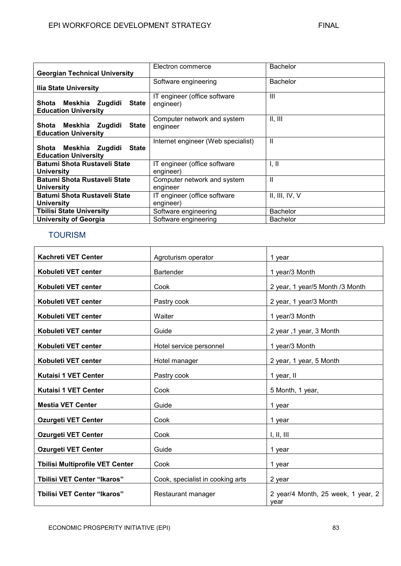|                                          | Electron commerce                  | <b>Bachelor</b> |
|------------------------------------------|------------------------------------|-----------------|
| <b>Georgian Technical University</b>     |                                    |                 |
|                                          | Software engineering               | <b>Bachelor</b> |
| <b>Ilia State University</b>             |                                    |                 |
|                                          | IT engineer (office software       | $\mathbf{III}$  |
| Meskhia Zugdidi<br>Shota<br><b>State</b> | engineer)                          |                 |
| <b>Education University</b>              |                                    |                 |
|                                          | Computer network and system        | II, III         |
| <b>State</b><br>Shota<br>Meskhia Zugdidi | engineer                           |                 |
| <b>Education University</b>              |                                    |                 |
|                                          | Internet engineer (Web specialist) | $\mathsf{I}$    |
| <b>State</b><br>Shota Meskhia Zugdidi    |                                    |                 |
| <b>Education University</b>              |                                    |                 |
| Batumi Shota Rustaveli State             | IT engineer (office software       | I, II           |
| University                               | engineer)                          |                 |
| Batumi Shota Rustaveli State             | Computer network and system        | $\mathbf{I}$    |
| University                               | engineer                           |                 |
| Batumi Shota Rustaveli State             | IT engineer (office software       | II, III, IV, V  |
| University                               | engineer)                          |                 |
| <b>Tbilisi State University</b>          | Software engineering               | <b>Bachelor</b> |
| University of Georgia                    | Software engineering               | <b>Bachelor</b> |

# TOURISM

| <b>Kachreti VET Center</b>             | Agroturism operator              | 1 year                                     |
|----------------------------------------|----------------------------------|--------------------------------------------|
| Kobuleti VET center                    | <b>Bartender</b>                 | 1 year/3 Month                             |
| Kobuleti VET center                    | Cook                             | 2 year, 1 year/5 Month /3 Month            |
| Kobuleti VET center                    | Pastry cook                      | 2 year, 1 year/3 Month                     |
| Kobuleti VET center                    | Waiter                           | 1 year/3 Month                             |
| Kobuleti VET center                    | Guide                            | 2 year, 1 year, 3 Month                    |
| Kobuleti VET center                    | Hotel service personnel          | 1 year/3 Month                             |
| Kobuleti VET center                    | Hotel manager                    | 2 year, 1 year, 5 Month                    |
| <b>Kutaisi 1 VET Center</b>            | Pastry cook                      | 1 year, II                                 |
| <b>Kutaisi 1 VET Center</b>            | Cook                             | 5 Month, 1 year,                           |
| <b>Mestia VET Center</b>               | Guide                            | 1 year                                     |
| <b>Ozurgeti VET Center</b>             | Cook                             | 1 year                                     |
| <b>Ozurgeti VET Center</b>             | Cook                             | I, II, III                                 |
| <b>Ozurgeti VET Center</b>             | Guide                            | 1 year                                     |
| <b>Tbilisi Multiprofile VET Center</b> | Cook                             | 1 year                                     |
| <b>Tbilisi VET Center "Ikaros"</b>     | Cook, specialist in cooking arts | 2 year                                     |
| <b>Tbilisi VET Center "Ikaros"</b>     | Restaurant manager               | 2 year/4 Month, 25 week, 1 year, 2<br>vear |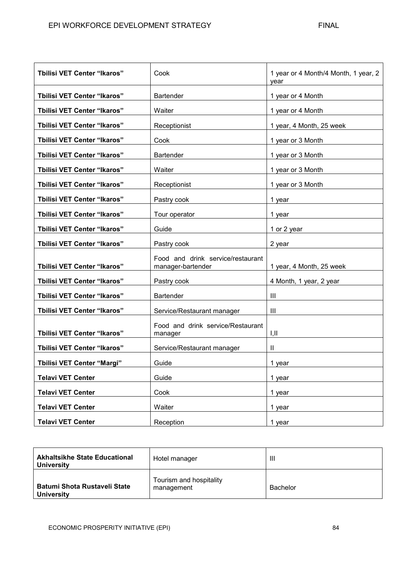| <b>Tbilisi VET Center "Ikaros"</b> | Cook                                                   | 1 year or 4 Month/4 Month, 1 year, 2<br>vear |
|------------------------------------|--------------------------------------------------------|----------------------------------------------|
| <b>Tbilisi VET Center "Ikaros"</b> | <b>Bartender</b>                                       | 1 year or 4 Month                            |
| <b>Tbilisi VET Center "Ikaros"</b> | Waiter                                                 | 1 year or 4 Month                            |
| <b>Tbilisi VET Center "Ikaros"</b> | Receptionist                                           | 1 year, 4 Month, 25 week                     |
| <b>Tbilisi VET Center "Ikaros"</b> | Cook                                                   | 1 year or 3 Month                            |
| <b>Tbilisi VET Center "Ikaros"</b> | <b>Bartender</b>                                       | 1 year or 3 Month                            |
| <b>Tbilisi VET Center "Ikaros"</b> | Waiter                                                 | 1 year or 3 Month                            |
| <b>Tbilisi VET Center "Ikaros"</b> | Receptionist                                           | 1 year or 3 Month                            |
| <b>Tbilisi VET Center "Ikaros"</b> | Pastry cook                                            | 1 year                                       |
| <b>Tbilisi VET Center "Ikaros"</b> | Tour operator                                          | 1 year                                       |
| <b>Tbilisi VET Center "Ikaros"</b> | Guide                                                  | 1 or 2 year                                  |
| <b>Tbilisi VET Center "Ikaros"</b> | Pastry cook                                            | 2 year                                       |
| <b>Tbilisi VET Center "Ikaros"</b> | Food and drink service/restaurant<br>manager-bartender | 1 year, 4 Month, 25 week                     |
| <b>Tbilisi VET Center "Ikaros"</b> | Pastry cook                                            | 4 Month, 1 year, 2 year                      |
| <b>Tbilisi VET Center "Ikaros"</b> | <b>Bartender</b>                                       | Ш                                            |
| <b>Tbilisi VET Center "Ikaros"</b> | Service/Restaurant manager                             | Ш                                            |
| <b>Tbilisi VET Center "Ikaros"</b> | Food and drink service/Restaurant<br>manager           | I,II                                         |
| <b>Tbilisi VET Center "Ikaros"</b> | Service/Restaurant manager                             | $\mathbf{II}$                                |
| <b>Tbilisi VET Center "Margi"</b>  | Guide                                                  | 1 year                                       |
| <b>Telavi VET Center</b>           | Guide                                                  | 1 year                                       |
| <b>Telavi VET Center</b>           | Cook                                                   | 1 year                                       |
| <b>Telavi VET Center</b>           | Waiter                                                 | 1 year                                       |
| <b>Telavi VET Center</b>           | Reception                                              | 1 year                                       |

| <b>Akhaltsikhe State Educational</b><br><b>University</b> | Hotel manager                         | Ш               |
|-----------------------------------------------------------|---------------------------------------|-----------------|
| Batumi Shota Rustaveli State<br><b>University</b>         | Tourism and hospitality<br>management | <b>Bachelor</b> |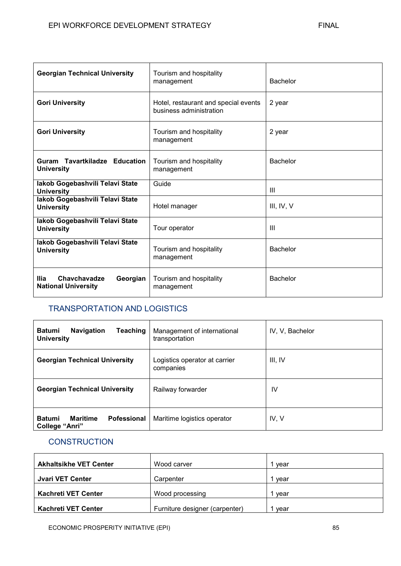| <b>Georgian Technical University</b>                            | Tourism and hospitality<br>management                           | <b>Bachelor</b> |
|-----------------------------------------------------------------|-----------------------------------------------------------------|-----------------|
| <b>Gori University</b>                                          | Hotel, restaurant and special events<br>business administration | 2 year          |
| <b>Gori University</b>                                          | Tourism and hospitality<br>management                           | 2 year          |
| Guram Tavartkiladze Education<br><b>University</b>              | Tourism and hospitality<br>management                           | <b>Bachelor</b> |
| lakob Gogebashvili Telavi State<br><b>University</b>            | Guide                                                           | $\mathbf{III}$  |
| lakob Gogebashvili Telavi State<br><b>University</b>            | Hotel manager                                                   | III, IV, V      |
| lakob Gogebashvili Telavi State<br><b>University</b>            | Tour operator                                                   | Ш               |
| lakob Gogebashvili Telavi State<br><b>University</b>            | Tourism and hospitality<br>management                           | <b>Bachelor</b> |
| Chavchavadze<br>llia.<br>Georgian<br><b>National University</b> | Tourism and hospitality<br>management                           | <b>Bachelor</b> |

# TRANSPORTATION AND LOGISTICS

| <b>Navigation</b><br><b>Teaching</b><br><b>Batumi</b><br><b>University</b> | Management of international<br>transportation | IV, V, Bachelor |
|----------------------------------------------------------------------------|-----------------------------------------------|-----------------|
| <b>Georgian Technical University</b>                                       | Logistics operator at carrier<br>companies    | III, IV         |
| <b>Georgian Technical University</b>                                       | Railway forwarder                             | IV              |
| <b>Maritime</b><br><b>Pofessional</b><br><b>Batumi</b><br>College "Anri"   | Maritime logistics operator                   | IV, V           |

# **CONSTRUCTION**

| <b>Akhaltsikhe VET Center</b> | Wood carver                    | vear |
|-------------------------------|--------------------------------|------|
| Jvari VET Center              | Carpenter                      | vear |
| <b>Kachreti VET Center</b>    | Wood processing                | vear |
| <b>Kachreti VET Center</b>    | Furniture designer (carpenter) | vear |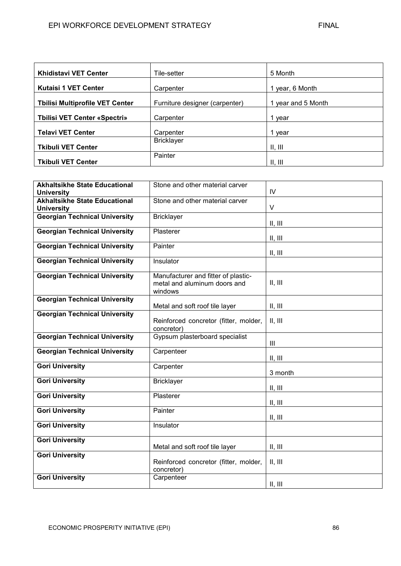| <b>Khidistavi VET Center</b>           | Tile-setter                    | 5 Month            |
|----------------------------------------|--------------------------------|--------------------|
| <b>Kutaisi 1 VET Center</b>            | Carpenter                      | 1 year, 6 Month    |
| <b>Tbilisi Multiprofile VET Center</b> | Furniture designer (carpenter) | 1 year and 5 Month |
| <b>Thilisi VET Center «Spectri»</b>    | Carpenter                      | 1 year             |
| <b>Telavi VET Center</b>               | Carpenter                      | 1 year             |
| <b>Tkibuli VET Center</b>              | <b>Bricklayer</b>              | II, III            |
| <b>Tkibuli VET Center</b>              | Painter                        | II, III            |

| <b>Akhaltsikhe State Educational</b>                      | Stone and other material carver                                                       |                |
|-----------------------------------------------------------|---------------------------------------------------------------------------------------|----------------|
| <b>University</b>                                         |                                                                                       | IV             |
| <b>Akhaltsikhe State Educational</b><br><b>University</b> | Stone and other material carver                                                       | $\vee$         |
| <b>Georgian Technical University</b>                      | <b>Bricklayer</b>                                                                     | II, III        |
| <b>Georgian Technical University</b>                      | Plasterer                                                                             | II, III        |
| <b>Georgian Technical University</b>                      | Painter                                                                               | II, III        |
| <b>Georgian Technical University</b>                      | Insulator                                                                             |                |
| <b>Georgian Technical University</b>                      | Manufacturer and fitter of plastic-<br>metal and aluminum doors and<br>windows        | II, III        |
| <b>Georgian Technical University</b>                      | Metal and soft roof tile layer                                                        | II, III        |
| <b>Georgian Technical University</b>                      | Reinforced concretor (fitter, molder,<br>concretor)                                   | II, III        |
| <b>Georgian Technical University</b>                      | Gypsum plasterboard specialist                                                        | $\mathbf{III}$ |
| <b>Georgian Technical University</b>                      | Carpenteer                                                                            | II, III        |
| <b>Gori University</b>                                    | Carpenter                                                                             | 3 month        |
| <b>Gori University</b>                                    | <b>Bricklayer</b>                                                                     | II, III        |
| <b>Gori University</b>                                    | Plasterer                                                                             | II, III        |
| <b>Gori University</b>                                    |                                                                                       |                |
|                                                           | Painter                                                                               |                |
| <b>Gori University</b>                                    | Insulator                                                                             | II, III        |
| <b>Gori University</b>                                    |                                                                                       | II, III        |
| <b>Gori University</b><br><b>Gori University</b>          | Metal and soft roof tile layer<br>Reinforced concretor (fitter, molder,<br>concretor) | II, III        |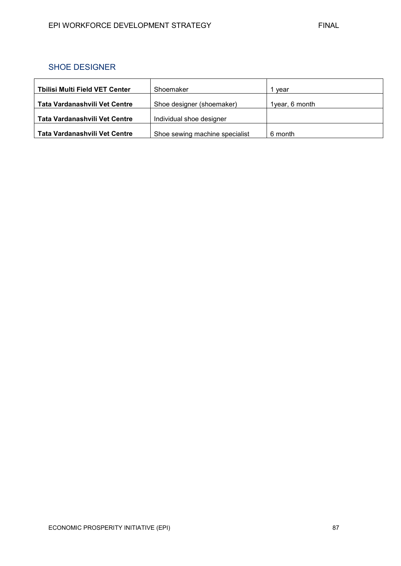# SHOE DESIGNER

| Tbilisi Multi Field VET Center | Shoemaker                      | vear           |
|--------------------------------|--------------------------------|----------------|
| Tata Vardanashvili Vet Centre  | Shoe designer (shoemaker)      | 1year, 6 month |
| Tata Vardanashvili Vet Centre  | Individual shoe designer       |                |
| Tata Vardanashvili Vet Centre  | Shoe sewing machine specialist | 6 month        |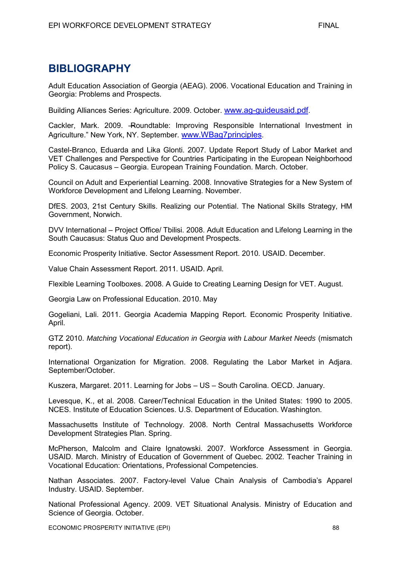# **BIBLIOGRAPHY**

Adult Education Association of Georgia (AEAG). 2006. Vocational Education and Training in Georgia: Problems and Prospects.

Building Alliances Series: Agriculture. 2009. October. [www.ag-guideusaid.pdf](http://www.ag-guideusaid.pdf/).

Cackler, Mark. 2009. ―Roundtable: Improving Responsible International Investment in Agriculture." New York, NY. September. [www.WBag7principles](http://www.wbag7principles/).

Castel-Branco, Eduarda and Lika Glonti. 2007. Update Report Study of Labor Market and VET Challenges and Perspective for Countries Participating in the European Neighborhood Policy S. Caucasus – Georgia. European Training Foundation. March. October.

Council on Adult and Experiential Learning. 2008. Innovative Strategies for a New System of Workforce Development and Lifelong Learning. November.

DfES. 2003, 21st Century Skills. Realizing our Potential. The National Skills Strategy, HM Government, Norwich.

DVV International – Project Office/ Tbilisi. 2008. Adult Education and Lifelong Learning in the South Caucasus: Status Quo and Development Prospects.

Economic Prosperity Initiative. Sector Assessment Report. 2010. USAID. December.

Value Chain Assessment Report. 2011. USAID. April.

Flexible Learning Toolboxes. 2008. A Guide to Creating Learning Design for VET. August.

Georgia Law on Professional Education. 2010. May

Gogeliani, Lali. 2011. Georgia Academia Mapping Report. Economic Prosperity Initiative. April.

GTZ 2010. *Matching Vocational Education in Georgia with Labour Market Needs* (mismatch report).

International Organization for Migration. 2008. Regulating the Labor Market in Adjara. September/October.

Kuszera, Margaret. 2011. Learning for Jobs – US – South Carolina. OECD. January.

Levesque, K., et al. 2008. Career/Technical Education in the United States: 1990 to 2005. NCES. Institute of Education Sciences. U.S. Department of Education. Washington.

Massachusetts Institute of Technology. 2008. North Central Massachusetts Workforce Development Strategies Plan. Spring.

McPherson, Malcolm and Claire Ignatowski. 2007. Workforce Assessment in Georgia. USAID. March. Ministry of Education of Government of Quebec. 2002. Teacher Training in Vocational Education: Orientations, Professional Competencies.

Nathan Associates. 2007. Factory-level Value Chain Analysis of Cambodia's Apparel Industry. USAID. September.

National Professional Agency. 2009. VET Situational Analysis. Ministry of Education and Science of Georgia. October.

ECONOMIC PROSPERITY INITIATIVE (EPI) 88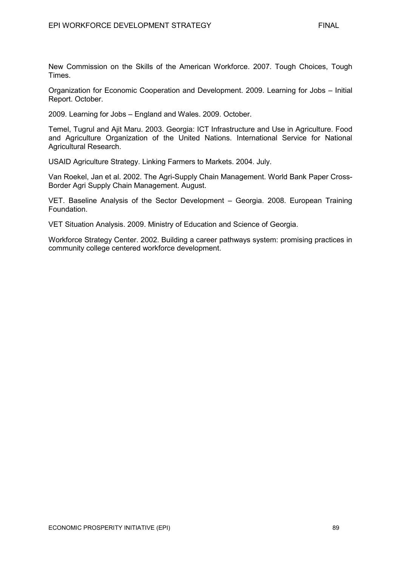New Commission on the Skills of the American Workforce. 2007. Tough Choices, Tough Times.

Organization for Economic Cooperation and Development. 2009. Learning for Jobs – Initial Report. October.

2009. Learning for Jobs – England and Wales. 2009. October.

Temel, Tugrul and Ajit Maru. 2003. Georgia: ICT Infrastructure and Use in Agriculture. Food and Agriculture Organization of the United Nations. International Service for National Agricultural Research.

USAID Agriculture Strategy. Linking Farmers to Markets. 2004. July.

Van Roekel, Jan et al. 2002. The Agri-Supply Chain Management. World Bank Paper Cross-Border Agri Supply Chain Management. August.

VET. Baseline Analysis of the Sector Development – Georgia. 2008. European Training Foundation.

VET Situation Analysis. 2009. Ministry of Education and Science of Georgia.

Workforce Strategy Center. 2002. Building a career pathways system: promising practices in community college centered workforce development.